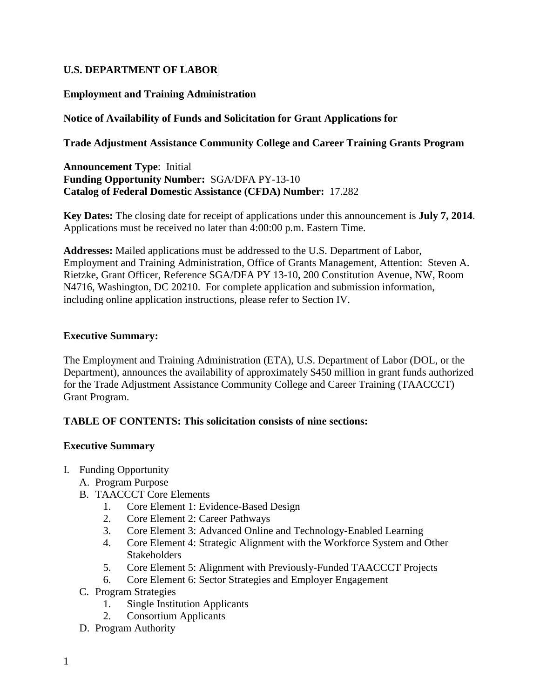## **U.S. DEPARTMENT OF LABOR**

## **Employment and Training Administration**

## **Notice of Availability of Funds and Solicitation for Grant Applications for**

## **Trade Adjustment Assistance Community College and Career Training Grants Program**

**Announcement Type**: Initial **Funding Opportunity Number:** SGA/DFA PY-13-10 **Catalog of Federal Domestic Assistance (CFDA) Number:** 17.282

**Key Dates:** The closing date for receipt of applications under this announcement is **July 7, 2014**. Applications must be received no later than 4:00:00 p.m. Eastern Time.

**Addresses:** Mailed applications must be addressed to the U.S. Department of Labor, Employment and Training Administration, Office of Grants Management, Attention: Steven A. Rietzke, Grant Officer, Reference SGA/DFA PY 13-10, 200 Constitution Avenue, NW, Room N4716, Washington, DC 20210. For complete application and submission information, including online application instructions, please refer to Section IV.

### **Executive Summary:**

The Employment and Training Administration (ETA), U.S. Department of Labor (DOL, or the Department), announces the availability of approximately \$450 million in grant funds authorized for the Trade Adjustment Assistance Community College and Career Training (TAACCCT) Grant Program.

## **TABLE OF CONTENTS: This solicitation consists of nine sections:**

### **Executive Summary**

- I. Funding Opportunity
	- A. Program Purpose
	- B. TAACCCT Core Elements
		- 1. Core Element 1: Evidence-Based Design
		- 2. Core Element 2: Career Pathways
		- 3. Core Element 3: Advanced Online and Technology-Enabled Learning
		- 4. Core Element 4: Strategic Alignment with the Workforce System and Other **Stakeholders**
		- 5. Core Element 5: Alignment with Previously-Funded TAACCCT Projects
		- 6. Core Element 6: Sector Strategies and Employer Engagement
	- C. Program Strategies
		- 1. Single Institution Applicants<br>2. Consortium Applicants
		- **Consortium Applicants**
	- D. Program Authority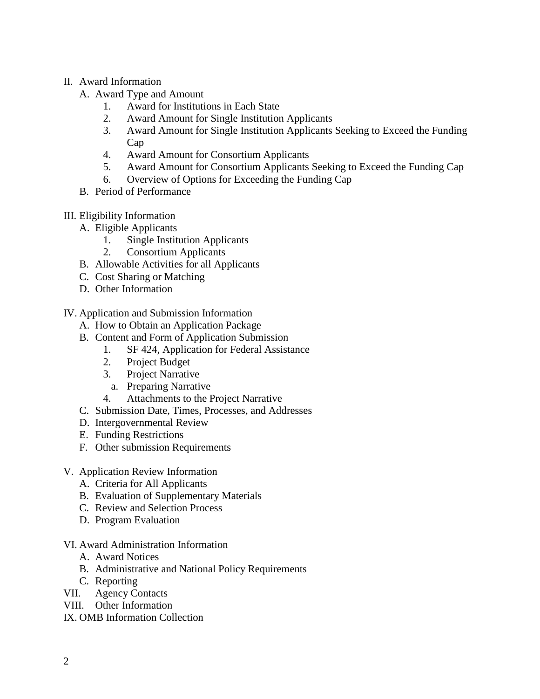### II. Award Information

- A. Award Type and Amount
	- 1. Award for Institutions in Each State
	- 2. Award Amount for Single Institution Applicants
	- 3. Award Amount for Single Institution Applicants Seeking to Exceed the Funding Cap
	- 4. Award Amount for Consortium Applicants
	- 5. Award Amount for Consortium Applicants Seeking to Exceed the Funding Cap
	- 6. Overview of Options for Exceeding the Funding Cap
- B. Period of Performance
- III. Eligibility Information
	- A. Eligible Applicants
		- 1. Single Institution Applicants
		- 2. Consortium Applicants
	- B. Allowable Activities for all Applicants
	- C. Cost Sharing or Matching
	- D. Other Information
- IV. Application and Submission Information
	- A. How to Obtain an Application Package
	- B. Content and Form of Application Submission
		- 1. SF 424, Application for Federal Assistance
		- 2. Project Budget
		- 3. Project Narrative
			- a. Preparing Narrative
		- 4. Attachments to the Project Narrative
	- C. Submission Date, Times, Processes, and Addresses
	- D. Intergovernmental Review
	- E. Funding Restrictions
	- F. Other submission Requirements
- V. Application Review Information
	- A. Criteria for All Applicants
	- B. Evaluation of Supplementary Materials
	- C. Review and Selection Process
	- D. Program Evaluation
- VI. Award Administration Information
	- A. Award Notices
	- B. Administrative and National Policy Requirements
	- C. Reporting
- VII. Agency Contacts
- VIII. Other Information
- IX. OMB Information Collection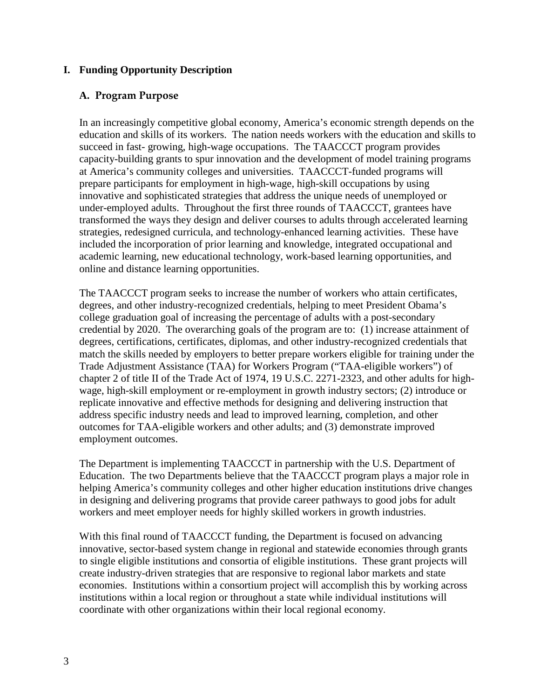### **I. Funding Opportunity Description**

### **A. Program Purpose**

In an increasingly competitive global economy, America's economic strength depends on the education and skills of its workers. The nation needs workers with the education and skills to succeed in fast- growing, high-wage occupations. The TAACCCT program provides capacity-building grants to spur innovation and the development of model training programs at America's community colleges and universities. TAACCCT-funded programs will prepare participants for employment in high-wage, high-skill occupations by using innovative and sophisticated strategies that address the unique needs of unemployed or under-employed adults. Throughout the first three rounds of TAACCCT, grantees have transformed the ways they design and deliver courses to adults through accelerated learning strategies, redesigned curricula, and technology-enhanced learning activities. These have included the incorporation of prior learning and knowledge, integrated occupational and academic learning, new educational technology, work-based learning opportunities, and online and distance learning opportunities.

The TAACCCT program seeks to increase the number of workers who attain certificates, degrees, and other industry-recognized credentials, helping to meet President Obama's college graduation goal of increasing the percentage of adults with a post-secondary credential by 2020. The overarching goals of the program are to: (1) increase attainment of degrees, certifications, certificates, diplomas, and other industry-recognized credentials that match the skills needed by employers to better prepare workers eligible for training under the Trade Adjustment Assistance (TAA) for Workers Program ("TAA-eligible workers") of chapter 2 of title II of the Trade Act of 1974, 19 U.S.C. 2271-2323, and other adults for highwage, high-skill employment or re-employment in growth industry sectors; (2) introduce or replicate innovative and effective methods for designing and delivering instruction that address specific industry needs and lead to improved learning, completion, and other outcomes for TAA-eligible workers and other adults; and (3) demonstrate improved employment outcomes.

The Department is implementing TAACCCT in partnership with the U.S. Department of Education. The two Departments believe that the TAACCCT program plays a major role in helping America's community colleges and other higher education institutions drive changes in designing and delivering programs that provide career pathways to good jobs for adult workers and meet employer needs for highly skilled workers in growth industries.

<span id="page-2-0"></span>With this final round of TAACCCT funding, the Department is focused on advancing innovative, sector-based system change in regional and statewide economies through grants to single eligible institutions and consortia of eligible institutions. These grant projects will create industry-driven strategies that are responsive to regional labor markets and state economies. Institutions within a consortium project will accomplish this by working across institutions within a local region or throughout a state while individual institutions will coordinate with other organizations within their local regional economy.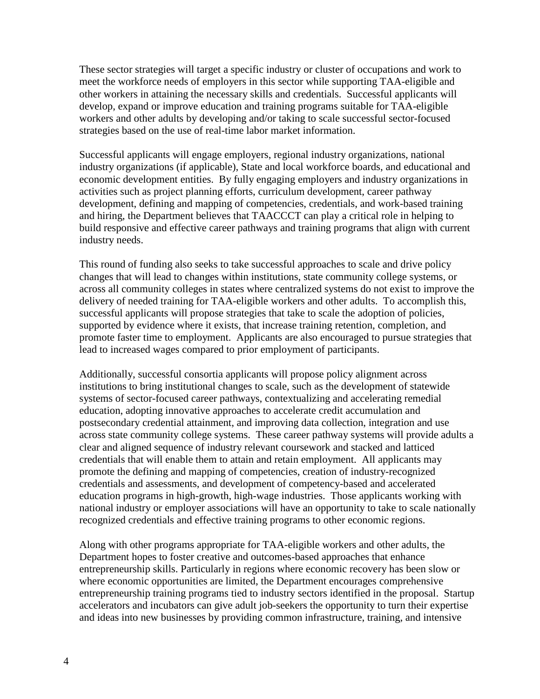These sector strategies will target a specific industry or cluster of occupations and work to meet the workforce needs of employers in this sector while supporting TAA-eligible and other workers in attaining the necessary skills and credentials. Successful applicants will develop, expand or improve education and training programs suitable for TAA-eligible workers and other adults by developing and/or taking to scale successful sector-focused strategies based on the use of real-time labor market information.

Successful applicants will engage employers, regional industry organizations, national industry organizations (if applicable), State and local workforce boards, and educational and economic development entities. By fully engaging employers and industry organizations in activities such as project planning efforts, curriculum development, career pathway development, defining and mapping of competencies, credentials, and work-based training and hiring, the Department believes that TAACCCT can play a critical role in helping to build responsive and effective career pathways and training programs that align with current industry needs.

This round of funding also seeks to take successful approaches to scale and drive policy changes that will lead to changes within institutions, state community college systems, or across all community colleges in states where centralized systems do not exist to improve the delivery of needed training for TAA-eligible workers and other adults. To accomplish this, successful applicants will propose strategies that take to scale the adoption of policies, supported by evidence where it exists, that increase training retention, completion, and promote faster time to employment. Applicants are also encouraged to pursue strategies that lead to increased wages compared to prior employment of participants.

Additionally, successful consortia applicants will propose policy alignment across institutions to bring institutional changes to scale, such as the development of statewide systems of sector-focused career pathways, contextualizing and accelerating remedial education, adopting innovative approaches to accelerate credit accumulation and postsecondary credential attainment, and improving data collection, integration and use across state community college systems. These career pathway systems will provide adults a clear and aligned sequence of industry relevant coursework and stacked and latticed credentials that will enable them to attain and retain employment. All applicants may promote the defining and mapping of competencies, creation of industry-recognized credentials and assessments, and development of competency-based and accelerated education programs in high-growth, high-wage industries. Those applicants working with national industry or employer associations will have an opportunity to take to scale nationally recognized credentials and effective training programs to other economic regions.

Along with other programs appropriate for TAA-eligible workers and other adults, the Department hopes to foster creative and outcomes-based approaches that enhance entrepreneurship skills. Particularly in regions where economic recovery has been slow or where economic opportunities are limited, the Department encourages comprehensive entrepreneurship training programs tied to industry sectors identified in the proposal. Startup accelerators and incubators can give adult job-seekers the opportunity to turn their expertise and ideas into new businesses by providing common infrastructure, training, and intensive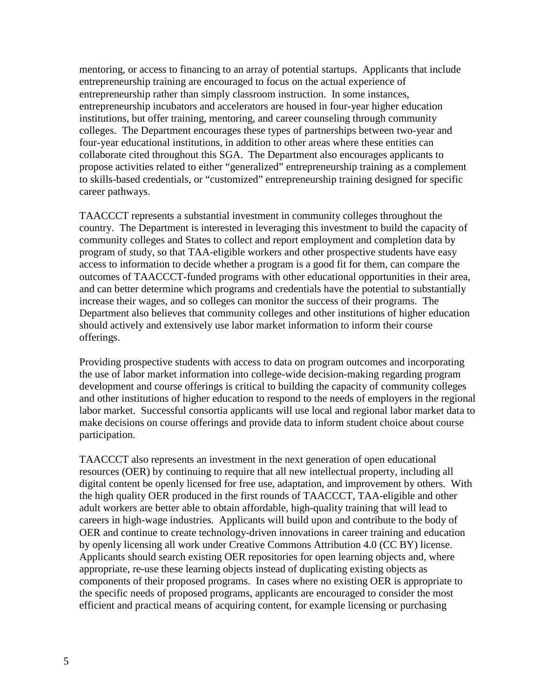mentoring, or access to financing to an array of potential startups. Applicants that include entrepreneurship training are encouraged to focus on the actual experience of entrepreneurship rather than simply classroom instruction. In some instances, entrepreneurship incubators and accelerators are housed in four-year higher education institutions, but offer training, mentoring, and career counseling through community colleges. The Department encourages these types of partnerships between two-year and four-year educational institutions, in addition to other areas where these entities can collaborate cited throughout this SGA. The Department also encourages applicants to propose activities related to either "generalized" entrepreneurship training as a complement to skills-based credentials, or "customized" entrepreneurship training designed for specific career pathways.

TAACCCT represents a substantial investment in community colleges throughout the country. The Department is interested in leveraging this investment to build the capacity of community colleges and States to collect and report employment and completion data by program of study, so that TAA-eligible workers and other prospective students have easy access to information to decide whether a program is a good fit for them, can compare the outcomes of TAACCCT-funded programs with other educational opportunities in their area, and can better determine which programs and credentials have the potential to substantially increase their wages, and so colleges can monitor the success of their programs. The Department also believes that community colleges and other institutions of higher education should actively and extensively use labor market information to inform their course offerings.

Providing prospective students with access to data on program outcomes and incorporating the use of labor market information into college-wide decision-making regarding program development and course offerings is critical to building the capacity of community colleges and other institutions of higher education to respond to the needs of employers in the regional labor market. Successful consortia applicants will use local and regional labor market data to make decisions on course offerings and provide data to inform student choice about course participation.

TAACCCT also represents an investment in the next generation of open educational resources (OER) by continuing to require that all new intellectual property, including all digital content be openly licensed for free use, adaptation, and improvement by others. With the high quality OER produced in the first rounds of TAACCCT, TAA-eligible and other adult workers are better able to obtain affordable, high-quality training that will lead to careers in high-wage industries. Applicants will build upon and contribute to the body of OER and continue to create technology-driven innovations in career training and education by openly licensing all work under Creative Commons Attribution 4.0 (CC BY) license. Applicants should search existing OER repositories for open learning objects and, where appropriate, re-use these learning objects instead of duplicating existing objects as components of their proposed programs. In cases where no existing OER is appropriate to the specific needs of proposed programs, applicants are encouraged to consider the most efficient and practical means of acquiring content, for example licensing or purchasing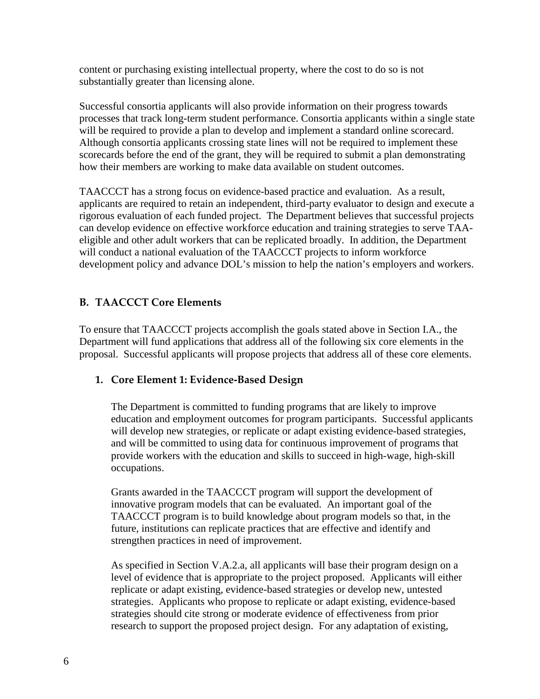content or purchasing existing intellectual property, where the cost to do so is not substantially greater than licensing alone.

Successful consortia applicants will also provide information on their progress towards processes that track long-term student performance. Consortia applicants within a single state will be required to provide a plan to develop and implement a standard online scorecard. Although consortia applicants crossing state lines will not be required to implement these scorecards before the end of the grant, they will be required to submit a plan demonstrating how their members are working to make data available on student outcomes.

TAACCCT has a strong focus on evidence-based practice and evaluation. As a result, applicants are required to retain an independent, third-party evaluator to design and execute a rigorous evaluation of each funded project. The Department believes that successful projects can develop evidence on effective workforce education and training strategies to serve TAAeligible and other adult workers that can be replicated broadly. In addition, the Department will conduct a national evaluation of the TAACCCT projects to inform workforce development policy and advance DOL's mission to help the nation's employers and workers.

# **B. TAACCCT Core Elements**

To ensure that TAACCCT projects accomplish the goals stated above in Section I.A., the Department will fund applications that address all of the following six core elements in the proposal. Successful applicants will propose projects that address all of these core elements.

## **1. Core Element 1: Evidence-Based Design**

The Department is committed to funding programs that are likely to improve education and employment outcomes for program participants. Successful applicants will develop new strategies, or replicate or adapt existing evidence-based strategies, and will be committed to using data for continuous improvement of programs that provide workers with the education and skills to succeed in high-wage, high-skill occupations.

Grants awarded in the TAACCCT program will support the development of innovative program models that can be evaluated. An important goal of the TAACCCT program is to build knowledge about program models so that, in the future, institutions can replicate practices that are effective and identify and strengthen practices in need of improvement.

As specified in Section V.A.2.a, all applicants will base their program design on a level of evidence that is appropriate to the project proposed. Applicants will either replicate or adapt existing, evidence-based strategies or develop new, untested strategies. Applicants who propose to replicate or adapt existing, evidence-based strategies should cite strong or moderate evidence of effectiveness from prior research to support the proposed project design. For any adaptation of existing,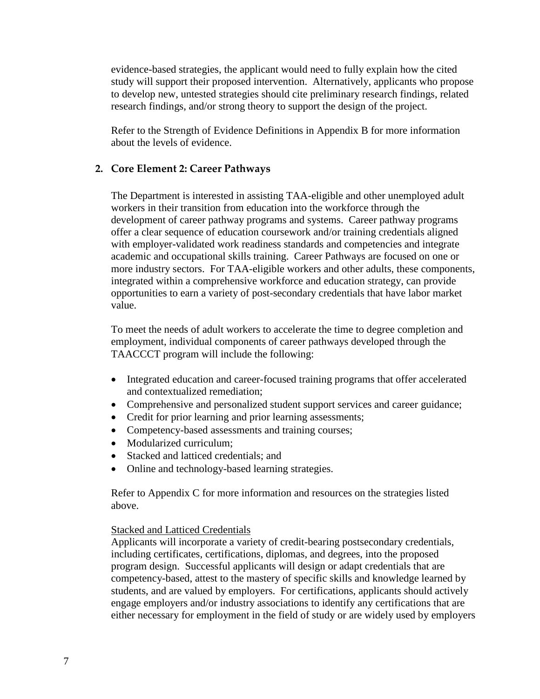evidence-based strategies, the applicant would need to fully explain how the cited study will support their proposed intervention. Alternatively, applicants who propose to develop new, untested strategies should cite preliminary research findings, related research findings, and/or strong theory to support the design of the project.

Refer to the Strength of Evidence Definitions in Appendix B for more information about the levels of evidence.

### **2. Core Element 2: Career Pathways**

The Department is interested in assisting TAA-eligible and other unemployed adult workers in their transition from education into the workforce through the development of career pathway programs and systems. Career pathway programs offer a clear sequence of education coursework and/or training credentials aligned with employer-validated work readiness standards and competencies and integrate academic and occupational skills training. Career Pathways are focused on one or more industry sectors. For TAA-eligible workers and other adults, these components, integrated within a comprehensive workforce and education strategy, can provide opportunities to earn a variety of post-secondary credentials that have labor market value.

To meet the needs of adult workers to accelerate the time to degree completion and employment, individual components of career pathways developed through the TAACCCT program will include the following:

- Integrated education and career-focused training programs that offer accelerated and contextualized remediation;
- Comprehensive and personalized student support services and career guidance;
- Credit for prior learning and prior learning assessments;
- Competency-based assessments and training courses;
- Modularized curriculum:
- Stacked and latticed credentials; and
- Online and technology-based learning strategies.

Refer to Appendix C for more information and resources on the strategies listed above.

### Stacked and Latticed Credentials

Applicants will incorporate a variety of credit-bearing postsecondary credentials, including certificates, certifications, diplomas, and degrees, into the proposed program design. Successful applicants will design or adapt credentials that are competency-based, attest to the mastery of specific skills and knowledge learned by students, and are valued by employers. For certifications, applicants should actively engage employers and/or industry associations to identify any certifications that are either necessary for employment in the field of study or are widely used by employers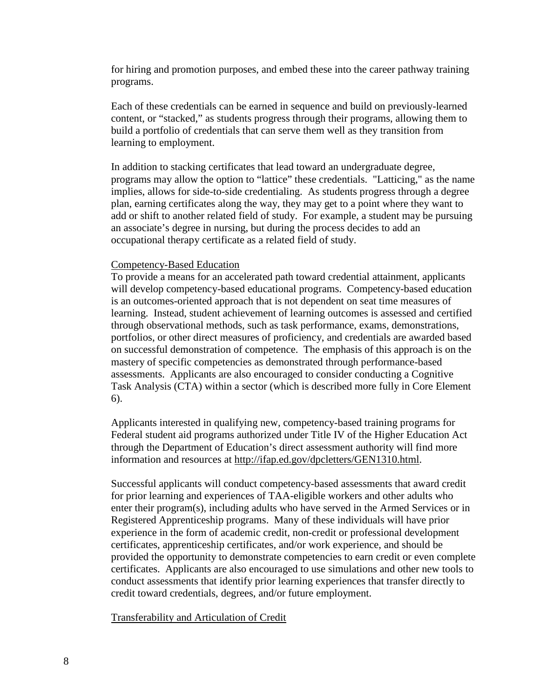for hiring and promotion purposes, and embed these into the career pathway training programs.

Each of these credentials can be earned in sequence and build on previously-learned content, or "stacked," as students progress through their programs, allowing them to build a portfolio of credentials that can serve them well as they transition from learning to employment.

In addition to stacking certificates that lead toward an undergraduate degree, programs may allow the option to "lattice" these credentials. "Latticing," as the name implies, allows for side-to-side credentialing. As students progress through a degree plan, earning certificates along the way, they may get to a point where they want to add or shift to another related field of study. For example, a student may be pursuing an associate's degree in nursing, but during the process decides to add an occupational therapy certificate as a related field of study.

#### Competency-Based Education

To provide a means for an accelerated path toward credential attainment, applicants will develop competency-based educational programs. Competency-based education is an outcomes-oriented approach that is not dependent on seat time measures of learning. Instead, student achievement of learning outcomes is assessed and certified through observational methods, such as task performance, exams, demonstrations, portfolios, or other direct measures of proficiency, and credentials are awarded based on successful demonstration of competence. The emphasis of this approach is on the mastery of specific competencies as demonstrated through performance-based assessments. Applicants are also encouraged to consider conducting a Cognitive Task Analysis (CTA) within a sector (which is described more fully in Core Element 6).

Applicants interested in qualifying new, competency-based training programs for Federal student aid programs authorized under Title IV of the Higher Education Act through the Department of Education's direct assessment authority will find more information and resources at [http://ifap.ed.gov/dpcletters/GEN1310.html.](http://ifap.ed.gov/dpcletters/GEN1310.html)

Successful applicants will conduct competency-based assessments that award credit for prior learning and experiences of TAA-eligible workers and other adults who enter their program(s), including adults who have served in the Armed Services or in Registered Apprenticeship programs. Many of these individuals will have prior experience in the form of academic credit, non-credit or professional development certificates, apprenticeship certificates, and/or work experience, and should be provided the opportunity to demonstrate competencies to earn credit or even complete certificates. Applicants are also encouraged to use simulations and other new tools to conduct assessments that identify prior learning experiences that transfer directly to credit toward credentials, degrees, and/or future employment.

#### Transferability and Articulation of Credit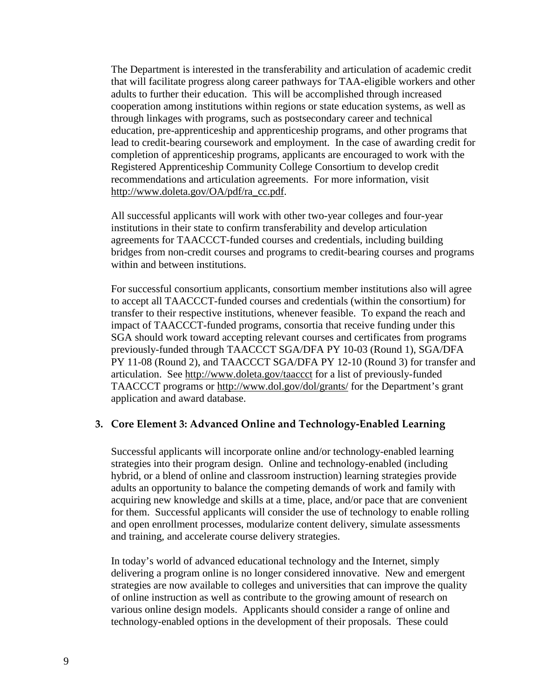The Department is interested in the transferability and articulation of academic credit that will facilitate progress along career pathways for TAA-eligible workers and other adults to further their education. This will be accomplished through increased cooperation among institutions within regions or state education systems, as well as through linkages with programs, such as postsecondary career and technical education, pre-apprenticeship and apprenticeship programs, and other programs that lead to credit-bearing coursework and employment. In the case of awarding credit for completion of apprenticeship programs, applicants are encouraged to work with the Registered Apprenticeship Community College Consortium to develop credit recommendations and articulation agreements. For more information, visit [http://www.doleta.gov/OA/pdf/ra\\_cc.pdf.](http://www.doleta.gov/OA/pdf/ra_cc.pdf)

All successful applicants will work with other two-year colleges and four-year institutions in their state to confirm transferability and develop articulation agreements for TAACCCT-funded courses and credentials, including building bridges from non-credit courses and programs to credit-bearing courses and programs within and between institutions.

For successful consortium applicants, consortium member institutions also will agree to accept all TAACCCT-funded courses and credentials (within the consortium) for transfer to their respective institutions, whenever feasible. To expand the reach and impact of TAACCCT-funded programs, consortia that receive funding under this SGA should work toward accepting relevant courses and certificates from programs previously-funded through TAACCCT SGA/DFA PY 10-03 (Round 1), SGA/DFA PY 11-08 (Round 2), and TAACCCT SGA/DFA PY 12-10 (Round 3) for transfer and articulation. See <http://www.doleta.gov/taaccct> for a list of previously-funded TAACCCT programs or <http://www.dol.gov/dol/grants/> for the Department's grant application and award database.

## **3. Core Element 3: Advanced Online and Technology-Enabled Learning**

Successful applicants will incorporate online and/or technology-enabled learning strategies into their program design. Online and technology-enabled (including hybrid, or a blend of online and classroom instruction) learning strategies provide adults an opportunity to balance the competing demands of work and family with acquiring new knowledge and skills at a time, place, and/or pace that are convenient for them. Successful applicants will consider the use of technology to enable rolling and open enrollment processes, modularize content delivery, simulate assessments and training, and accelerate course delivery strategies.

In today's world of advanced educational technology and the Internet, simply delivering a program online is no longer considered innovative. New and emergent strategies are now available to colleges and universities that can improve the quality of online instruction as well as contribute to the growing amount of research on various online design models. Applicants should consider a range of online and technology-enabled options in the development of their proposals. These could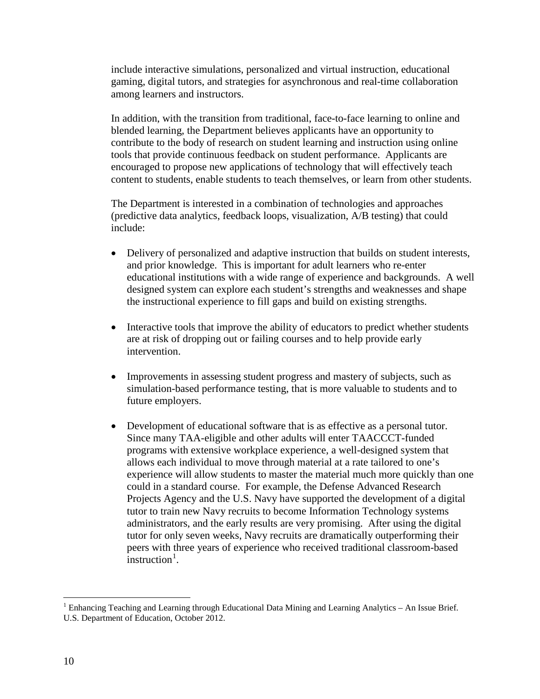include interactive simulations, personalized and virtual instruction, educational gaming, digital tutors, and strategies for asynchronous and real-time collaboration among learners and instructors.

In addition, with the transition from traditional, face-to-face learning to online and blended learning, the Department believes applicants have an opportunity to contribute to the body of research on student learning and instruction using online tools that provide continuous feedback on student performance. Applicants are encouraged to propose new applications of technology that will effectively teach content to students, enable students to teach themselves, or learn from other students.

The Department is interested in a combination of technologies and approaches (predictive data analytics, feedback loops, visualization, A/B testing) that could include:

- Delivery of personalized and adaptive instruction that builds on student interests, and prior knowledge. This is important for adult learners who re-enter educational institutions with a wide range of experience and backgrounds. A well designed system can explore each student's strengths and weaknesses and shape the instructional experience to fill gaps and build on existing strengths.
- Interactive tools that improve the ability of educators to predict whether students are at risk of dropping out or failing courses and to help provide early intervention.
- Improvements in assessing student progress and mastery of subjects, such as simulation-based performance testing, that is more valuable to students and to future employers.
- Development of educational software that is as effective as a personal tutor. Since many TAA-eligible and other adults will enter TAACCCT-funded programs with extensive workplace experience, a well-designed system that allows each individual to move through material at a rate tailored to one's experience will allow students to master the material much more quickly than one could in a standard course. For example, the Defense Advanced Research Projects Agency and the U.S. Navy have supported the development of a digital tutor to train new Navy recruits to become Information Technology systems administrators, and the early results are very promising. After using the digital tutor for only seven weeks, Navy recruits are dramatically outperforming their peers with three years of experience who received traditional classroom-based  $\frac{1}{2}$  $\frac{1}{2}$  $\frac{1}{2}$  instruction<sup>1</sup>.

<span id="page-9-0"></span><sup>&</sup>lt;sup>1</sup> Enhancing Teaching and Learning through Educational Data Mining and Learning Analytics – An Issue Brief. U.S. Department of Education, October 2012.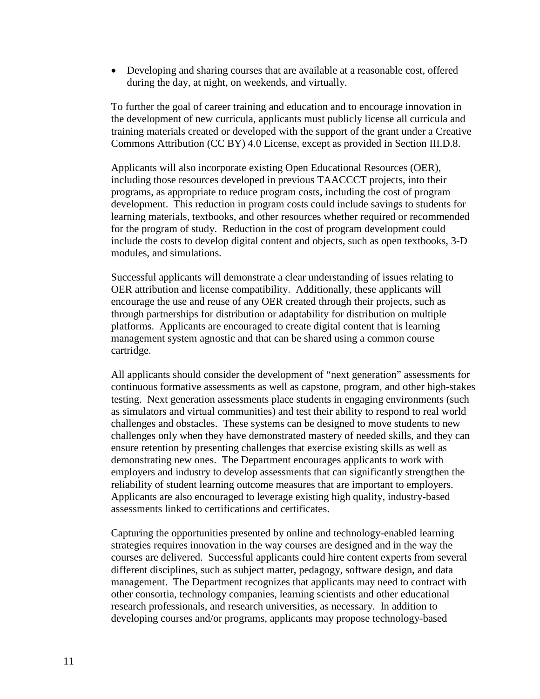• Developing and sharing courses that are available at a reasonable cost, offered during the day, at night, on weekends, and virtually.

To further the goal of career training and education and to encourage innovation in the development of new curricula, applicants must publicly license all curricula and training materials created or developed with the support of the grant under a Creative Commons Attribution (CC BY) 4.0 License, except as provided in Section III.D.8.

Applicants will also incorporate existing Open Educational Resources (OER), including those resources developed in previous TAACCCT projects, into their programs, as appropriate to reduce program costs, including the cost of program development. This reduction in program costs could include savings to students for learning materials, textbooks, and other resources whether required or recommended for the program of study. Reduction in the cost of program development could include the costs to develop digital content and objects, such as open textbooks, 3-D modules, and simulations.

Successful applicants will demonstrate a clear understanding of issues relating to OER attribution and license compatibility. Additionally, these applicants will encourage the use and reuse of any OER created through their projects, such as through partnerships for distribution or adaptability for distribution on multiple platforms. Applicants are encouraged to create digital content that is learning management system agnostic and that can be shared using a common course cartridge.

All applicants should consider the development of "next generation" assessments for continuous formative assessments as well as capstone, program, and other high-stakes testing. Next generation assessments place students in engaging environments (such as simulators and virtual communities) and test their ability to respond to real world challenges and obstacles. These systems can be designed to move students to new challenges only when they have demonstrated mastery of needed skills, and they can ensure retention by presenting challenges that exercise existing skills as well as demonstrating new ones. The Department encourages applicants to work with employers and industry to develop assessments that can significantly strengthen the reliability of student learning outcome measures that are important to employers. Applicants are also encouraged to leverage existing high quality, industry-based assessments linked to certifications and certificates.

Capturing the opportunities presented by online and technology-enabled learning strategies requires innovation in the way courses are designed and in the way the courses are delivered. Successful applicants could hire content experts from several different disciplines, such as subject matter, pedagogy, software design, and data management. The Department recognizes that applicants may need to contract with other consortia, technology companies, learning scientists and other educational research professionals, and research universities, as necessary. In addition to developing courses and/or programs, applicants may propose technology-based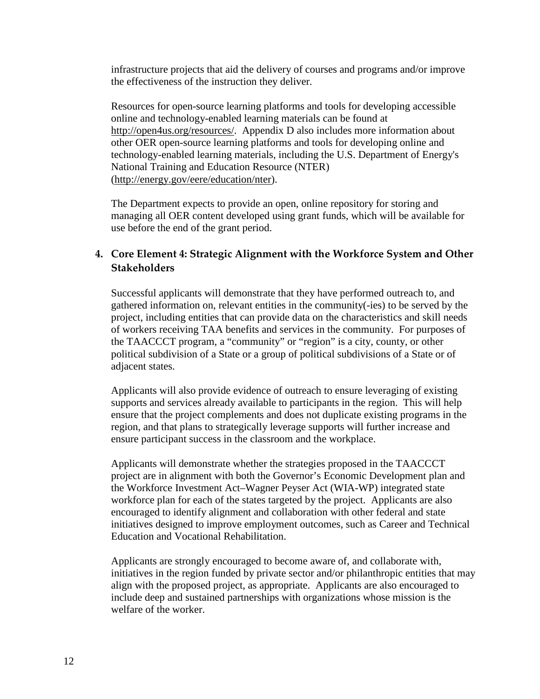infrastructure projects that aid the delivery of courses and programs and/or improve the effectiveness of the instruction they deliver.

Resources for open-source learning platforms and tools for developing accessible online and technology-enabled learning materials can be found at [http://open4us.org/resources/.](http://open4us.org/resources/) Appendix D also includes more information about other OER open-source learning platforms and tools for developing online and technology-enabled learning materials, including the U.S. Department of Energy's National Training and Education Resource (NTER) [\(http://energy.gov/eere/education/nter\)](http://energy.gov/eere/education/nter).

The Department expects to provide an open, online repository for storing and managing all OER content developed using grant funds, which will be available for use before the end of the grant period.

# **4. Core Element 4: Strategic Alignment with the Workforce System and Other Stakeholders**

Successful applicants will demonstrate that they have performed outreach to, and gathered information on, relevant entities in the community(-ies) to be served by the project, including entities that can provide data on the characteristics and skill needs of workers receiving TAA benefits and services in the community. For purposes of the TAACCCT program, a "community" or "region" is a city, county, or other political subdivision of a State or a group of political subdivisions of a State or of adjacent states.

Applicants will also provide evidence of outreach to ensure leveraging of existing supports and services already available to participants in the region. This will help ensure that the project complements and does not duplicate existing programs in the region, and that plans to strategically leverage supports will further increase and ensure participant success in the classroom and the workplace.

Applicants will demonstrate whether the strategies proposed in the TAACCCT project are in alignment with both the Governor's Economic Development plan and the Workforce Investment Act–Wagner Peyser Act (WIA-WP) integrated state workforce plan for each of the states targeted by the project. Applicants are also encouraged to identify alignment and collaboration with other federal and state initiatives designed to improve employment outcomes, such as Career and Technical Education and Vocational Rehabilitation.

Applicants are strongly encouraged to become aware of, and collaborate with, initiatives in the region funded by private sector and/or philanthropic entities that may align with the proposed project, as appropriate. Applicants are also encouraged to include deep and sustained partnerships with organizations whose mission is the welfare of the worker.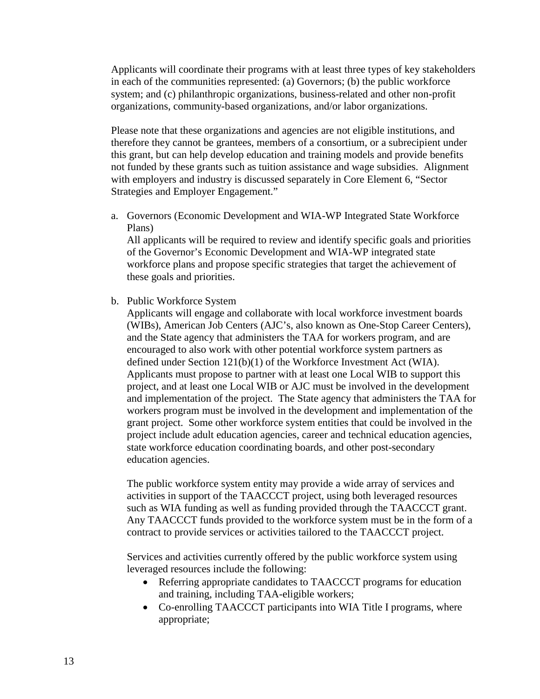Applicants will coordinate their programs with at least three types of key stakeholders in each of the communities represented: (a) Governors; (b) the public workforce system; and (c) philanthropic organizations, business-related and other non-profit organizations, community-based organizations, and/or labor organizations.

Please note that these organizations and agencies are not eligible institutions, and therefore they cannot be grantees, members of a consortium, or a subrecipient under this grant, but can help develop education and training models and provide benefits not funded by these grants such as tuition assistance and wage subsidies. Alignment with employers and industry is discussed separately in Core Element 6, "Sector Strategies and Employer Engagement."

a. Governors (Economic Development and WIA-WP Integrated State Workforce Plans)

All applicants will be required to review and identify specific goals and priorities of the Governor's Economic Development and WIA-WP integrated state workforce plans and propose specific strategies that target the achievement of these goals and priorities.

b. Public Workforce System

Applicants will engage and collaborate with local workforce investment boards (WIBs), American Job Centers (AJC's, also known as One-Stop Career Centers), and the State agency that administers the TAA for workers program, and are encouraged to also work with other potential workforce system partners as defined under Section 121(b)(1) of the Workforce Investment Act (WIA). Applicants must propose to partner with at least one Local WIB to support this project, and at least one Local WIB or AJC must be involved in the development and implementation of the project. The State agency that administers the TAA for workers program must be involved in the development and implementation of the grant project. Some other workforce system entities that could be involved in the project include adult education agencies, career and technical education agencies, state workforce education coordinating boards, and other post-secondary education agencies.

The public workforce system entity may provide a wide array of services and activities in support of the TAACCCT project, using both leveraged resources such as WIA funding as well as funding provided through the TAACCCT grant. Any TAACCCT funds provided to the workforce system must be in the form of a contract to provide services or activities tailored to the TAACCCT project.

Services and activities currently offered by the public workforce system using leveraged resources include the following:

- Referring appropriate candidates to TAACCCT programs for education and training, including TAA-eligible workers;
- Co-enrolling TAACCCT participants into WIA Title I programs, where appropriate;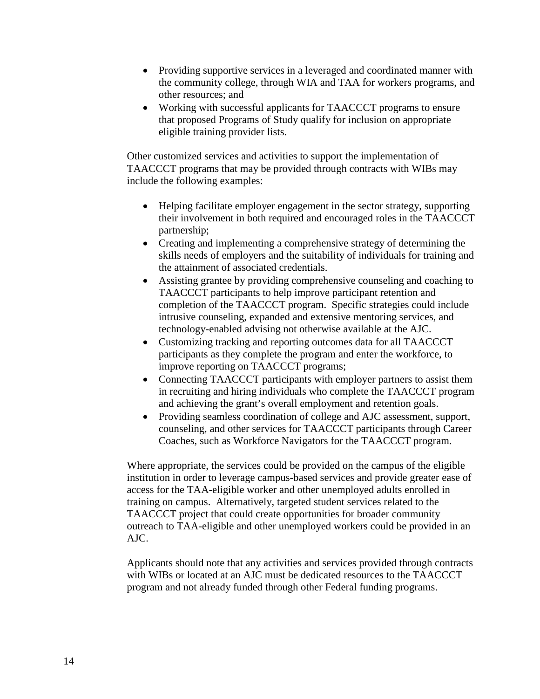- Providing supportive services in a leveraged and coordinated manner with the community college, through WIA and TAA for workers programs, and other resources; and
- Working with successful applicants for TAACCCT programs to ensure that proposed Programs of Study qualify for inclusion on appropriate eligible training provider lists.

Other customized services and activities to support the implementation of TAACCCT programs that may be provided through contracts with WIBs may include the following examples:

- Helping facilitate employer engagement in the sector strategy, supporting their involvement in both required and encouraged roles in the TAACCCT partnership;
- Creating and implementing a comprehensive strategy of determining the skills needs of employers and the suitability of individuals for training and the attainment of associated credentials.
- Assisting grantee by providing comprehensive counseling and coaching to TAACCCT participants to help improve participant retention and completion of the TAACCCT program. Specific strategies could include intrusive counseling, expanded and extensive mentoring services, and technology-enabled advising not otherwise available at the AJC.
- Customizing tracking and reporting outcomes data for all TAACCCT participants as they complete the program and enter the workforce, to improve reporting on TAACCCT programs;
- Connecting TAACCCT participants with employer partners to assist them in recruiting and hiring individuals who complete the TAACCCT program and achieving the grant's overall employment and retention goals.
- Providing seamless coordination of college and AJC assessment, support, counseling, and other services for TAACCCT participants through Career Coaches, such as Workforce Navigators for the TAACCCT program.

Where appropriate, the services could be provided on the campus of the eligible institution in order to leverage campus-based services and provide greater ease of access for the TAA-eligible worker and other unemployed adults enrolled in training on campus. Alternatively, targeted student services related to the TAACCCT project that could create opportunities for broader community outreach to TAA-eligible and other unemployed workers could be provided in an AJC.

Applicants should note that any activities and services provided through contracts with WIBs or located at an AJC must be dedicated resources to the TAACCCT program and not already funded through other Federal funding programs.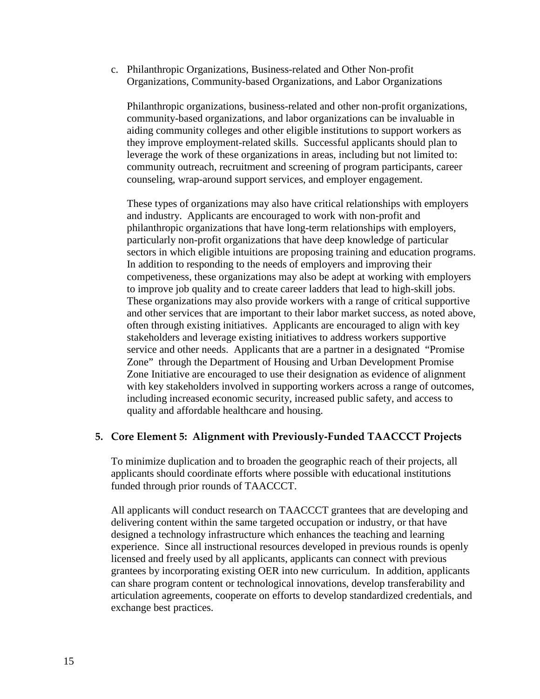c. Philanthropic Organizations, Business-related and Other Non-profit Organizations, Community-based Organizations, and Labor Organizations

Philanthropic organizations, business-related and other non-profit organizations, community-based organizations, and labor organizations can be invaluable in aiding community colleges and other eligible institutions to support workers as they improve employment-related skills. Successful applicants should plan to leverage the work of these organizations in areas, including but not limited to: community outreach, recruitment and screening of program participants, career counseling, wrap-around support services, and employer engagement.

These types of organizations may also have critical relationships with employers and industry. Applicants are encouraged to work with non-profit and philanthropic organizations that have long-term relationships with employers, particularly non-profit organizations that have deep knowledge of particular sectors in which eligible intuitions are proposing training and education programs. In addition to responding to the needs of employers and improving their competiveness, these organizations may also be adept at working with employers to improve job quality and to create career ladders that lead to high-skill jobs. These organizations may also provide workers with a range of critical supportive and other services that are important to their labor market success, as noted above, often through existing initiatives. Applicants are encouraged to align with key stakeholders and leverage existing initiatives to address workers supportive service and other needs. Applicants that are a partner in a designated "Promise Zone" through the Department of Housing and Urban Development Promise Zone Initiative are encouraged to use their designation as evidence of alignment with key stakeholders involved in supporting workers across a range of outcomes, including increased economic security, increased public safety, and access to quality and affordable healthcare and housing.

## **5. Core Element 5: Alignment with Previously-Funded TAACCCT Projects**

To minimize duplication and to broaden the geographic reach of their projects, all applicants should coordinate efforts where possible with educational institutions funded through prior rounds of TAACCCT.

All applicants will conduct research on TAACCCT grantees that are developing and delivering content within the same targeted occupation or industry, or that have designed a technology infrastructure which enhances the teaching and learning experience. Since all instructional resources developed in previous rounds is openly licensed and freely used by all applicants, applicants can connect with previous grantees by incorporating existing OER into new curriculum. In addition, applicants can share program content or technological innovations, develop transferability and articulation agreements, cooperate on efforts to develop standardized credentials, and exchange best practices.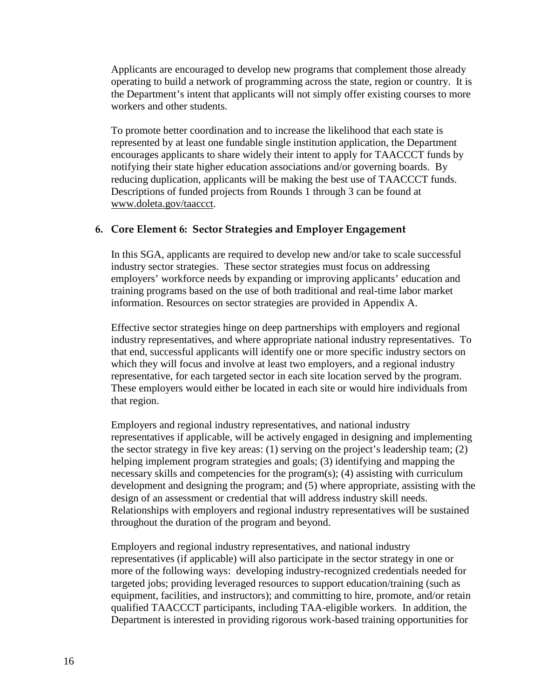Applicants are encouraged to develop new programs that complement those already operating to build a network of programming across the state, region or country. It is the Department's intent that applicants will not simply offer existing courses to more workers and other students.

To promote better coordination and to increase the likelihood that each state is represented by at least one fundable single institution application, the Department encourages applicants to share widely their intent to apply for TAACCCT funds by notifying their state higher education associations and/or governing boards. By reducing duplication, applicants will be making the best use of TAACCCT funds. Descriptions of funded projects from Rounds 1 through 3 can be found at [www.doleta.gov/taaccct.](http://www.doleta.gov/taaccct)

## **6. Core Element 6: Sector Strategies and Employer Engagement**

In this SGA, applicants are required to develop new and/or take to scale successful industry sector strategies. These sector strategies must focus on addressing employers' workforce needs by expanding or improving applicants' education and training programs based on the use of both traditional and real-time labor market information. Resources on sector strategies are provided in Appendix A.

Effective sector strategies hinge on deep partnerships with employers and regional industry representatives, and where appropriate national industry representatives. To that end, successful applicants will identify one or more specific industry sectors on which they will focus and involve at least two employers, and a regional industry representative, for each targeted sector in each site location served by the program. These employers would either be located in each site or would hire individuals from that region.

Employers and regional industry representatives, and national industry representatives if applicable, will be actively engaged in designing and implementing the sector strategy in five key areas: (1) serving on the project's leadership team; (2) helping implement program strategies and goals; (3) identifying and mapping the necessary skills and competencies for the program(s); (4) assisting with curriculum development and designing the program; and (5) where appropriate, assisting with the design of an assessment or credential that will address industry skill needs. Relationships with employers and regional industry representatives will be sustained throughout the duration of the program and beyond.

Employers and regional industry representatives, and national industry representatives (if applicable) will also participate in the sector strategy in one or more of the following ways: developing industry-recognized credentials needed for targeted jobs; providing leveraged resources to support education/training (such as equipment, facilities, and instructors); and committing to hire, promote, and/or retain qualified TAACCCT participants, including TAA-eligible workers. In addition, the Department is interested in providing rigorous work-based training opportunities for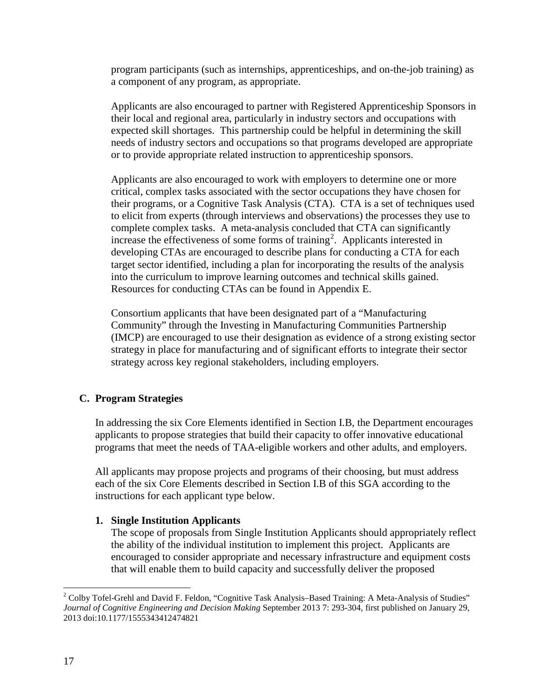program participants (such as internships, apprenticeships, and on-the-job training) as a component of any program, as appropriate.

Applicants are also encouraged to partner with Registered Apprenticeship Sponsors in their local and regional area, particularly in industry sectors and occupations with expected skill shortages. This partnership could be helpful in determining the skill needs of industry sectors and occupations so that programs developed are appropriate or to provide appropriate related instruction to apprenticeship sponsors.

Applicants are also encouraged to work with employers to determine one or more critical, complex tasks associated with the sector occupations they have chosen for their programs, or a Cognitive Task Analysis (CTA). CTA is a set of techniques used to elicit from experts (through interviews and observations) the processes they use to complete complex tasks. A meta-analysis concluded that CTA can significantly increase the effectiveness of some forms of training<sup>[2](#page-9-0)</sup>. Applicants interested in developing CTAs are encouraged to describe plans for conducting a CTA for each target sector identified, including a plan for incorporating the results of the analysis into the curriculum to improve learning outcomes and technical skills gained. Resources for conducting CTAs can be found in Appendix E.

Consortium applicants that have been designated part of a "Manufacturing Community" through the Investing in Manufacturing Communities Partnership (IMCP) are encouraged to use their designation as evidence of a strong existing sector strategy in place for manufacturing and of significant efforts to integrate their sector strategy across key regional stakeholders, including employers.

## **C. Program Strategies**

In addressing the six Core Elements identified in Section I.B, the Department encourages applicants to propose strategies that build their capacity to offer innovative educational programs that meet the needs of TAA-eligible workers and other adults, and employers.

All applicants may propose projects and programs of their choosing, but must address each of the six Core Elements described in Section I.B of this SGA according to the instructions for each applicant type below.

## **1. Single Institution Applicants**

The scope of proposals from Single Institution Applicants should appropriately reflect the ability of the individual institution to implement this project. Applicants are encouraged to consider appropriate and necessary infrastructure and equipment costs that will enable them to build capacity and successfully deliver the proposed

<sup>&</sup>lt;sup>2</sup> Colby Tofel-Grehl and David F. Feldon, "Cognitive Task Analysis–Based Training: A Meta-Analysis of Studies" *Journal of Cognitive Engineering and Decision Making* September 2013 7: 293-304, first published on January 29, 2013 doi:10.1177/1555343412474821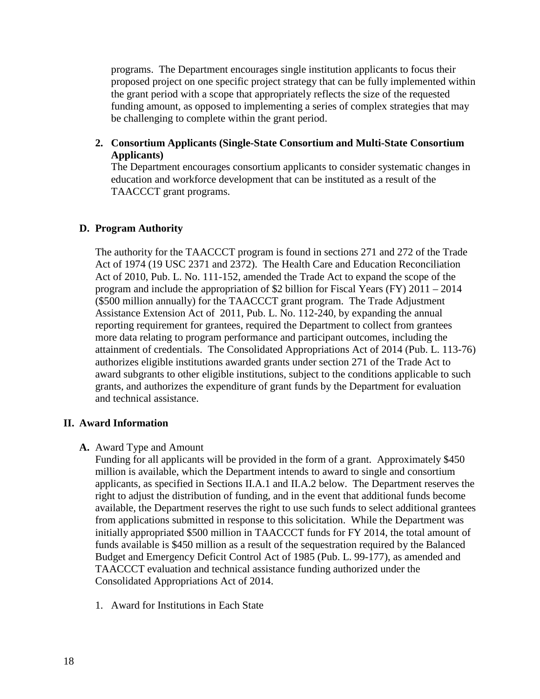programs. The Department encourages single institution applicants to focus their proposed project on one specific project strategy that can be fully implemented within the grant period with a scope that appropriately reflects the size of the requested funding amount, as opposed to implementing a series of complex strategies that may be challenging to complete within the grant period.

**2. Consortium Applicants (Single-State Consortium and Multi-State Consortium Applicants)**

The Department encourages consortium applicants to consider systematic changes in education and workforce development that can be instituted as a result of the TAACCCT grant programs.

## **D. Program Authority**

The authority for the TAACCCT program is found in sections 271 and 272 of the Trade Act of 1974 (19 USC 2371 and 2372). The Health Care and Education Reconciliation Act of 2010, Pub. L. No. 111-152, amended the Trade Act to expand the scope of the program and include the appropriation of \$2 billion for Fiscal Years (FY) 2011 – 2014 (\$500 million annually) for the TAACCCT grant program. The Trade Adjustment Assistance Extension Act of 2011, Pub. L. No. 112-240, by expanding the annual reporting requirement for grantees, required the Department to collect from grantees more data relating to program performance and participant outcomes, including the attainment of credentials. The Consolidated Appropriations Act of 2014 (Pub. L. 113-76) authorizes eligible institutions awarded grants under section 271 of the Trade Act to award subgrants to other eligible institutions, subject to the conditions applicable to such grants, and authorizes the expenditure of grant funds by the Department for evaluation and technical assistance.

## **II. Award Information**

**A.** Award Type and Amount

Funding for all applicants will be provided in the form of a grant. Approximately \$450 million is available, which the Department intends to award to single and consortium applicants, as specified in Sections II.A.1 and II.A.2 below. The Department reserves the right to adjust the distribution of funding, and in the event that additional funds become available, the Department reserves the right to use such funds to select additional grantees from applications submitted in response to this solicitation. While the Department was initially appropriated \$500 million in TAACCCT funds for FY 2014, the total amount of funds available is \$450 million as a result of the sequestration required by the Balanced Budget and Emergency Deficit Control Act of 1985 (Pub. L. 99-177), as amended and TAACCCT evaluation and technical assistance funding authorized under the Consolidated Appropriations Act of 2014.

1. Award for Institutions in Each State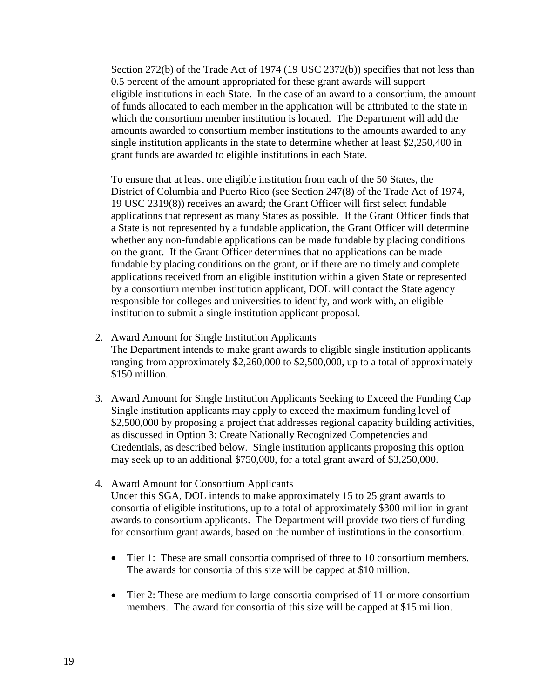Section 272(b) of the Trade Act of 1974 (19 USC 2372(b)) specifies that not less than 0.5 percent of the amount appropriated for these grant awards will support eligible institutions in each State. In the case of an award to a consortium, the amount of funds allocated to each member in the application will be attributed to the state in which the consortium member institution is located. The Department will add the amounts awarded to consortium member institutions to the amounts awarded to any single institution applicants in the state to determine whether at least \$2,250,400 in grant funds are awarded to eligible institutions in each State.

To ensure that at least one eligible institution from each of the 50 States, the District of Columbia and Puerto Rico (see Section 247(8) of the Trade Act of 1974, 19 USC 2319(8)) receives an award; the Grant Officer will first select fundable applications that represent as many States as possible. If the Grant Officer finds that a State is not represented by a fundable application, the Grant Officer will determine whether any non-fundable applications can be made fundable by placing conditions on the grant. If the Grant Officer determines that no applications can be made fundable by placing conditions on the grant, or if there are no timely and complete applications received from an eligible institution within a given State or represented by a consortium member institution applicant, DOL will contact the State agency responsible for colleges and universities to identify, and work with, an eligible institution to submit a single institution applicant proposal.

- 2. Award Amount for Single Institution Applicants The Department intends to make grant awards to eligible single institution applicants ranging from approximately \$2,260,000 to \$2,500,000, up to a total of approximately \$150 million.
- 3. Award Amount for Single Institution Applicants Seeking to Exceed the Funding Cap Single institution applicants may apply to exceed the maximum funding level of \$2,500,000 by proposing a project that addresses regional capacity building activities, as discussed in Option 3: Create Nationally Recognized Competencies and Credentials, as described below. Single institution applicants proposing this option may seek up to an additional \$750,000, for a total grant award of \$3,250,000.
- 4. Award Amount for Consortium Applicants Under this SGA, DOL intends to make approximately 15 to 25 grant awards to consortia of eligible institutions, up to a total of approximately \$300 million in grant awards to consortium applicants. The Department will provide two tiers of funding for consortium grant awards, based on the number of institutions in the consortium.
	- Tier 1: These are small consortia comprised of three to 10 consortium members. The awards for consortia of this size will be capped at \$10 million.
	- Tier 2: These are medium to large consortia comprised of 11 or more consortium members. The award for consortia of this size will be capped at \$15 million.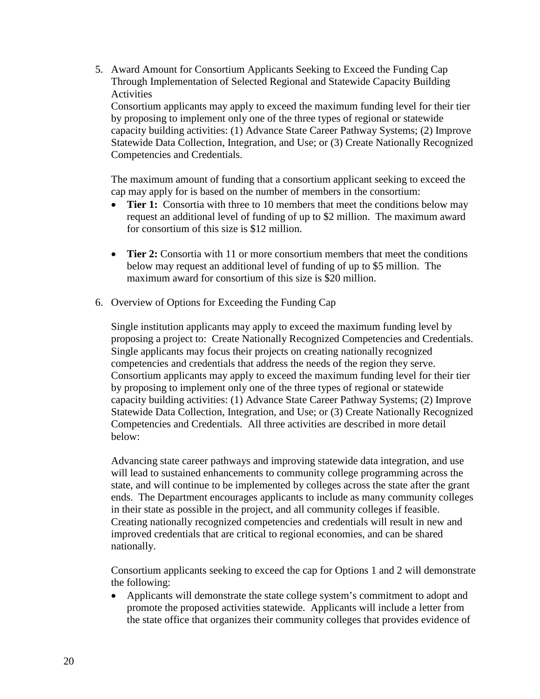5. Award Amount for Consortium Applicants Seeking to Exceed the Funding Cap Through Implementation of Selected Regional and Statewide Capacity Building **Activities** 

Consortium applicants may apply to exceed the maximum funding level for their tier by proposing to implement only one of the three types of regional or statewide capacity building activities: (1) Advance State Career Pathway Systems; (2) Improve Statewide Data Collection, Integration, and Use; or (3) Create Nationally Recognized Competencies and Credentials.

The maximum amount of funding that a consortium applicant seeking to exceed the cap may apply for is based on the number of members in the consortium:

- **Tier 1:** Consortia with three to 10 members that meet the conditions below may request an additional level of funding of up to \$2 million. The maximum award for consortium of this size is \$12 million.
- **Tier 2:** Consortia with 11 or more consortium members that meet the conditions below may request an additional level of funding of up to \$5 million. The maximum award for consortium of this size is \$20 million.
- 6. Overview of Options for Exceeding the Funding Cap

Single institution applicants may apply to exceed the maximum funding level by proposing a project to: Create Nationally Recognized Competencies and Credentials. Single applicants may focus their projects on creating nationally recognized competencies and credentials that address the needs of the region they serve. Consortium applicants may apply to exceed the maximum funding level for their tier by proposing to implement only one of the three types of regional or statewide capacity building activities: (1) Advance State Career Pathway Systems; (2) Improve Statewide Data Collection, Integration, and Use; or (3) Create Nationally Recognized Competencies and Credentials. All three activities are described in more detail below:

Advancing state career pathways and improving statewide data integration, and use will lead to sustained enhancements to community college programming across the state, and will continue to be implemented by colleges across the state after the grant ends. The Department encourages applicants to include as many community colleges in their state as possible in the project, and all community colleges if feasible. Creating nationally recognized competencies and credentials will result in new and improved credentials that are critical to regional economies, and can be shared nationally.

Consortium applicants seeking to exceed the cap for Options 1 and 2 will demonstrate the following:

• Applicants will demonstrate the state college system's commitment to adopt and promote the proposed activities statewide. Applicants will include a letter from the state office that organizes their community colleges that provides evidence of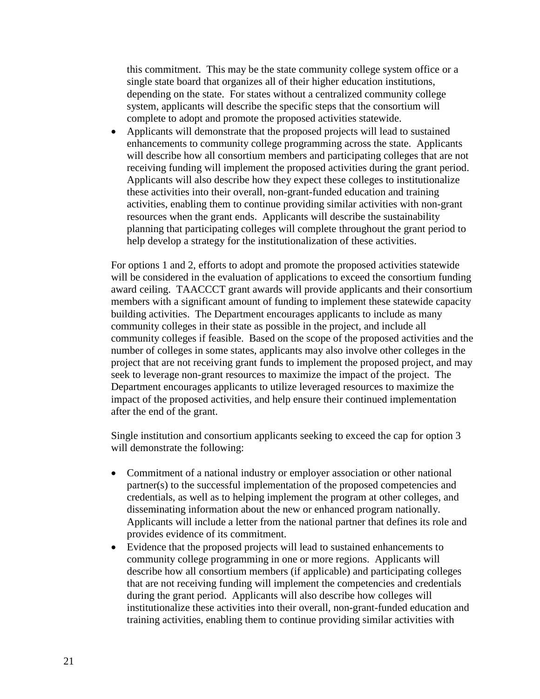this commitment. This may be the state community college system office or a single state board that organizes all of their higher education institutions, depending on the state. For states without a centralized community college system, applicants will describe the specific steps that the consortium will complete to adopt and promote the proposed activities statewide.

• Applicants will demonstrate that the proposed projects will lead to sustained enhancements to community college programming across the state. Applicants will describe how all consortium members and participating colleges that are not receiving funding will implement the proposed activities during the grant period. Applicants will also describe how they expect these colleges to institutionalize these activities into their overall, non-grant-funded education and training activities, enabling them to continue providing similar activities with non-grant resources when the grant ends. Applicants will describe the sustainability planning that participating colleges will complete throughout the grant period to help develop a strategy for the institutionalization of these activities.

For options 1 and 2, efforts to adopt and promote the proposed activities statewide will be considered in the evaluation of applications to exceed the consortium funding award ceiling. TAACCCT grant awards will provide applicants and their consortium members with a significant amount of funding to implement these statewide capacity building activities. The Department encourages applicants to include as many community colleges in their state as possible in the project, and include all community colleges if feasible. Based on the scope of the proposed activities and the number of colleges in some states, applicants may also involve other colleges in the project that are not receiving grant funds to implement the proposed project, and may seek to leverage non-grant resources to maximize the impact of the project. The Department encourages applicants to utilize leveraged resources to maximize the impact of the proposed activities, and help ensure their continued implementation after the end of the grant.

Single institution and consortium applicants seeking to exceed the cap for option 3 will demonstrate the following:

- Commitment of a national industry or employer association or other national partner(s) to the successful implementation of the proposed competencies and credentials, as well as to helping implement the program at other colleges, and disseminating information about the new or enhanced program nationally. Applicants will include a letter from the national partner that defines its role and provides evidence of its commitment.
- Evidence that the proposed projects will lead to sustained enhancements to community college programming in one or more regions. Applicants will describe how all consortium members (if applicable) and participating colleges that are not receiving funding will implement the competencies and credentials during the grant period. Applicants will also describe how colleges will institutionalize these activities into their overall, non-grant-funded education and training activities, enabling them to continue providing similar activities with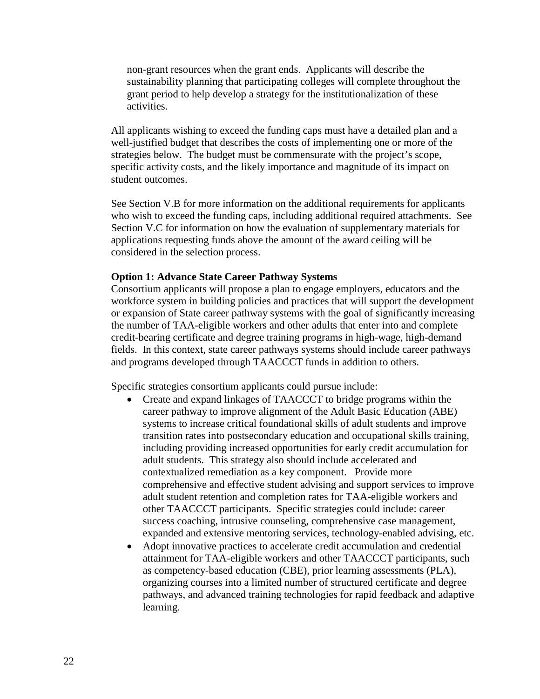non-grant resources when the grant ends. Applicants will describe the sustainability planning that participating colleges will complete throughout the grant period to help develop a strategy for the institutionalization of these activities.

All applicants wishing to exceed the funding caps must have a detailed plan and a well-justified budget that describes the costs of implementing one or more of the strategies below. The budget must be commensurate with the project's scope, specific activity costs, and the likely importance and magnitude of its impact on student outcomes.

See Section V.B for more information on the additional requirements for applicants who wish to exceed the funding caps, including additional required attachments. See Section V.C for information on how the evaluation of supplementary materials for applications requesting funds above the amount of the award ceiling will be considered in the selection process.

#### **Option 1: Advance State Career Pathway Systems**

Consortium applicants will propose a plan to engage employers, educators and the workforce system in building policies and practices that will support the development or expansion of State career pathway systems with the goal of significantly increasing the number of TAA-eligible workers and other adults that enter into and complete credit-bearing certificate and degree training programs in high-wage, high-demand fields. In this context, state career pathways systems should include career pathways and programs developed through TAACCCT funds in addition to others.

Specific strategies consortium applicants could pursue include:

- Create and expand linkages of TAACCCT to bridge programs within the career pathway to improve alignment of the Adult Basic Education (ABE) systems to increase critical foundational skills of adult students and improve transition rates into postsecondary education and occupational skills training, including providing increased opportunities for early credit accumulation for adult students. This strategy also should include accelerated and contextualized remediation as a key component. Provide more comprehensive and effective student advising and support services to improve adult student retention and completion rates for TAA-eligible workers and other TAACCCT participants. Specific strategies could include: career success coaching, intrusive counseling, comprehensive case management, expanded and extensive mentoring services, technology-enabled advising, etc.
- Adopt innovative practices to accelerate credit accumulation and credential attainment for TAA-eligible workers and other TAACCCT participants, such as competency-based education (CBE), prior learning assessments (PLA), organizing courses into a limited number of structured certificate and degree pathways, and advanced training technologies for rapid feedback and adaptive learning.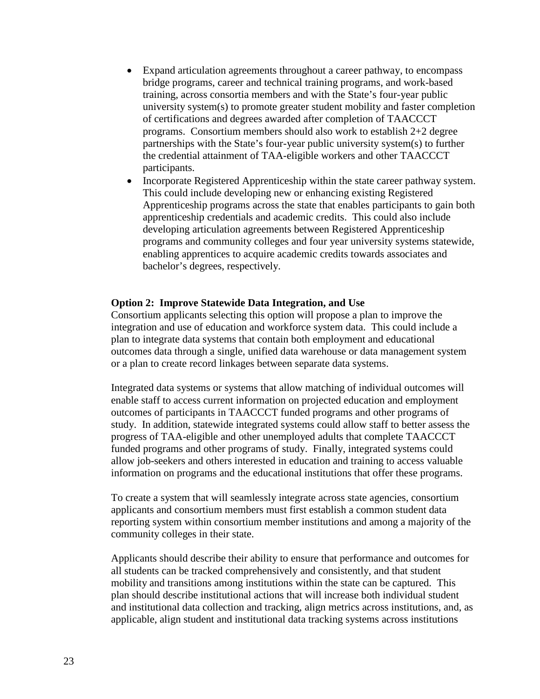- Expand articulation agreements throughout a career pathway, to encompass bridge programs, career and technical training programs, and work-based training, across consortia members and with the State's four-year public university system(s) to promote greater student mobility and faster completion of certifications and degrees awarded after completion of TAACCCT programs. Consortium members should also work to establish 2+2 degree partnerships with the State's four-year public university system(s) to further the credential attainment of TAA-eligible workers and other TAACCCT participants.
- Incorporate Registered Apprenticeship within the state career pathway system. This could include developing new or enhancing existing Registered Apprenticeship programs across the state that enables participants to gain both apprenticeship credentials and academic credits. This could also include developing articulation agreements between Registered Apprenticeship programs and community colleges and four year university systems statewide, enabling apprentices to acquire academic credits towards associates and bachelor's degrees, respectively.

#### **Option 2: Improve Statewide Data Integration, and Use**

Consortium applicants selecting this option will propose a plan to improve the integration and use of education and workforce system data. This could include a plan to integrate data systems that contain both employment and educational outcomes data through a single, unified data warehouse or data management system or a plan to create record linkages between separate data systems.

Integrated data systems or systems that allow matching of individual outcomes will enable staff to access current information on projected education and employment outcomes of participants in TAACCCT funded programs and other programs of study. In addition, statewide integrated systems could allow staff to better assess the progress of TAA-eligible and other unemployed adults that complete TAACCCT funded programs and other programs of study. Finally, integrated systems could allow job-seekers and others interested in education and training to access valuable information on programs and the educational institutions that offer these programs.

To create a system that will seamlessly integrate across state agencies, consortium applicants and consortium members must first establish a common student data reporting system within consortium member institutions and among a majority of the community colleges in their state.

Applicants should describe their ability to ensure that performance and outcomes for all students can be tracked comprehensively and consistently, and that student mobility and transitions among institutions within the state can be captured. This plan should describe institutional actions that will increase both individual student and institutional data collection and tracking, align metrics across institutions, and, as applicable, align student and institutional data tracking systems across institutions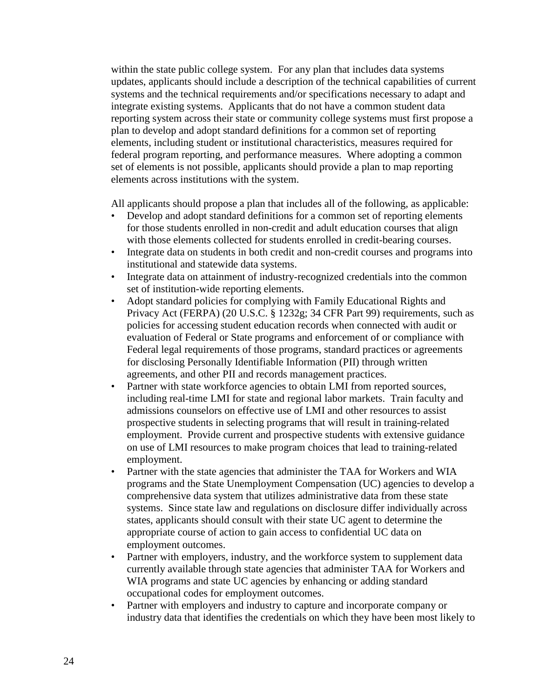within the state public college system. For any plan that includes data systems updates, applicants should include a description of the technical capabilities of current systems and the technical requirements and/or specifications necessary to adapt and integrate existing systems. Applicants that do not have a common student data reporting system across their state or community college systems must first propose a plan to develop and adopt standard definitions for a common set of reporting elements, including student or institutional characteristics, measures required for federal program reporting, and performance measures. Where adopting a common set of elements is not possible, applicants should provide a plan to map reporting elements across institutions with the system.

All applicants should propose a plan that includes all of the following, as applicable:

- Develop and adopt standard definitions for a common set of reporting elements for those students enrolled in non-credit and adult education courses that align with those elements collected for students enrolled in credit-bearing courses.
- Integrate data on students in both credit and non-credit courses and programs into institutional and statewide data systems.
- Integrate data on attainment of industry-recognized credentials into the common set of institution-wide reporting elements.
- Adopt standard policies for complying with Family Educational Rights and Privacy Act (FERPA) (20 U.S.C. § 1232g; 34 CFR Part 99) requirements, such as policies for accessing student education records when connected with audit or evaluation of Federal or State programs and enforcement of or compliance with Federal legal requirements of those programs, standard practices or agreements for disclosing Personally Identifiable Information (PII) through written agreements, and other PII and records management practices.
- Partner with state workforce agencies to obtain LMI from reported sources, including real-time LMI for state and regional labor markets. Train faculty and admissions counselors on effective use of LMI and other resources to assist prospective students in selecting programs that will result in training-related employment. Provide current and prospective students with extensive guidance on use of LMI resources to make program choices that lead to training-related employment.
- Partner with the state agencies that administer the TAA for Workers and WIA programs and the State Unemployment Compensation (UC) agencies to develop a comprehensive data system that utilizes administrative data from these state systems. Since state law and regulations on disclosure differ individually across states, applicants should consult with their state UC agent to determine the appropriate course of action to gain access to confidential UC data on employment outcomes.
- Partner with employers, industry, and the workforce system to supplement data currently available through state agencies that administer TAA for Workers and WIA programs and state UC agencies by enhancing or adding standard occupational codes for employment outcomes.
- Partner with employers and industry to capture and incorporate company or industry data that identifies the credentials on which they have been most likely to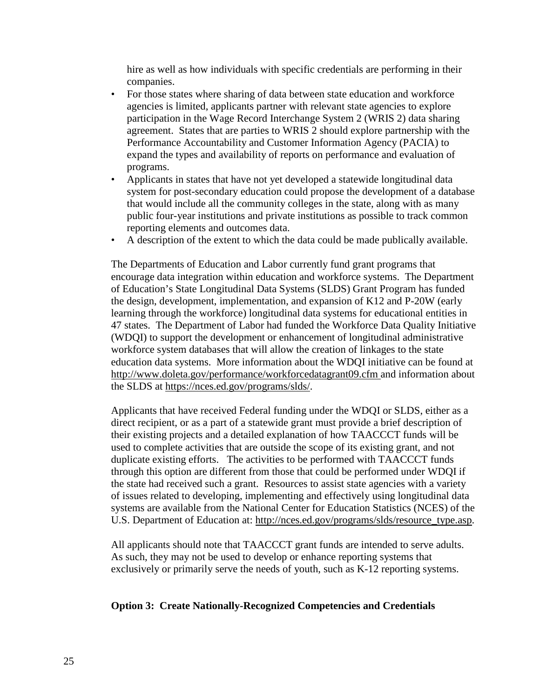hire as well as how individuals with specific credentials are performing in their companies.

- For those states where sharing of data between state education and workforce agencies is limited, applicants partner with relevant state agencies to explore participation in the Wage Record Interchange System 2 (WRIS 2) data sharing agreement. States that are parties to WRIS 2 should explore partnership with the Performance Accountability and Customer Information Agency (PACIA) to expand the types and availability of reports on performance and evaluation of programs.
- Applicants in states that have not yet developed a statewide longitudinal data system for post-secondary education could propose the development of a database that would include all the community colleges in the state, along with as many public four-year institutions and private institutions as possible to track common reporting elements and outcomes data.
- A description of the extent to which the data could be made publically available.

The Departments of Education and Labor currently fund grant programs that encourage data integration within education and workforce systems. The Department of Education's State Longitudinal Data Systems (SLDS) Grant Program has funded the design, development, implementation, and expansion of K12 and P-20W (early learning through the workforce) longitudinal data systems for educational entities in 47 states. The Department of Labor had funded the Workforce Data Quality Initiative (WDQI) to support the development or enhancement of longitudinal administrative workforce system databases that will allow the creation of linkages to the state education data systems. More information about the WDQI initiative can be found at <http://www.doleta.gov/performance/workforcedatagrant09.cfm> and information about the SLDS at [https://nces.ed.gov/programs/slds/.](https://nces.ed.gov/programs/slds/)

Applicants that have received Federal funding under the WDQI or SLDS, either as a direct recipient, or as a part of a statewide grant must provide a brief description of their existing projects and a detailed explanation of how TAACCCT funds will be used to complete activities that are outside the scope of its existing grant, and not duplicate existing efforts. The activities to be performed with TAACCCT funds through this option are different from those that could be performed under WDQI if the state had received such a grant. Resources to assist state agencies with a variety of issues related to developing, implementing and effectively using longitudinal data systems are available from the National Center for Education Statistics (NCES) of the U.S. Department of Education at: [http://nces.ed.gov/programs/slds/resource\\_type.asp.](http://nces.ed.gov/programs/slds/resource_type.asp)

All applicants should note that TAACCCT grant funds are intended to serve adults. As such, they may not be used to develop or enhance reporting systems that exclusively or primarily serve the needs of youth, such as K-12 reporting systems.

## **Option 3: Create Nationally-Recognized Competencies and Credentials**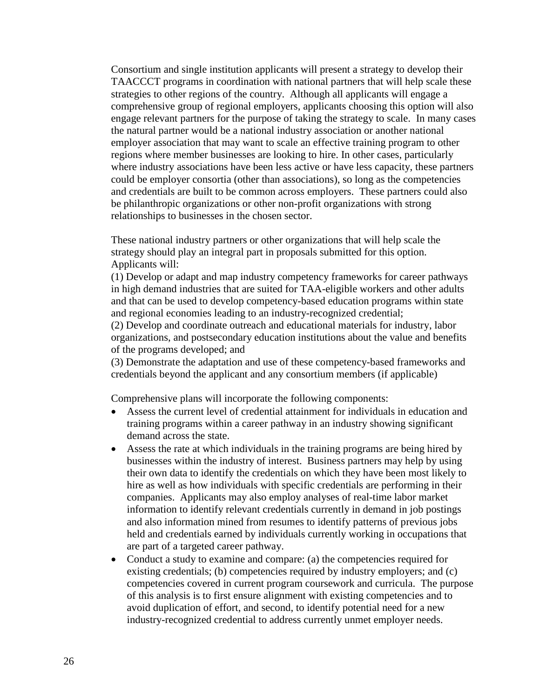Consortium and single institution applicants will present a strategy to develop their TAACCCT programs in coordination with national partners that will help scale these strategies to other regions of the country. Although all applicants will engage a comprehensive group of regional employers, applicants choosing this option will also engage relevant partners for the purpose of taking the strategy to scale. In many cases the natural partner would be a national industry association or another national employer association that may want to scale an effective training program to other regions where member businesses are looking to hire. In other cases, particularly where industry associations have been less active or have less capacity, these partners could be employer consortia (other than associations), so long as the competencies and credentials are built to be common across employers. These partners could also be philanthropic organizations or other non-profit organizations with strong relationships to businesses in the chosen sector.

These national industry partners or other organizations that will help scale the strategy should play an integral part in proposals submitted for this option. Applicants will:

(1) Develop or adapt and map industry competency frameworks for career pathways in high demand industries that are suited for TAA-eligible workers and other adults and that can be used to develop competency-based education programs within state and regional economies leading to an industry-recognized credential;

(2) Develop and coordinate outreach and educational materials for industry, labor organizations, and postsecondary education institutions about the value and benefits of the programs developed; and

(3) Demonstrate the adaptation and use of these competency-based frameworks and credentials beyond the applicant and any consortium members (if applicable)

Comprehensive plans will incorporate the following components:

- Assess the current level of credential attainment for individuals in education and training programs within a career pathway in an industry showing significant demand across the state.
- Assess the rate at which individuals in the training programs are being hired by businesses within the industry of interest. Business partners may help by using their own data to identify the credentials on which they have been most likely to hire as well as how individuals with specific credentials are performing in their companies. Applicants may also employ analyses of real-time labor market information to identify relevant credentials currently in demand in job postings and also information mined from resumes to identify patterns of previous jobs held and credentials earned by individuals currently working in occupations that are part of a targeted career pathway.
- Conduct a study to examine and compare: (a) the competencies required for existing credentials; (b) competencies required by industry employers; and (c) competencies covered in current program coursework and curricula. The purpose of this analysis is to first ensure alignment with existing competencies and to avoid duplication of effort, and second, to identify potential need for a new industry-recognized credential to address currently unmet employer needs.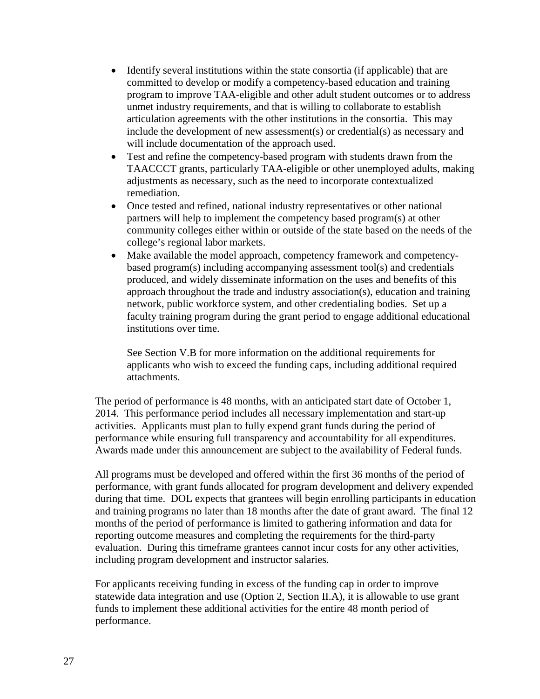- Identify several institutions within the state consortia (if applicable) that are committed to develop or modify a competency-based education and training program to improve TAA-eligible and other adult student outcomes or to address unmet industry requirements, and that is willing to collaborate to establish articulation agreements with the other institutions in the consortia. This may include the development of new assessment(s) or credential(s) as necessary and will include documentation of the approach used.
- Test and refine the competency-based program with students drawn from the TAACCCT grants, particularly TAA-eligible or other unemployed adults, making adjustments as necessary, such as the need to incorporate contextualized remediation.
- Once tested and refined, national industry representatives or other national partners will help to implement the competency based program(s) at other community colleges either within or outside of the state based on the needs of the college's regional labor markets.
- Make available the model approach, competency framework and competencybased program(s) including accompanying assessment tool(s) and credentials produced, and widely disseminate information on the uses and benefits of this approach throughout the trade and industry association(s), education and training network, public workforce system, and other credentialing bodies. Set up a faculty training program during the grant period to engage additional educational institutions over time.

See Section V.B for more information on the additional requirements for applicants who wish to exceed the funding caps, including additional required attachments.

The period of performance is 48 months, with an anticipated start date of October 1, 2014. This performance period includes all necessary implementation and start-up activities. Applicants must plan to fully expend grant funds during the period of performance while ensuring full transparency and accountability for all expenditures. Awards made under this announcement are subject to the availability of Federal funds.

All programs must be developed and offered within the first 36 months of the period of performance, with grant funds allocated for program development and delivery expended during that time. DOL expects that grantees will begin enrolling participants in education and training programs no later than 18 months after the date of grant award. The final 12 months of the period of performance is limited to gathering information and data for reporting outcome measures and completing the requirements for the third-party evaluation. During this timeframe grantees cannot incur costs for any other activities, including program development and instructor salaries.

For applicants receiving funding in excess of the funding cap in order to improve statewide data integration and use (Option 2, Section II.A), it is allowable to use grant funds to implement these additional activities for the entire 48 month period of performance.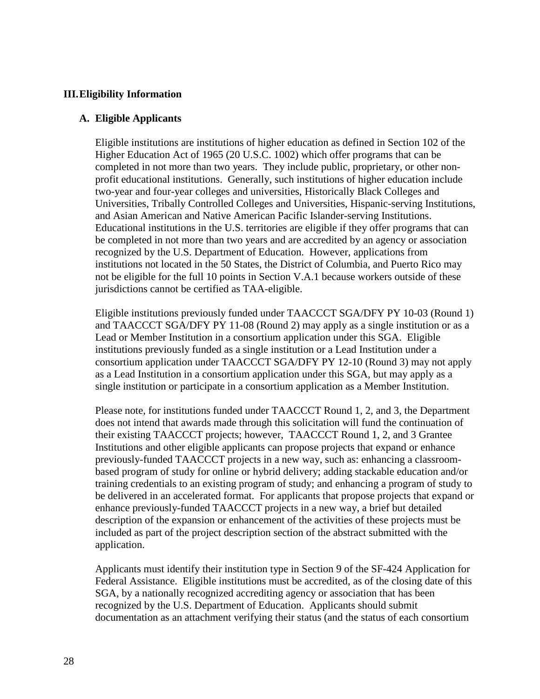### **III.Eligibility Information**

#### **A. Eligible Applicants**

Eligible institutions are institutions of higher education as defined in Section 102 of the Higher Education Act of 1965 (20 U.S.C. 1002) which offer programs that can be completed in not more than two years. They include public, proprietary, or other nonprofit educational institutions. Generally, such institutions of higher education include two-year and four-year colleges and universities, Historically Black Colleges and Universities, Tribally Controlled Colleges and Universities, Hispanic-serving Institutions, and Asian American and Native American Pacific Islander-serving Institutions. Educational institutions in the U.S. territories are eligible if they offer programs that can be completed in not more than two years and are accredited by an agency or association recognized by the U.S. Department of Education. However, applications from institutions not located in the 50 States, the District of Columbia, and Puerto Rico may not be eligible for the full 10 points in Section V.A.1 because workers outside of these jurisdictions cannot be certified as TAA-eligible.

Eligible institutions previously funded under TAACCCT SGA/DFY PY 10-03 (Round 1) and TAACCCT SGA/DFY PY 11-08 (Round 2) may apply as a single institution or as a Lead or Member Institution in a consortium application under this SGA. Eligible institutions previously funded as a single institution or a Lead Institution under a consortium application under TAACCCT SGA/DFY PY 12-10 (Round 3) may not apply as a Lead Institution in a consortium application under this SGA, but may apply as a single institution or participate in a consortium application as a Member Institution.

Please note, for institutions funded under TAACCCT Round 1, 2, and 3, the Department does not intend that awards made through this solicitation will fund the continuation of their existing TAACCCT projects; however, TAACCCT Round 1, 2, and 3 Grantee Institutions and other eligible applicants can propose projects that expand or enhance previously-funded TAACCCT projects in a new way, such as: enhancing a classroombased program of study for online or hybrid delivery; adding stackable education and/or training credentials to an existing program of study; and enhancing a program of study to be delivered in an accelerated format. For applicants that propose projects that expand or enhance previously-funded TAACCCT projects in a new way, a brief but detailed description of the expansion or enhancement of the activities of these projects must be included as part of the project description section of the abstract submitted with the application.

Applicants must identify their institution type in Section 9 of the SF-424 Application for Federal Assistance. Eligible institutions must be accredited, as of the closing date of this SGA, by a nationally recognized accrediting agency or association that has been recognized by the U.S. Department of Education. Applicants should submit documentation as an attachment verifying their status (and the status of each consortium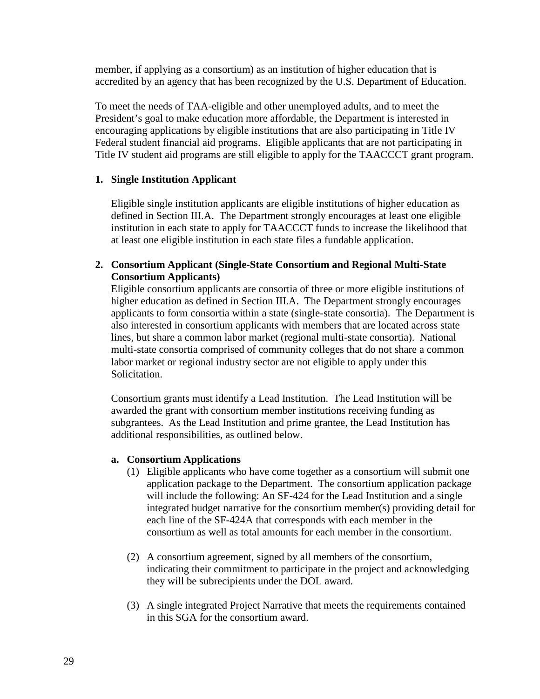member, if applying as a consortium) as an institution of higher education that is accredited by an agency that has been recognized by the U.S. Department of Education.

To meet the needs of TAA-eligible and other unemployed adults, and to meet the President's goal to make education more affordable, the Department is interested in encouraging applications by eligible institutions that are also participating in Title IV Federal student financial aid programs. Eligible applicants that are not participating in Title IV student aid programs are still eligible to apply for the TAACCCT grant program.

## **1. Single Institution Applicant**

Eligible single institution applicants are eligible institutions of higher education as defined in Section III.A. The Department strongly encourages at least one eligible institution in each state to apply for TAACCCT funds to increase the likelihood that at least one eligible institution in each state files a fundable application.

## **2. Consortium Applicant (Single-State Consortium and Regional Multi-State Consortium Applicants)**

Eligible consortium applicants are consortia of three or more eligible institutions of higher education as defined in Section III.A. The Department strongly encourages applicants to form consortia within a state (single-state consortia). The Department is also interested in consortium applicants with members that are located across state lines, but share a common labor market (regional multi-state consortia). National multi-state consortia comprised of community colleges that do not share a common labor market or regional industry sector are not eligible to apply under this Solicitation.

Consortium grants must identify a Lead Institution. The Lead Institution will be awarded the grant with consortium member institutions receiving funding as subgrantees. As the Lead Institution and prime grantee, the Lead Institution has additional responsibilities, as outlined below.

## **a. Consortium Applications**

- (1) Eligible applicants who have come together as a consortium will submit one application package to the Department. The consortium application package will include the following: An SF-424 for the Lead Institution and a single integrated budget narrative for the consortium member(s) providing detail for each line of the SF-424A that corresponds with each member in the consortium as well as total amounts for each member in the consortium.
- (2) A consortium agreement, signed by all members of the consortium, indicating their commitment to participate in the project and acknowledging they will be subrecipients under the DOL award.
- (3) A single integrated Project Narrative that meets the requirements contained in this SGA for the consortium award.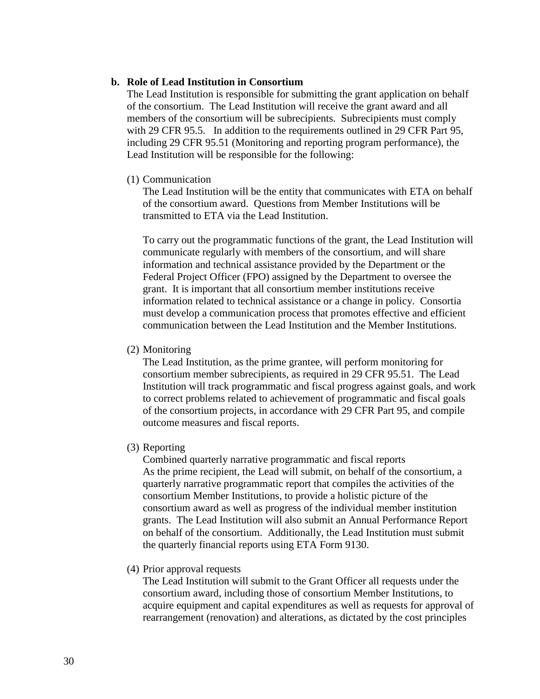#### **b. Role of Lead Institution in Consortium**

The Lead Institution is responsible for submitting the grant application on behalf of the consortium. The Lead Institution will receive the grant award and all members of the consortium will be subrecipients. Subrecipients must comply with 29 CFR 95.5. In addition to the requirements outlined in 29 CFR Part 95, including 29 CFR 95.51 (Monitoring and reporting program performance), the Lead Institution will be responsible for the following:

#### (1) Communication

The Lead Institution will be the entity that communicates with ETA on behalf of the consortium award. Questions from Member Institutions will be transmitted to ETA via the Lead Institution.

To carry out the programmatic functions of the grant, the Lead Institution will communicate regularly with members of the consortium, and will share information and technical assistance provided by the Department or the Federal Project Officer (FPO) assigned by the Department to oversee the grant. It is important that all consortium member institutions receive information related to technical assistance or a change in policy. Consortia must develop a communication process that promotes effective and efficient communication between the Lead Institution and the Member Institutions.

#### (2) Monitoring

The Lead Institution, as the prime grantee, will perform monitoring for consortium member subrecipients, as required in 29 CFR 95.51. The Lead Institution will track programmatic and fiscal progress against goals, and work to correct problems related to achievement of programmatic and fiscal goals of the consortium projects, in accordance with 29 CFR Part 95, and compile outcome measures and fiscal reports.

#### (3) Reporting

Combined quarterly narrative programmatic and fiscal reports As the prime recipient, the Lead will submit, on behalf of the consortium, a quarterly narrative programmatic report that compiles the activities of the consortium Member Institutions, to provide a holistic picture of the consortium award as well as progress of the individual member institution grants. The Lead Institution will also submit an Annual Performance Report on behalf of the consortium. Additionally, the Lead Institution must submit the quarterly financial reports using ETA Form 9130.

#### (4) Prior approval requests

The Lead Institution will submit to the Grant Officer all requests under the consortium award, including those of consortium Member Institutions, to acquire equipment and capital expenditures as well as requests for approval of rearrangement (renovation) and alterations, as dictated by the cost principles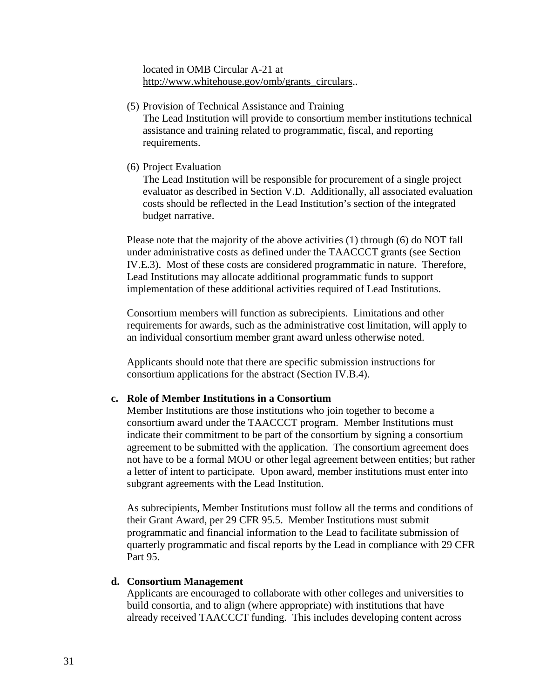located in OMB Circular A-21 at [http://www.whitehouse.gov/omb/grants\\_circulars.](http://www.whitehouse.gov/omb/grants_circulars).

- (5) Provision of Technical Assistance and Training The Lead Institution will provide to consortium member institutions technical assistance and training related to programmatic, fiscal, and reporting requirements.
- (6) Project Evaluation

The Lead Institution will be responsible for procurement of a single project evaluator as described in Section V.D. Additionally, all associated evaluation costs should be reflected in the Lead Institution's section of the integrated budget narrative.

Please note that the majority of the above activities (1) through (6) do NOT fall under administrative costs as defined under the TAACCCT grants (see Section IV.E.3). Most of these costs are considered programmatic in nature. Therefore, Lead Institutions may allocate additional programmatic funds to support implementation of these additional activities required of Lead Institutions.

Consortium members will function as subrecipients. Limitations and other requirements for awards, such as the administrative cost limitation, will apply to an individual consortium member grant award unless otherwise noted.

Applicants should note that there are specific submission instructions for consortium applications for the abstract (Section IV.B.4).

### **c. Role of Member Institutions in a Consortium**

Member Institutions are those institutions who join together to become a consortium award under the TAACCCT program. Member Institutions must indicate their commitment to be part of the consortium by signing a consortium agreement to be submitted with the application. The consortium agreement does not have to be a formal MOU or other legal agreement between entities; but rather a letter of intent to participate. Upon award, member institutions must enter into subgrant agreements with the Lead Institution.

As subrecipients, Member Institutions must follow all the terms and conditions of their Grant Award, per 29 CFR 95.5. Member Institutions must submit programmatic and financial information to the Lead to facilitate submission of quarterly programmatic and fiscal reports by the Lead in compliance with 29 CFR Part 95.

### **d. Consortium Management**

Applicants are encouraged to collaborate with other colleges and universities to build consortia, and to align (where appropriate) with institutions that have already received TAACCCT funding. This includes developing content across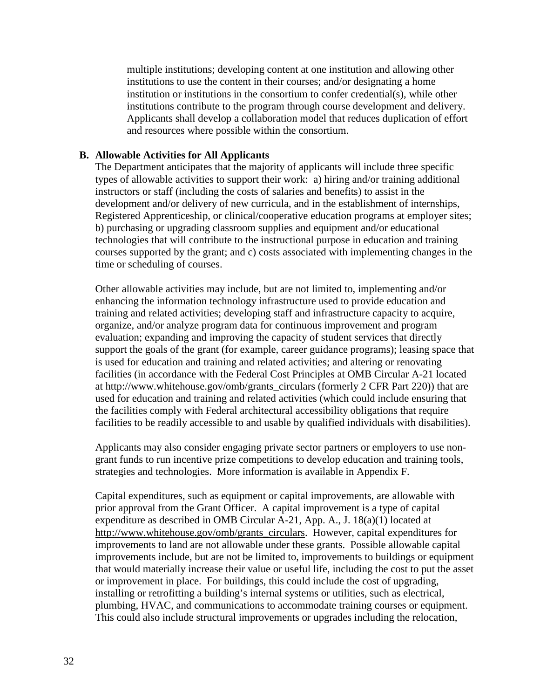multiple institutions; developing content at one institution and allowing other institutions to use the content in their courses; and/or designating a home institution or institutions in the consortium to confer credential(s), while other institutions contribute to the program through course development and delivery. Applicants shall develop a collaboration model that reduces duplication of effort and resources where possible within the consortium.

### **B. Allowable Activities for All Applicants**

The Department anticipates that the majority of applicants will include three specific types of allowable activities to support their work: a) hiring and/or training additional instructors or staff (including the costs of salaries and benefits) to assist in the development and/or delivery of new curricula, and in the establishment of internships, Registered Apprenticeship, or clinical/cooperative education programs at employer sites; b) purchasing or upgrading classroom supplies and equipment and/or educational technologies that will contribute to the instructional purpose in education and training courses supported by the grant; and c) costs associated with implementing changes in the time or scheduling of courses.

Other allowable activities may include, but are not limited to, implementing and/or enhancing the information technology infrastructure used to provide education and training and related activities; developing staff and infrastructure capacity to acquire, organize, and/or analyze program data for continuous improvement and program evaluation; expanding and improving the capacity of student services that directly support the goals of the grant (for example, career guidance programs); leasing space that is used for education and training and related activities; and altering or renovating facilities (in accordance with the Federal Cost Principles at OMB Circular A-21 located at http://www.whitehouse.gov/omb/grants\_circulars (formerly 2 CFR Part 220)) that are used for education and training and related activities (which could include ensuring that the facilities comply with Federal architectural accessibility obligations that require facilities to be readily accessible to and usable by qualified individuals with disabilities).

Applicants may also consider engaging private sector partners or employers to use nongrant funds to run incentive prize competitions to develop education and training tools, strategies and technologies. More information is available in Appendix F.

Capital expenditures, such as equipment or capital improvements, are allowable with prior approval from the Grant Officer. A capital improvement is a type of capital expenditure as described in OMB Circular A-21, App. A., J. 18(a)(1) located at [http://www.whitehouse.gov/omb/grants\\_circulars.](http://www.whitehouse.gov/omb/grants_circulars) However, capital expenditures for improvements to land are not allowable under these grants. Possible allowable capital improvements include, but are not be limited to, improvements to buildings or equipment that would materially increase their value or useful life, including the cost to put the asset or improvement in place. For buildings, this could include the cost of upgrading, installing or retrofitting a building's internal systems or utilities, such as electrical, plumbing, HVAC, and communications to accommodate training courses or equipment. This could also include structural improvements or upgrades including the relocation,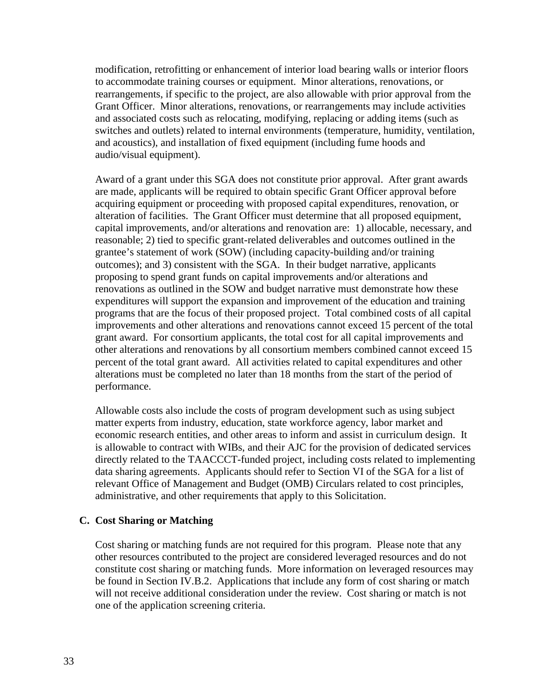modification, retrofitting or enhancement of interior load bearing walls or interior floors to accommodate training courses or equipment. Minor alterations, renovations, or rearrangements, if specific to the project, are also allowable with prior approval from the Grant Officer. Minor alterations, renovations, or rearrangements may include activities and associated costs such as relocating, modifying, replacing or adding items (such as switches and outlets) related to internal environments (temperature, humidity, ventilation, and acoustics), and installation of fixed equipment (including fume hoods and audio/visual equipment).

Award of a grant under this SGA does not constitute prior approval. After grant awards are made, applicants will be required to obtain specific Grant Officer approval before acquiring equipment or proceeding with proposed capital expenditures, renovation, or alteration of facilities. The Grant Officer must determine that all proposed equipment, capital improvements, and/or alterations and renovation are: 1) allocable, necessary, and reasonable; 2) tied to specific grant-related deliverables and outcomes outlined in the grantee's statement of work (SOW) (including capacity-building and/or training outcomes); and 3) consistent with the SGA. In their budget narrative, applicants proposing to spend grant funds on capital improvements and/or alterations and renovations as outlined in the SOW and budget narrative must demonstrate how these expenditures will support the expansion and improvement of the education and training programs that are the focus of their proposed project. Total combined costs of all capital improvements and other alterations and renovations cannot exceed 15 percent of the total grant award. For consortium applicants, the total cost for all capital improvements and other alterations and renovations by all consortium members combined cannot exceed 15 percent of the total grant award. All activities related to capital expenditures and other alterations must be completed no later than 18 months from the start of the period of performance.

Allowable costs also include the costs of program development such as using subject matter experts from industry, education, state workforce agency, labor market and economic research entities, and other areas to inform and assist in curriculum design. It is allowable to contract with WIBs, and their AJC for the provision of dedicated services directly related to the TAACCCT-funded project, including costs related to implementing data sharing agreements. Applicants should refer to Section VI of the SGA for a list of relevant Office of Management and Budget (OMB) Circulars related to cost principles, administrative, and other requirements that apply to this Solicitation.

### **C. Cost Sharing or Matching**

Cost sharing or matching funds are not required for this program. Please note that any other resources contributed to the project are considered leveraged resources and do not constitute cost sharing or matching funds. More information on leveraged resources may be found in Section IV.B.2. Applications that include any form of cost sharing or match will not receive additional consideration under the review. Cost sharing or match is not one of the application screening criteria.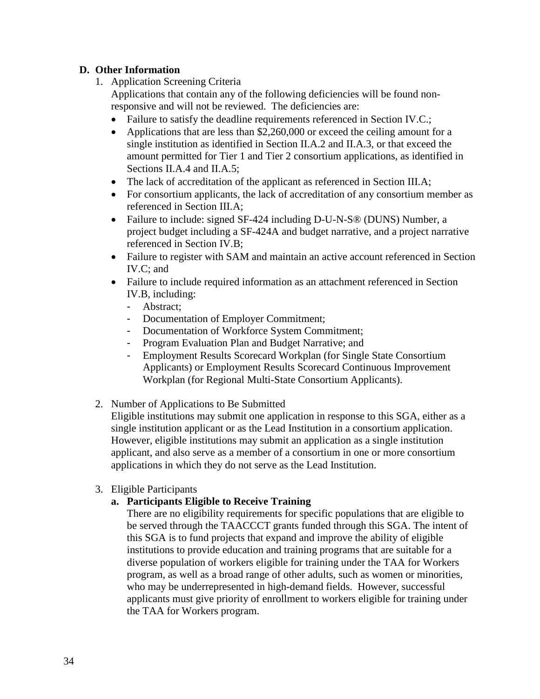## **D. Other Information**

1. Application Screening Criteria

Applications that contain any of the following deficiencies will be found nonresponsive and will not be reviewed. The deficiencies are:

- Failure to satisfy the deadline requirements referenced in Section IV.C.;
- Applications that are less than \$2,260,000 or exceed the ceiling amount for a single institution as identified in Section II.A.2 and II.A.3, or that exceed the amount permitted for Tier 1 and Tier 2 consortium applications, as identified in Sections II.A.4 and II.A.5;
- The lack of accreditation of the applicant as referenced in Section III.A;
- For consortium applicants, the lack of accreditation of any consortium member as referenced in Section III.A;
- Failure to include: signed SF-424 including D-U-N-S® (DUNS) Number, a project budget including a SF-424A and budget narrative, and a project narrative referenced in Section IV.B;
- Failure to register with SAM and maintain an active account referenced in Section IV.C; and
- Failure to include required information as an attachment referenced in Section IV.B, including:
	- Abstract;
	- Documentation of Employer Commitment;
	- Documentation of Workforce System Commitment;
	- Program Evaluation Plan and Budget Narrative; and
	- Employment Results Scorecard Workplan (for Single State Consortium Applicants) or Employment Results Scorecard Continuous Improvement Workplan (for Regional Multi-State Consortium Applicants).
- 2. Number of Applications to Be Submitted

Eligible institutions may submit one application in response to this SGA, either as a single institution applicant or as the Lead Institution in a consortium application. However, eligible institutions may submit an application as a single institution applicant, and also serve as a member of a consortium in one or more consortium applications in which they do not serve as the Lead Institution.

3. Eligible Participants

# **a. Participants Eligible to Receive Training**

There are no eligibility requirements for specific populations that are eligible to be served through the TAACCCT grants funded through this SGA. The intent of this SGA is to fund projects that expand and improve the ability of eligible institutions to provide education and training programs that are suitable for a diverse population of workers eligible for training under the TAA for Workers program, as well as a broad range of other adults, such as women or minorities, who may be underrepresented in high-demand fields. However, successful applicants must give priority of enrollment to workers eligible for training under the TAA for Workers program.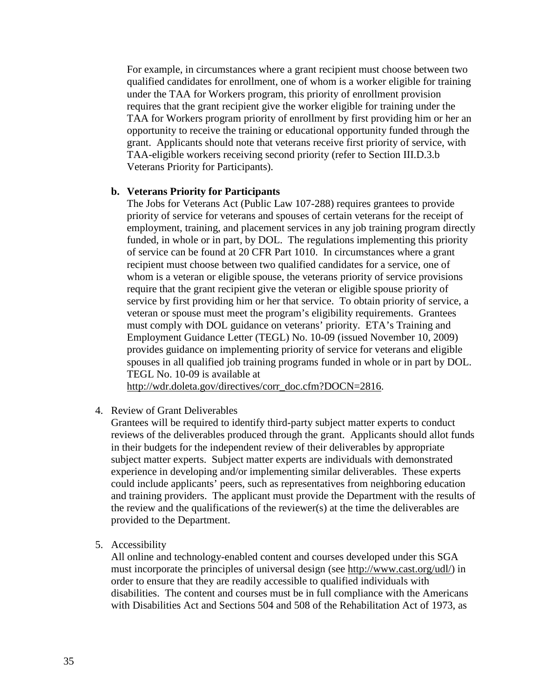For example, in circumstances where a grant recipient must choose between two qualified candidates for enrollment, one of whom is a worker eligible for training under the TAA for Workers program, this priority of enrollment provision requires that the grant recipient give the worker eligible for training under the TAA for Workers program priority of enrollment by first providing him or her an opportunity to receive the training or educational opportunity funded through the grant. Applicants should note that veterans receive first priority of service, with TAA-eligible workers receiving second priority (refer to Section III.D.3.b Veterans Priority for Participants).

### **b. Veterans Priority for Participants**

The Jobs for Veterans Act (Public Law 107-288) requires grantees to provide priority of service for veterans and spouses of certain veterans for the receipt of employment, training, and placement services in any job training program directly funded, in whole or in part, by DOL. The regulations implementing this priority of service can be found at 20 CFR Part 1010. In circumstances where a grant recipient must choose between two qualified candidates for a service, one of whom is a veteran or eligible spouse, the veterans priority of service provisions require that the grant recipient give the veteran or eligible spouse priority of service by first providing him or her that service. To obtain priority of service, a veteran or spouse must meet the program's eligibility requirements. Grantees must comply with DOL guidance on veterans' priority. ETA's Training and Employment Guidance Letter (TEGL) No. 10-09 (issued November 10, 2009) provides guidance on implementing priority of service for veterans and eligible spouses in all qualified job training programs funded in whole or in part by DOL. TEGL No. 10-09 is available at

http://wdr.doleta.gov/directives/corr\_doc.cfm?DOCN=2816.

4. Review of Grant Deliverables

Grantees will be required to identify third-party subject matter experts to conduct reviews of the deliverables produced through the grant. Applicants should allot funds in their budgets for the independent review of their deliverables by appropriate subject matter experts. Subject matter experts are individuals with demonstrated experience in developing and/or implementing similar deliverables. These experts could include applicants' peers, such as representatives from neighboring education and training providers. The applicant must provide the Department with the results of the review and the qualifications of the reviewer(s) at the time the deliverables are provided to the Department.

5. Accessibility

All online and technology-enabled content and courses developed under this SGA must incorporate the principles of universal design (see [http://www.cast.org/udl/\)](http://www.cast.org/udl/) in order to ensure that they are readily accessible to qualified individuals with disabilities. The content and courses must be in full compliance with the Americans with Disabilities Act and Sections 504 and 508 of the Rehabilitation Act of 1973, as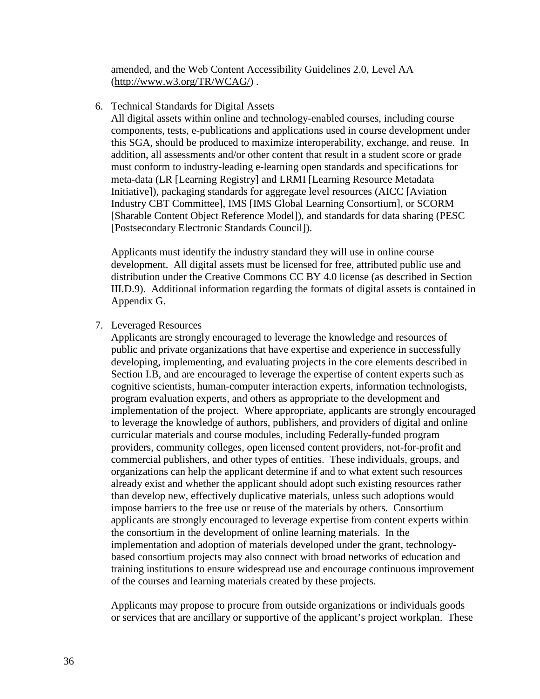amended, and the Web Content Accessibility Guidelines 2.0, Level AA [\(http://www.w3.org/TR/WCAG/\)](http://www.w3.org/TR/WCAG/) .

6. Technical Standards for Digital Assets

All digital assets within online and technology-enabled courses, including course components, tests, e-publications and applications used in course development under this SGA, should be produced to maximize interoperability, exchange, and reuse. In addition, all assessments and/or other content that result in a student score or grade must conform to industry-leading e-learning open standards and specifications for meta-data (LR [Learning Registry] and LRMI [Learning Resource Metadata Initiative]), packaging standards for aggregate level resources (AICC [Aviation Industry CBT Committee], IMS [IMS Global Learning Consortium], or SCORM [Sharable Content Object Reference Model]), and standards for data sharing (PESC [Postsecondary Electronic Standards Council]).

Applicants must identify the industry standard they will use in online course development. All digital assets must be licensed for free, attributed public use and distribution under the Creative Commons CC BY 4.0 license (as described in Section III.D.9). Additional information regarding the formats of digital assets is contained in Appendix G.

7. Leveraged Resources

Applicants are strongly encouraged to leverage the knowledge and resources of public and private organizations that have expertise and experience in successfully developing, implementing, and evaluating projects in the core elements described in Section I.B, and are encouraged to leverage the expertise of content experts such as cognitive scientists, human-computer interaction experts, information technologists, program evaluation experts, and others as appropriate to the development and implementation of the project. Where appropriate, applicants are strongly encouraged to leverage the knowledge of authors, publishers, and providers of digital and online curricular materials and course modules, including Federally-funded program providers, community colleges, open licensed content providers, not-for-profit and commercial publishers, and other types of entities. These individuals, groups, and organizations can help the applicant determine if and to what extent such resources already exist and whether the applicant should adopt such existing resources rather than develop new, effectively duplicative materials, unless such adoptions would impose barriers to the free use or reuse of the materials by others. Consortium applicants are strongly encouraged to leverage expertise from content experts within the consortium in the development of online learning materials. In the implementation and adoption of materials developed under the grant, technologybased consortium projects may also connect with broad networks of education and training institutions to ensure widespread use and encourage continuous improvement of the courses and learning materials created by these projects.

Applicants may propose to procure from outside organizations or individuals goods or services that are ancillary or supportive of the applicant's project workplan. These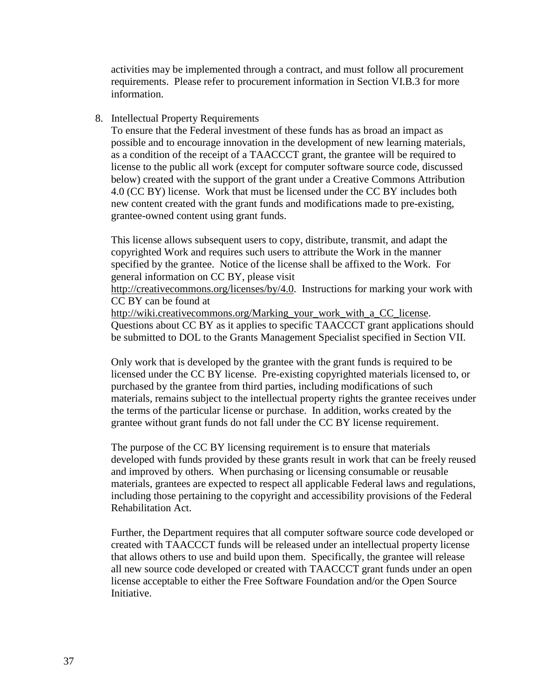activities may be implemented through a contract, and must follow all procurement requirements. Please refer to procurement information in Section VI.B.3 for more information.

### 8. Intellectual Property Requirements

To ensure that the Federal investment of these funds has as broad an impact as possible and to encourage innovation in the development of new learning materials, as a condition of the receipt of a TAACCCT grant, the grantee will be required to license to the public all work (except for computer software source code, discussed below) created with the support of the grant under a Creative Commons Attribution 4.0 (CC BY) license. Work that must be licensed under the CC BY includes both new content created with the grant funds and modifications made to pre-existing, grantee-owned content using grant funds.

This license allows subsequent users to copy, distribute, transmit, and adapt the copyrighted Work and requires such users to attribute the Work in the manner specified by the grantee. Notice of the license shall be affixed to the Work. For general information on CC BY, please visit

[http://creativecommons.org/licenses/by/4.0.](http://creativecommons.org/licenses/by/4.0) Instructions for marking your work with CC BY can be found at

[http://wiki.creativecommons.org/Marking\\_your\\_work\\_with\\_a\\_CC\\_license.](http://wiki.creativecommons.org/Marking_your_work_with_a_CC_license) Questions about CC BY as it applies to specific TAACCCT grant applications should be submitted to DOL to the Grants Management Specialist specified in Section VII.

Only work that is developed by the grantee with the grant funds is required to be licensed under the CC BY license. Pre-existing copyrighted materials licensed to, or purchased by the grantee from third parties, including modifications of such materials, remains subject to the intellectual property rights the grantee receives under the terms of the particular license or purchase. In addition, works created by the grantee without grant funds do not fall under the CC BY license requirement.

The purpose of the CC BY licensing requirement is to ensure that materials developed with funds provided by these grants result in work that can be freely reused and improved by others. When purchasing or licensing consumable or reusable materials, grantees are expected to respect all applicable Federal laws and regulations, including those pertaining to the copyright and accessibility provisions of the Federal Rehabilitation Act.

Further, the Department requires that all computer software source code developed or created with TAACCCT funds will be released under an intellectual property license that allows others to use and build upon them. Specifically, the grantee will release all new source code developed or created with TAACCCT grant funds under an open license acceptable to either the Free Software Foundation and/or the Open Source Initiative.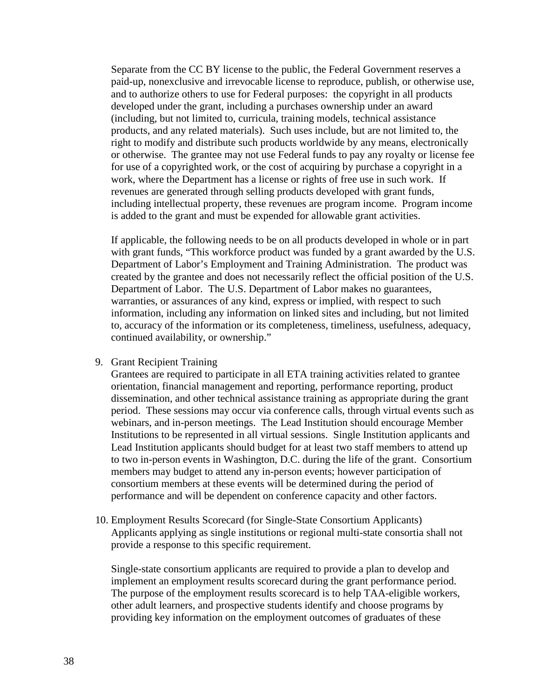Separate from the CC BY license to the public, the Federal Government reserves a paid-up, nonexclusive and irrevocable license to reproduce, publish, or otherwise use, and to authorize others to use for Federal purposes: the copyright in all products developed under the grant, including a purchases ownership under an award (including, but not limited to, curricula, training models, technical assistance products, and any related materials). Such uses include, but are not limited to, the right to modify and distribute such products worldwide by any means, electronically or otherwise. The grantee may not use Federal funds to pay any royalty or license fee for use of a copyrighted work, or the cost of acquiring by purchase a copyright in a work, where the Department has a license or rights of free use in such work. If revenues are generated through selling products developed with grant funds, including intellectual property, these revenues are program income. Program income is added to the grant and must be expended for allowable grant activities.

If applicable, the following needs to be on all products developed in whole or in part with grant funds, "This workforce product was funded by a grant awarded by the U.S. Department of Labor's Employment and Training Administration. The product was created by the grantee and does not necessarily reflect the official position of the U.S. Department of Labor. The U.S. Department of Labor makes no guarantees, warranties, or assurances of any kind, express or implied, with respect to such information, including any information on linked sites and including, but not limited to, accuracy of the information or its completeness, timeliness, usefulness, adequacy, continued availability, or ownership."

9. Grant Recipient Training

Grantees are required to participate in all ETA training activities related to grantee orientation, financial management and reporting, performance reporting, product dissemination, and other technical assistance training as appropriate during the grant period. These sessions may occur via conference calls, through virtual events such as webinars, and in-person meetings. The Lead Institution should encourage Member Institutions to be represented in all virtual sessions. Single Institution applicants and Lead Institution applicants should budget for at least two staff members to attend up to two in-person events in Washington, D.C. during the life of the grant. Consortium members may budget to attend any in-person events; however participation of consortium members at these events will be determined during the period of performance and will be dependent on conference capacity and other factors.

10. Employment Results Scorecard (for Single-State Consortium Applicants) Applicants applying as single institutions or regional multi-state consortia shall not provide a response to this specific requirement.

Single-state consortium applicants are required to provide a plan to develop and implement an employment results scorecard during the grant performance period. The purpose of the employment results scorecard is to help TAA-eligible workers, other adult learners, and prospective students identify and choose programs by providing key information on the employment outcomes of graduates of these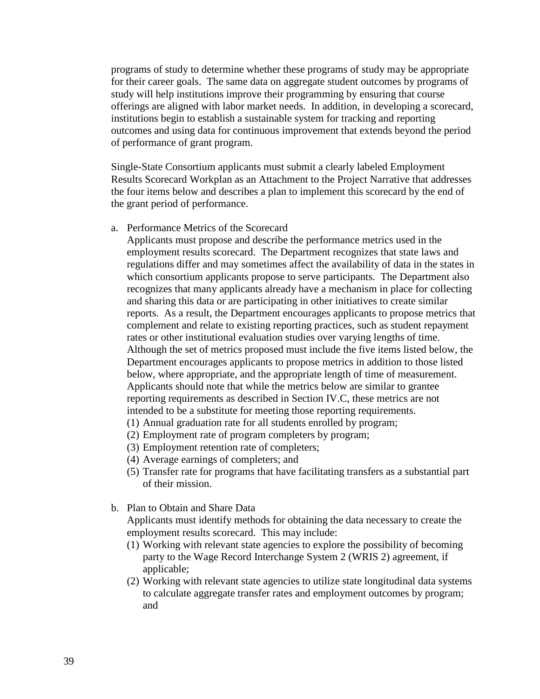programs of study to determine whether these programs of study may be appropriate for their career goals. The same data on aggregate student outcomes by programs of study will help institutions improve their programming by ensuring that course offerings are aligned with labor market needs. In addition, in developing a scorecard, institutions begin to establish a sustainable system for tracking and reporting outcomes and using data for continuous improvement that extends beyond the period of performance of grant program.

Single-State Consortium applicants must submit a clearly labeled Employment Results Scorecard Workplan as an Attachment to the Project Narrative that addresses the four items below and describes a plan to implement this scorecard by the end of the grant period of performance.

a. Performance Metrics of the Scorecard

Applicants must propose and describe the performance metrics used in the employment results scorecard. The Department recognizes that state laws and regulations differ and may sometimes affect the availability of data in the states in which consortium applicants propose to serve participants. The Department also recognizes that many applicants already have a mechanism in place for collecting and sharing this data or are participating in other initiatives to create similar reports. As a result, the Department encourages applicants to propose metrics that complement and relate to existing reporting practices, such as student repayment rates or other institutional evaluation studies over varying lengths of time. Although the set of metrics proposed must include the five items listed below, the Department encourages applicants to propose metrics in addition to those listed below, where appropriate, and the appropriate length of time of measurement. Applicants should note that while the metrics below are similar to grantee reporting requirements as described in Section IV.C, these metrics are not intended to be a substitute for meeting those reporting requirements.

- (1) Annual graduation rate for all students enrolled by program;
- (2) Employment rate of program completers by program;
- (3) Employment retention rate of completers;
- (4) Average earnings of completers; and
- (5) Transfer rate for programs that have facilitating transfers as a substantial part of their mission.
- b. Plan to Obtain and Share Data

Applicants must identify methods for obtaining the data necessary to create the employment results scorecard. This may include:

- (1) Working with relevant state agencies to explore the possibility of becoming party to the Wage Record Interchange System 2 (WRIS 2) agreement, if applicable;
- (2) Working with relevant state agencies to utilize state longitudinal data systems to calculate aggregate transfer rates and employment outcomes by program; and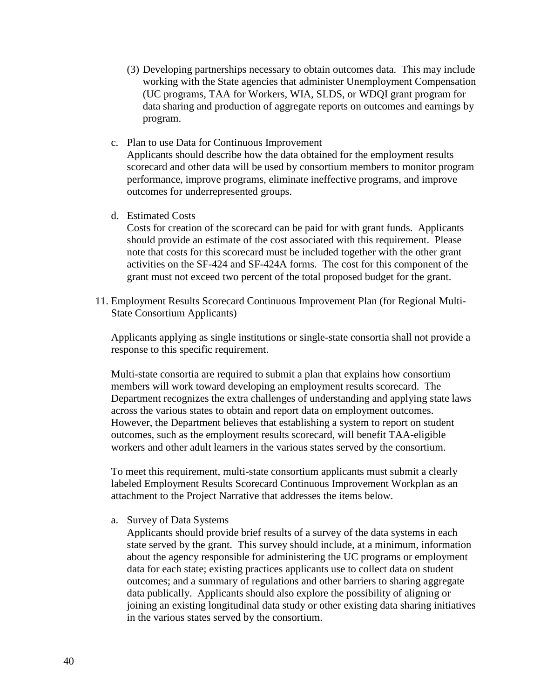- (3) Developing partnerships necessary to obtain outcomes data. This may include working with the State agencies that administer Unemployment Compensation (UC programs, TAA for Workers, WIA, SLDS, or WDQI grant program for data sharing and production of aggregate reports on outcomes and earnings by program.
- c. Plan to use Data for Continuous Improvement Applicants should describe how the data obtained for the employment results scorecard and other data will be used by consortium members to monitor program performance, improve programs, eliminate ineffective programs, and improve outcomes for underrepresented groups.
- d. Estimated Costs

Costs for creation of the scorecard can be paid for with grant funds. Applicants should provide an estimate of the cost associated with this requirement. Please note that costs for this scorecard must be included together with the other grant activities on the SF-424 and SF-424A forms. The cost for this component of the grant must not exceed two percent of the total proposed budget for the grant.

11. Employment Results Scorecard Continuous Improvement Plan (for Regional Multi-State Consortium Applicants)

Applicants applying as single institutions or single-state consortia shall not provide a response to this specific requirement.

Multi-state consortia are required to submit a plan that explains how consortium members will work toward developing an employment results scorecard. The Department recognizes the extra challenges of understanding and applying state laws across the various states to obtain and report data on employment outcomes. However, the Department believes that establishing a system to report on student outcomes, such as the employment results scorecard, will benefit TAA-eligible workers and other adult learners in the various states served by the consortium.

To meet this requirement, multi-state consortium applicants must submit a clearly labeled Employment Results Scorecard Continuous Improvement Workplan as an attachment to the Project Narrative that addresses the items below.

a. Survey of Data Systems

Applicants should provide brief results of a survey of the data systems in each state served by the grant. This survey should include, at a minimum, information about the agency responsible for administering the UC programs or employment data for each state; existing practices applicants use to collect data on student outcomes; and a summary of regulations and other barriers to sharing aggregate data publically. Applicants should also explore the possibility of aligning or joining an existing longitudinal data study or other existing data sharing initiatives in the various states served by the consortium.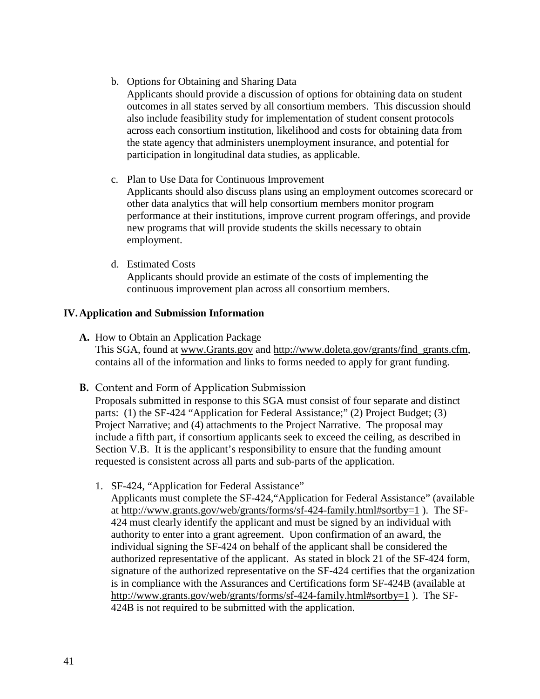b. Options for Obtaining and Sharing Data

Applicants should provide a discussion of options for obtaining data on student outcomes in all states served by all consortium members. This discussion should also include feasibility study for implementation of student consent protocols across each consortium institution, likelihood and costs for obtaining data from the state agency that administers unemployment insurance, and potential for participation in longitudinal data studies, as applicable.

- c. Plan to Use Data for Continuous Improvement Applicants should also discuss plans using an employment outcomes scorecard or other data analytics that will help consortium members monitor program performance at their institutions, improve current program offerings, and provide new programs that will provide students the skills necessary to obtain employment.
- d. Estimated Costs

Applicants should provide an estimate of the costs of implementing the continuous improvement plan across all consortium members.

## **IV.Application and Submission Information**

- **A.** How to Obtain an Application Package This SGA, found at [www.Grants.gov](http://www.grants.gov/) and [http://www.doleta.gov/grants/find\\_grants.cfm,](http://www.doleta.gov/grants/find_grants.cfm) contains all of the information and links to forms needed to apply for grant funding.
- **B.** Content and Form of Application Submission

Proposals submitted in response to this SGA must consist of four separate and distinct parts: (1) the SF-424 "Application for Federal Assistance;" (2) Project Budget; (3) Project Narrative; and (4) attachments to the Project Narrative. The proposal may include a fifth part, if consortium applicants seek to exceed the ceiling, as described in Section V.B. It is the applicant's responsibility to ensure that the funding amount requested is consistent across all parts and sub-parts of the application.

1. SF-424, "Application for Federal Assistance"

Applicants must complete the SF-424,"Application for Federal Assistance" (available at <http://www.grants.gov/web/grants/forms/sf-424-family.html#sortby=1> ). The SF-424 must clearly identify the applicant and must be signed by an individual with authority to enter into a grant agreement. Upon confirmation of an award, the individual signing the SF-424 on behalf of the applicant shall be considered the authorized representative of the applicant. As stated in block 21 of the SF-424 form, signature of the authorized representative on the SF-424 certifies that the organization is in compliance with the Assurances and Certifications form SF-424B (available at <http://www.grants.gov/web/grants/forms/sf-424-family.html#sortby=1> ). The SF-424B is not required to be submitted with the application.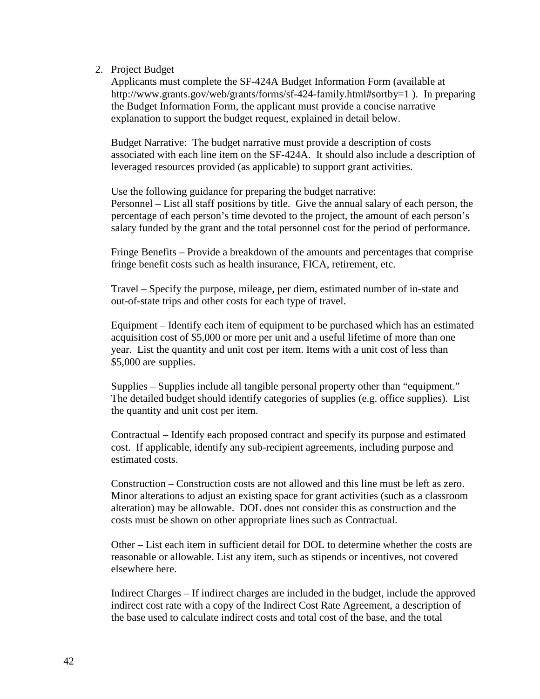### 2. Project Budget

Applicants must complete the SF-424A Budget Information Form (available at <http://www.grants.gov/web/grants/forms/sf-424-family.html#sortby=1> ). In preparing the Budget Information Form, the applicant must provide a concise narrative explanation to support the budget request, explained in detail below.

Budget Narrative: The budget narrative must provide a description of costs associated with each line item on the SF-424A. It should also include a description of leveraged resources provided (as applicable) to support grant activities.

Use the following guidance for preparing the budget narrative: Personnel – List all staff positions by title. Give the annual salary of each person, the percentage of each person's time devoted to the project, the amount of each person's salary funded by the grant and the total personnel cost for the period of performance.

Fringe Benefits – Provide a breakdown of the amounts and percentages that comprise fringe benefit costs such as health insurance, FICA, retirement, etc.

Travel – Specify the purpose, mileage, per diem, estimated number of in-state and out-of-state trips and other costs for each type of travel.

Equipment – Identify each item of equipment to be purchased which has an estimated acquisition cost of \$5,000 or more per unit and a useful lifetime of more than one year. List the quantity and unit cost per item. Items with a unit cost of less than \$5,000 are supplies.

Supplies – Supplies include all tangible personal property other than "equipment." The detailed budget should identify categories of supplies (e.g. office supplies). List the quantity and unit cost per item.

Contractual – Identify each proposed contract and specify its purpose and estimated cost. If applicable, identify any sub-recipient agreements, including purpose and estimated costs.

Construction – Construction costs are not allowed and this line must be left as zero. Minor alterations to adjust an existing space for grant activities (such as a classroom alteration) may be allowable. DOL does not consider this as construction and the costs must be shown on other appropriate lines such as Contractual.

Other – List each item in sufficient detail for DOL to determine whether the costs are reasonable or allowable. List any item, such as stipends or incentives, not covered elsewhere here.

Indirect Charges – If indirect charges are included in the budget, include the approved indirect cost rate with a copy of the Indirect Cost Rate Agreement, a description of the base used to calculate indirect costs and total cost of the base, and the total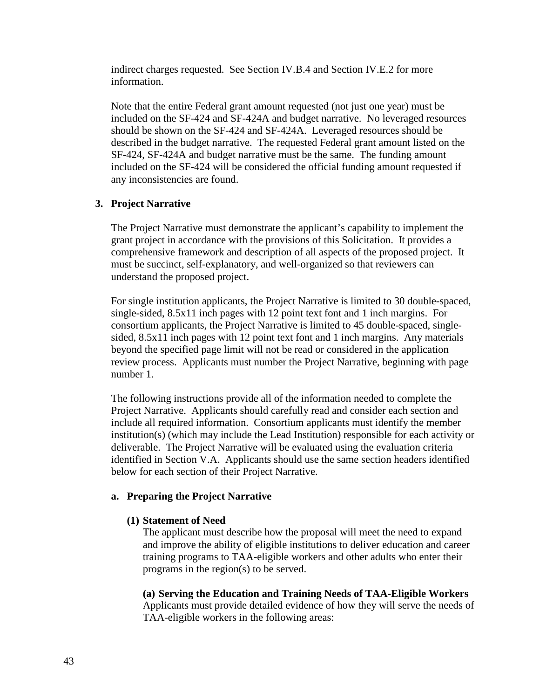indirect charges requested.See Section IV.B.4 and Section IV.E.2 for more information.

Note that the entire Federal grant amount requested (not just one year) must be included on the SF-424 and SF-424A and budget narrative. No leveraged resources should be shown on the SF-424 and SF-424A. Leveraged resources should be described in the budget narrative. The requested Federal grant amount listed on the SF-424, SF-424A and budget narrative must be the same. The funding amount included on the SF-424 will be considered the official funding amount requested if any inconsistencies are found.

## **3. Project Narrative**

The Project Narrative must demonstrate the applicant's capability to implement the grant project in accordance with the provisions of this Solicitation. It provides a comprehensive framework and description of all aspects of the proposed project. It must be succinct, self-explanatory, and well-organized so that reviewers can understand the proposed project.

For single institution applicants, the Project Narrative is limited to 30 double-spaced, single-sided, 8.5x11 inch pages with 12 point text font and 1 inch margins. For consortium applicants, the Project Narrative is limited to 45 double-spaced, singlesided, 8.5x11 inch pages with 12 point text font and 1 inch margins. Any materials beyond the specified page limit will not be read or considered in the application review process. Applicants must number the Project Narrative, beginning with page number 1.

The following instructions provide all of the information needed to complete the Project Narrative. Applicants should carefully read and consider each section and include all required information. Consortium applicants must identify the member institution(s) (which may include the Lead Institution) responsible for each activity or deliverable. The Project Narrative will be evaluated using the evaluation criteria identified in Section V.A. Applicants should use the same section headers identified below for each section of their Project Narrative.

## **a. Preparing the Project Narrative**

## **(1) Statement of Need**

The applicant must describe how the proposal will meet the need to expand and improve the ability of eligible institutions to deliver education and career training programs to TAA-eligible workers and other adults who enter their programs in the region(s) to be served.

**(a) Serving the Education and Training Needs of TAA-Eligible Workers** Applicants must provide detailed evidence of how they will serve the needs of TAA-eligible workers in the following areas: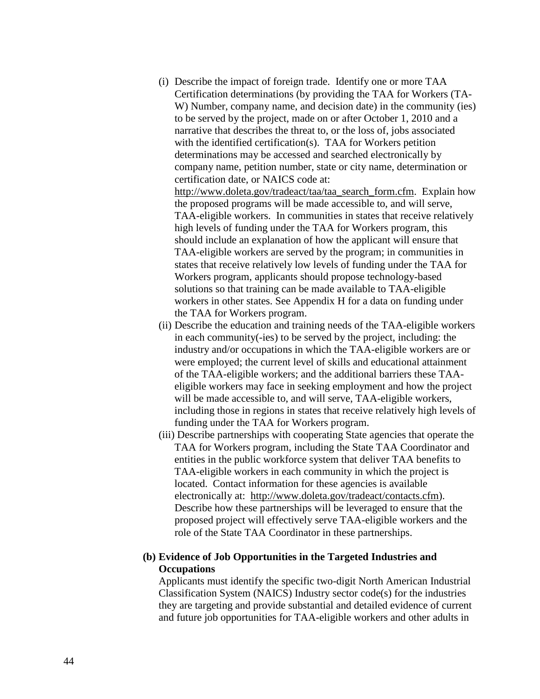- (i) Describe the impact of foreign trade. Identify one or more TAA Certification determinations (by providing the TAA for Workers (TA-W) Number, company name, and decision date) in the community (ies) to be served by the project, made on or after October 1, 2010 and a narrative that describes the threat to, or the loss of, jobs associated with the identified certification(s). TAA for Workers petition determinations may be accessed and searched electronically by company name, petition number, state or city name, determination or certification date, or NAICS code at: [http://www.doleta.gov/tradeact/taa/taa\\_search\\_form.cfm.](http://www.doleta.gov/tradeact/taa/taa_search_form.cfm) Explain how the proposed programs will be made accessible to, and will serve, TAA-eligible workers. In communities in states that receive relatively high levels of funding under the TAA for Workers program, this should include an explanation of how the applicant will ensure that TAA-eligible workers are served by the program; in communities in states that receive relatively low levels of funding under the TAA for Workers program, applicants should propose technology-based solutions so that training can be made available to TAA-eligible workers in other states. See Appendix H for a data on funding under
- (ii) Describe the education and training needs of the TAA-eligible workers in each community(-ies) to be served by the project, including: the industry and/or occupations in which the TAA-eligible workers are or were employed; the current level of skills and educational attainment of the TAA-eligible workers; and the additional barriers these TAAeligible workers may face in seeking employment and how the project will be made accessible to, and will serve, TAA-eligible workers, including those in regions in states that receive relatively high levels of funding under the TAA for Workers program.

the TAA for Workers program.

(iii) Describe partnerships with cooperating State agencies that operate the TAA for Workers program, including the State TAA Coordinator and entities in the public workforce system that deliver TAA benefits to TAA-eligible workers in each community in which the project is located. Contact information for these agencies is available electronically at: [http://www.doleta.gov/tradeact/contacts.cfm\)](http://www.doleta.gov/tradeact/contacts.cfm). Describe how these partnerships will be leveraged to ensure that the proposed project will effectively serve TAA-eligible workers and the role of the State TAA Coordinator in these partnerships.

### **(b) Evidence of Job Opportunities in the Targeted Industries and Occupations**

Applicants must identify the specific two-digit North American Industrial Classification System (NAICS) Industry sector code(s) for the industries they are targeting and provide substantial and detailed evidence of current and future job opportunities for TAA-eligible workers and other adults in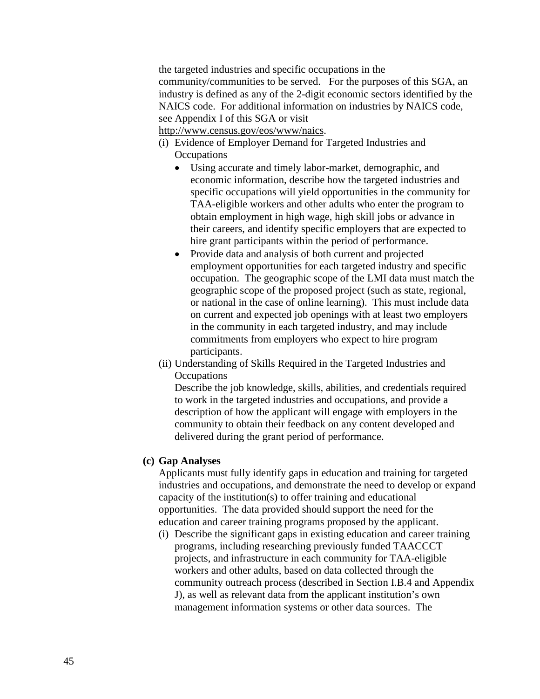the targeted industries and specific occupations in the community/communities to be served. For the purposes of this SGA, an industry is defined as any of the 2-digit economic sectors identified by the NAICS code. For additional information on industries by NAICS code, see Appendix I of this SGA or visit

[http://www.census.gov/eos/www/naics.](http://www.census.gov/eos/www/naics)

- (i) Evidence of Employer Demand for Targeted Industries and **Occupations** 
	- Using accurate and timely labor-market, demographic, and economic information, describe how the targeted industries and specific occupations will yield opportunities in the community for TAA-eligible workers and other adults who enter the program to obtain employment in high wage, high skill jobs or advance in their careers, and identify specific employers that are expected to hire grant participants within the period of performance.
	- Provide data and analysis of both current and projected employment opportunities for each targeted industry and specific occupation. The geographic scope of the LMI data must match the geographic scope of the proposed project (such as state, regional, or national in the case of online learning). This must include data on current and expected job openings with at least two employers in the community in each targeted industry, and may include commitments from employers who expect to hire program participants.
- (ii) Understanding of Skills Required in the Targeted Industries and **Occupations**

Describe the job knowledge, skills, abilities, and credentials required to work in the targeted industries and occupations, and provide a description of how the applicant will engage with employers in the community to obtain their feedback on any content developed and delivered during the grant period of performance.

### **(c) Gap Analyses**

Applicants must fully identify gaps in education and training for targeted industries and occupations, and demonstrate the need to develop or expand capacity of the institution(s) to offer training and educational opportunities. The data provided should support the need for the education and career training programs proposed by the applicant.

(i) Describe the significant gaps in existing education and career training programs, including researching previously funded TAACCCT projects, and infrastructure in each community for TAA-eligible workers and other adults, based on data collected through the community outreach process (described in Section I.B.4 and Appendix J), as well as relevant data from the applicant institution's own management information systems or other data sources. The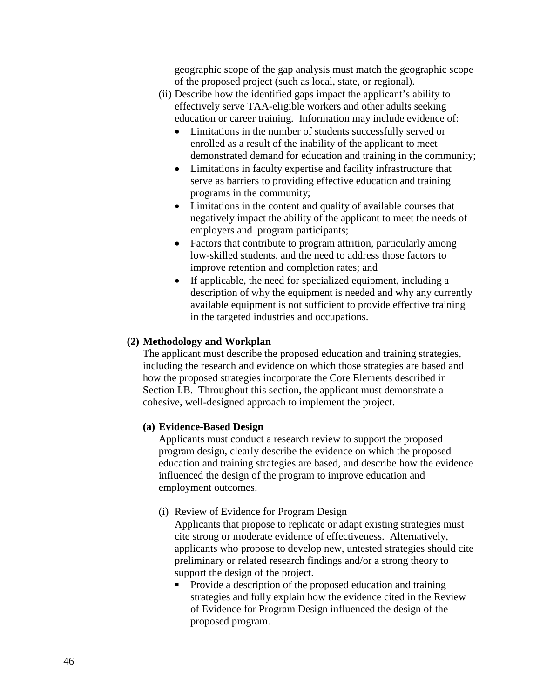geographic scope of the gap analysis must match the geographic scope of the proposed project (such as local, state, or regional).

- (ii) Describe how the identified gaps impact the applicant's ability to effectively serve TAA-eligible workers and other adults seeking education or career training. Information may include evidence of:
	- Limitations in the number of students successfully served or enrolled as a result of the inability of the applicant to meet demonstrated demand for education and training in the community;
	- Limitations in faculty expertise and facility infrastructure that serve as barriers to providing effective education and training programs in the community;
	- Limitations in the content and quality of available courses that negatively impact the ability of the applicant to meet the needs of employers and program participants;
	- Factors that contribute to program attrition, particularly among low-skilled students, and the need to address those factors to improve retention and completion rates; and
	- If applicable, the need for specialized equipment, including a description of why the equipment is needed and why any currently available equipment is not sufficient to provide effective training in the targeted industries and occupations.

## **(2) Methodology and Workplan**

The applicant must describe the proposed education and training strategies, including the research and evidence on which those strategies are based and how the proposed strategies incorporate the Core Elements described in Section I.B. Throughout this section, the applicant must demonstrate a cohesive, well-designed approach to implement the project.

## **(a) Evidence-Based Design**

Applicants must conduct a research review to support the proposed program design, clearly describe the evidence on which the proposed education and training strategies are based, and describe how the evidence influenced the design of the program to improve education and employment outcomes.

## (i) Review of Evidence for Program Design

Applicants that propose to replicate or adapt existing strategies must cite strong or moderate evidence of effectiveness. Alternatively, applicants who propose to develop new, untested strategies should cite preliminary or related research findings and/or a strong theory to support the design of the project.

• Provide a description of the proposed education and training strategies and fully explain how the evidence cited in the Review of Evidence for Program Design influenced the design of the proposed program.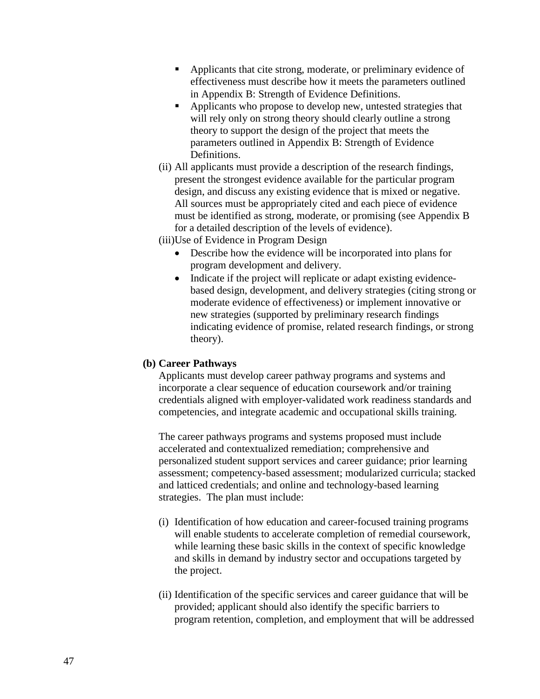- Applicants that cite strong, moderate, or preliminary evidence of effectiveness must describe how it meets the parameters outlined in Appendix B: Strength of Evidence Definitions.
- Applicants who propose to develop new, untested strategies that will rely only on strong theory should clearly outline a strong theory to support the design of the project that meets the parameters outlined in Appendix B: Strength of Evidence Definitions.
- (ii) All applicants must provide a description of the research findings, present the strongest evidence available for the particular program design, and discuss any existing evidence that is mixed or negative. All sources must be appropriately cited and each piece of evidence must be identified as strong, moderate, or promising (see Appendix B for a detailed description of the levels of evidence).
- (iii)Use of Evidence in Program Design
	- Describe how the evidence will be incorporated into plans for program development and delivery.
	- Indicate if the project will replicate or adapt existing evidencebased design, development, and delivery strategies (citing strong or moderate evidence of effectiveness) or implement innovative or new strategies (supported by preliminary research findings indicating evidence of promise, related research findings, or strong theory).

### **(b) Career Pathways**

Applicants must develop career pathway programs and systems and incorporate a clear sequence of education coursework and/or training credentials aligned with employer-validated work readiness standards and competencies, and integrate academic and occupational skills training.

The career pathways programs and systems proposed must include accelerated and contextualized remediation; comprehensive and personalized student support services and career guidance; prior learning assessment; competency-based assessment; modularized curricula; stacked and latticed credentials; and online and technology-based learning strategies. The plan must include:

- (i) Identification of how education and career-focused training programs will enable students to accelerate completion of remedial coursework, while learning these basic skills in the context of specific knowledge and skills in demand by industry sector and occupations targeted by the project.
- (ii) Identification of the specific services and career guidance that will be provided; applicant should also identify the specific barriers to program retention, completion, and employment that will be addressed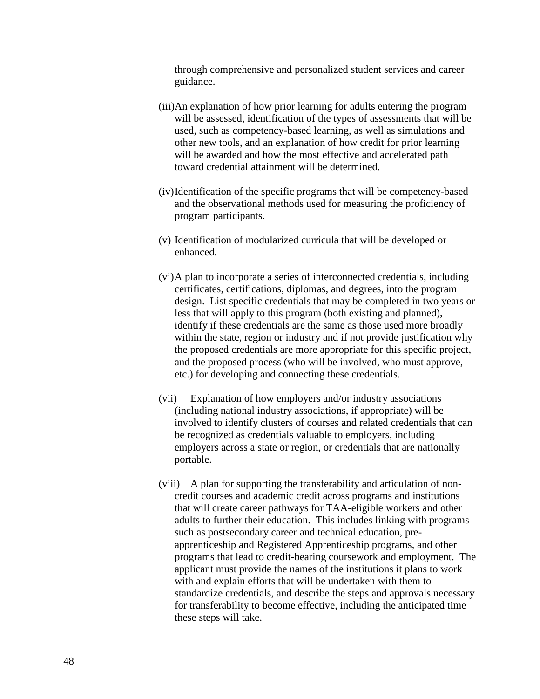through comprehensive and personalized student services and career guidance.

- (iii)An explanation of how prior learning for adults entering the program will be assessed, identification of the types of assessments that will be used, such as competency-based learning, as well as simulations and other new tools, and an explanation of how credit for prior learning will be awarded and how the most effective and accelerated path toward credential attainment will be determined.
- (iv)Identification of the specific programs that will be competency-based and the observational methods used for measuring the proficiency of program participants.
- (v) Identification of modularized curricula that will be developed or enhanced.
- (vi)A plan to incorporate a series of interconnected credentials, including certificates, certifications, diplomas, and degrees, into the program design. List specific credentials that may be completed in two years or less that will apply to this program (both existing and planned), identify if these credentials are the same as those used more broadly within the state, region or industry and if not provide justification why the proposed credentials are more appropriate for this specific project, and the proposed process (who will be involved, who must approve, etc.) for developing and connecting these credentials.
- (vii) Explanation of how employers and/or industry associations (including national industry associations, if appropriate) will be involved to identify clusters of courses and related credentials that can be recognized as credentials valuable to employers, including employers across a state or region, or credentials that are nationally portable.
- (viii) A plan for supporting the transferability and articulation of noncredit courses and academic credit across programs and institutions that will create career pathways for TAA-eligible workers and other adults to further their education. This includes linking with programs such as postsecondary career and technical education, preapprenticeship and Registered Apprenticeship programs, and other programs that lead to credit-bearing coursework and employment. The applicant must provide the names of the institutions it plans to work with and explain efforts that will be undertaken with them to standardize credentials, and describe the steps and approvals necessary for transferability to become effective, including the anticipated time these steps will take.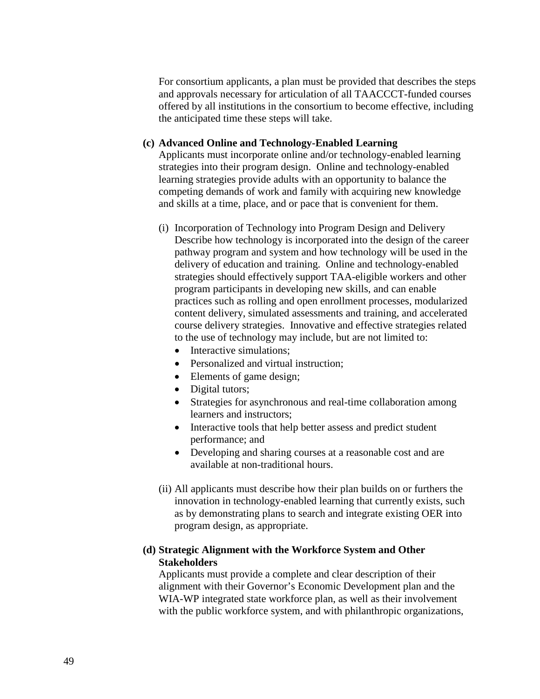For consortium applicants, a plan must be provided that describes the steps and approvals necessary for articulation of all TAACCCT-funded courses offered by all institutions in the consortium to become effective, including the anticipated time these steps will take.

#### **(c) Advanced Online and Technology-Enabled Learning**

Applicants must incorporate online and/or technology-enabled learning strategies into their program design. Online and technology-enabled learning strategies provide adults with an opportunity to balance the competing demands of work and family with acquiring new knowledge and skills at a time, place, and or pace that is convenient for them.

- (i) Incorporation of Technology into Program Design and Delivery Describe how technology is incorporated into the design of the career pathway program and system and how technology will be used in the delivery of education and training. Online and technology-enabled strategies should effectively support TAA-eligible workers and other program participants in developing new skills, and can enable practices such as rolling and open enrollment processes, modularized content delivery, simulated assessments and training, and accelerated course delivery strategies. Innovative and effective strategies related to the use of technology may include, but are not limited to:
	- Interactive simulations:
	- Personalized and virtual instruction:
	- Elements of game design;
	- Digital tutors;
	- Strategies for asynchronous and real-time collaboration among learners and instructors;
	- Interactive tools that help better assess and predict student performance; and
	- Developing and sharing courses at a reasonable cost and are available at non-traditional hours.
- (ii) All applicants must describe how their plan builds on or furthers the innovation in technology-enabled learning that currently exists, such as by demonstrating plans to search and integrate existing OER into program design, as appropriate.

### **(d) Strategic Alignment with the Workforce System and Other Stakeholders**

Applicants must provide a complete and clear description of their alignment with their Governor's Economic Development plan and the WIA-WP integrated state workforce plan, as well as their involvement with the public workforce system, and with philanthropic organizations,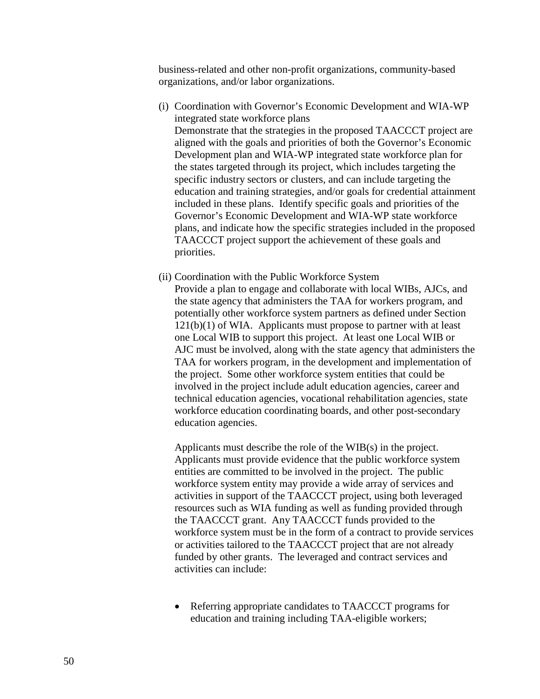business-related and other non-profit organizations, community-based organizations, and/or labor organizations.

- (i) Coordination with Governor's Economic Development and WIA-WP integrated state workforce plans Demonstrate that the strategies in the proposed TAACCCT project are aligned with the goals and priorities of both the Governor's Economic Development plan and WIA-WP integrated state workforce plan for the states targeted through its project, which includes targeting the specific industry sectors or clusters, and can include targeting the education and training strategies, and/or goals for credential attainment included in these plans. Identify specific goals and priorities of the Governor's Economic Development and WIA-WP state workforce plans, and indicate how the specific strategies included in the proposed TAACCCT project support the achievement of these goals and priorities.
- (ii) Coordination with the Public Workforce System Provide a plan to engage and collaborate with local WIBs, AJCs, and the state agency that administers the TAA for workers program, and potentially other workforce system partners as defined under Section  $121(b)(1)$  of WIA. Applicants must propose to partner with at least one Local WIB to support this project. At least one Local WIB or AJC must be involved, along with the state agency that administers the TAA for workers program, in the development and implementation of the project. Some other workforce system entities that could be involved in the project include adult education agencies, career and technical education agencies, vocational rehabilitation agencies, state workforce education coordinating boards, and other post-secondary education agencies.

Applicants must describe the role of the WIB(s) in the project. Applicants must provide evidence that the public workforce system entities are committed to be involved in the project. The public workforce system entity may provide a wide array of services and activities in support of the TAACCCT project, using both leveraged resources such as WIA funding as well as funding provided through the TAACCCT grant. Any TAACCCT funds provided to the workforce system must be in the form of a contract to provide services or activities tailored to the TAACCCT project that are not already funded by other grants. The leveraged and contract services and activities can include:

• Referring appropriate candidates to TAACCCT programs for education and training including TAA-eligible workers;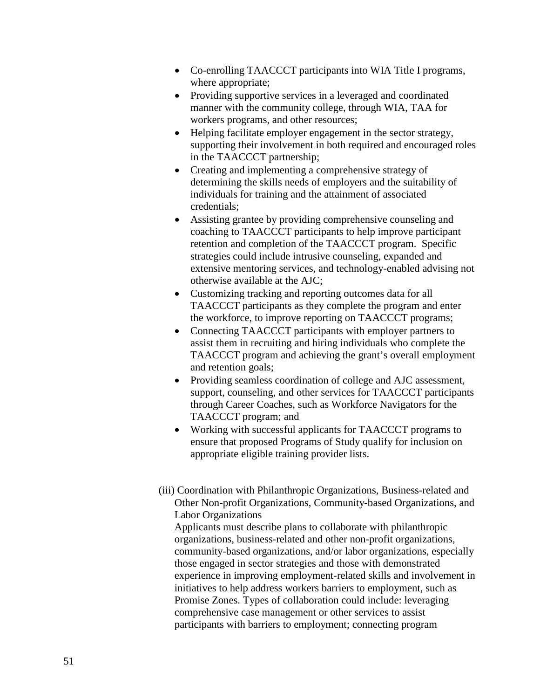- Co-enrolling TAACCCT participants into WIA Title I programs, where appropriate;
- Providing supportive services in a leveraged and coordinated manner with the community college, through WIA, TAA for workers programs, and other resources;
- Helping facilitate employer engagement in the sector strategy, supporting their involvement in both required and encouraged roles in the TAACCCT partnership;
- Creating and implementing a comprehensive strategy of determining the skills needs of employers and the suitability of individuals for training and the attainment of associated credentials;
- Assisting grantee by providing comprehensive counseling and coaching to TAACCCT participants to help improve participant retention and completion of the TAACCCT program. Specific strategies could include intrusive counseling, expanded and extensive mentoring services, and technology-enabled advising not otherwise available at the AJC;
- Customizing tracking and reporting outcomes data for all TAACCCT participants as they complete the program and enter the workforce, to improve reporting on TAACCCT programs;
- Connecting TAACCCT participants with employer partners to assist them in recruiting and hiring individuals who complete the TAACCCT program and achieving the grant's overall employment and retention goals;
- Providing seamless coordination of college and AJC assessment, support, counseling, and other services for TAACCCT participants through Career Coaches, such as Workforce Navigators for the TAACCCT program; and
- Working with successful applicants for TAACCCT programs to ensure that proposed Programs of Study qualify for inclusion on appropriate eligible training provider lists.
- (iii) Coordination with Philanthropic Organizations, Business-related and Other Non-profit Organizations, Community-based Organizations, and Labor Organizations

Applicants must describe plans to collaborate with philanthropic organizations, business-related and other non-profit organizations, community-based organizations, and/or labor organizations, especially those engaged in sector strategies and those with demonstrated experience in improving employment-related skills and involvement in initiatives to help address workers barriers to employment, such as Promise Zones. Types of collaboration could include: leveraging comprehensive case management or other services to assist participants with barriers to employment; connecting program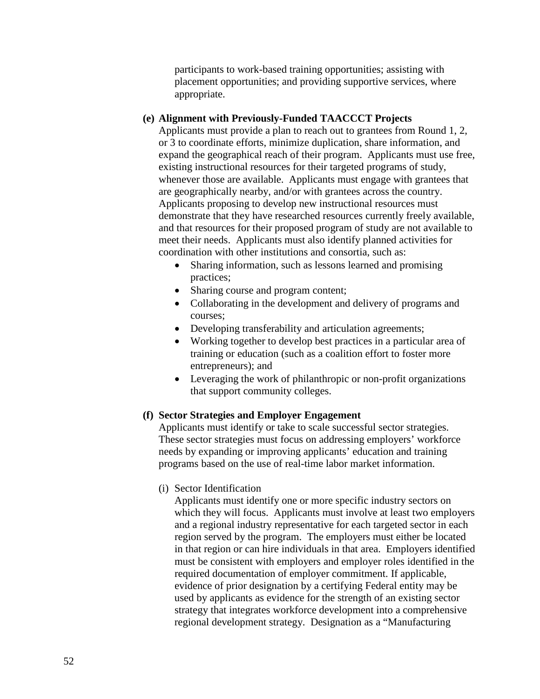participants to work-based training opportunities; assisting with placement opportunities; and providing supportive services, where appropriate.

### **(e) Alignment with Previously-Funded TAACCCT Projects**

Applicants must provide a plan to reach out to grantees from Round 1, 2, or 3 to coordinate efforts, minimize duplication, share information, and expand the geographical reach of their program. Applicants must use free, existing instructional resources for their targeted programs of study, whenever those are available. Applicants must engage with grantees that are geographically nearby, and/or with grantees across the country. Applicants proposing to develop new instructional resources must demonstrate that they have researched resources currently freely available, and that resources for their proposed program of study are not available to meet their needs. Applicants must also identify planned activities for coordination with other institutions and consortia, such as:

- Sharing information, such as lessons learned and promising practices;
- Sharing course and program content;
- Collaborating in the development and delivery of programs and courses;
- Developing transferability and articulation agreements;
- Working together to develop best practices in a particular area of training or education (such as a coalition effort to foster more entrepreneurs); and
- Leveraging the work of philanthropic or non-profit organizations that support community colleges.

#### **(f) Sector Strategies and Employer Engagement**

Applicants must identify or take to scale successful sector strategies. These sector strategies must focus on addressing employers' workforce needs by expanding or improving applicants' education and training programs based on the use of real-time labor market information.

### (i) Sector Identification

Applicants must identify one or more specific industry sectors on which they will focus. Applicants must involve at least two employers and a regional industry representative for each targeted sector in each region served by the program. The employers must either be located in that region or can hire individuals in that area. Employers identified must be consistent with employers and employer roles identified in the required documentation of employer commitment. If applicable, evidence of prior designation by a certifying Federal entity may be used by applicants as evidence for the strength of an existing sector strategy that integrates workforce development into a comprehensive regional development strategy. Designation as a "Manufacturing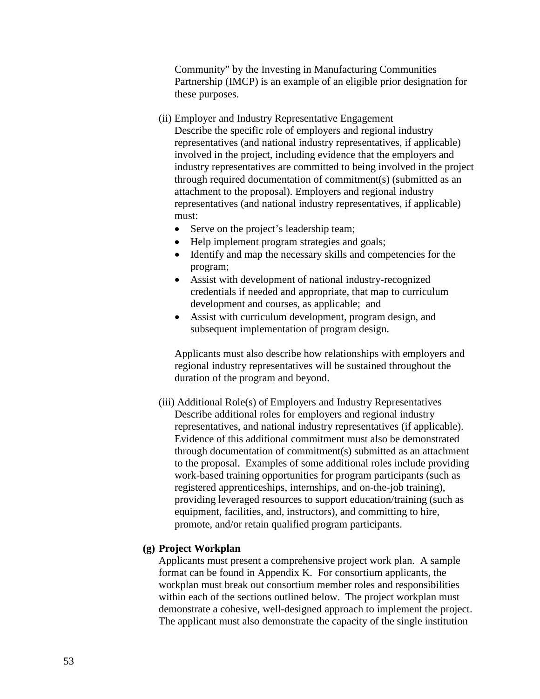Community" by the Investing in Manufacturing Communities Partnership (IMCP) is an example of an eligible prior designation for these purposes.

- (ii) Employer and Industry Representative Engagement Describe the specific role of employers and regional industry representatives (and national industry representatives, if applicable) involved in the project, including evidence that the employers and industry representatives are committed to being involved in the project through required documentation of commitment(s) (submitted as an attachment to the proposal). Employers and regional industry representatives (and national industry representatives, if applicable) must:
	- Serve on the project's leadership team;
	- Help implement program strategies and goals;
	- Identify and map the necessary skills and competencies for the program;
	- Assist with development of national industry-recognized credentials if needed and appropriate, that map to curriculum development and courses, as applicable; and
	- Assist with curriculum development, program design, and subsequent implementation of program design.

Applicants must also describe how relationships with employers and regional industry representatives will be sustained throughout the duration of the program and beyond.

(iii) Additional Role(s) of Employers and Industry Representatives Describe additional roles for employers and regional industry representatives, and national industry representatives (if applicable). Evidence of this additional commitment must also be demonstrated through documentation of commitment(s) submitted as an attachment to the proposal. Examples of some additional roles include providing work-based training opportunities for program participants (such as registered apprenticeships, internships, and on-the-job training), providing leveraged resources to support education/training (such as equipment, facilities, and, instructors), and committing to hire, promote, and/or retain qualified program participants.

## **(g) Project Workplan**

Applicants must present a comprehensive project work plan. A sample format can be found in Appendix K. For consortium applicants, the workplan must break out consortium member roles and responsibilities within each of the sections outlined below. The project workplan must demonstrate a cohesive, well-designed approach to implement the project. The applicant must also demonstrate the capacity of the single institution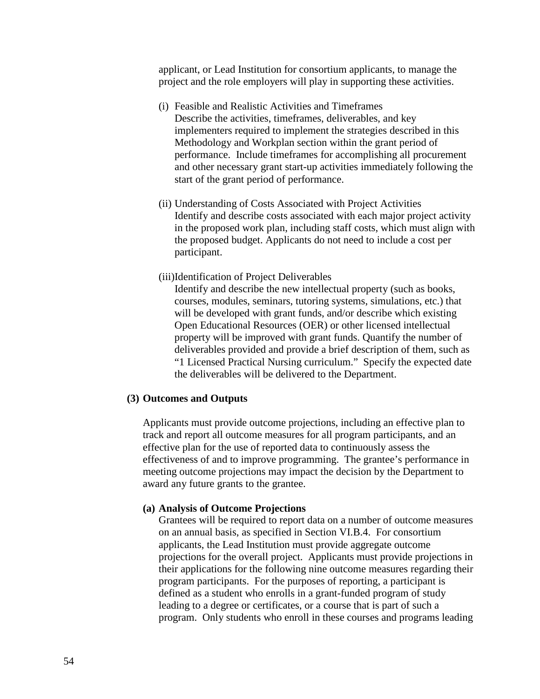applicant, or Lead Institution for consortium applicants, to manage the project and the role employers will play in supporting these activities.

- (i) Feasible and Realistic Activities and Timeframes Describe the activities, timeframes, deliverables, and key implementers required to implement the strategies described in this Methodology and Workplan section within the grant period of performance. Include timeframes for accomplishing all procurement and other necessary grant start-up activities immediately following the start of the grant period of performance.
- (ii) Understanding of Costs Associated with Project Activities Identify and describe costs associated with each major project activity in the proposed work plan, including staff costs, which must align with the proposed budget. Applicants do not need to include a cost per participant.
- (iii)Identification of Project Deliverables

Identify and describe the new intellectual property (such as books, courses, modules, seminars, tutoring systems, simulations, etc.) that will be developed with grant funds, and/or describe which existing Open Educational Resources (OER) or other licensed intellectual property will be improved with grant funds. Quantify the number of deliverables provided and provide a brief description of them, such as "1 Licensed Practical Nursing curriculum." Specify the expected date the deliverables will be delivered to the Department.

### **(3) Outcomes and Outputs**

Applicants must provide outcome projections, including an effective plan to track and report all outcome measures for all program participants, and an effective plan for the use of reported data to continuously assess the effectiveness of and to improve programming. The grantee's performance in meeting outcome projections may impact the decision by the Department to award any future grants to the grantee.

#### **(a) Analysis of Outcome Projections**

Grantees will be required to report data on a number of outcome measures on an annual basis, as specified in Section VI.B.4. For consortium applicants, the Lead Institution must provide aggregate outcome projections for the overall project. Applicants must provide projections in their applications for the following nine outcome measures regarding their program participants. For the purposes of reporting, a participant is defined as a student who enrolls in a grant-funded program of study leading to a degree or certificates, or a course that is part of such a program. Only students who enroll in these courses and programs leading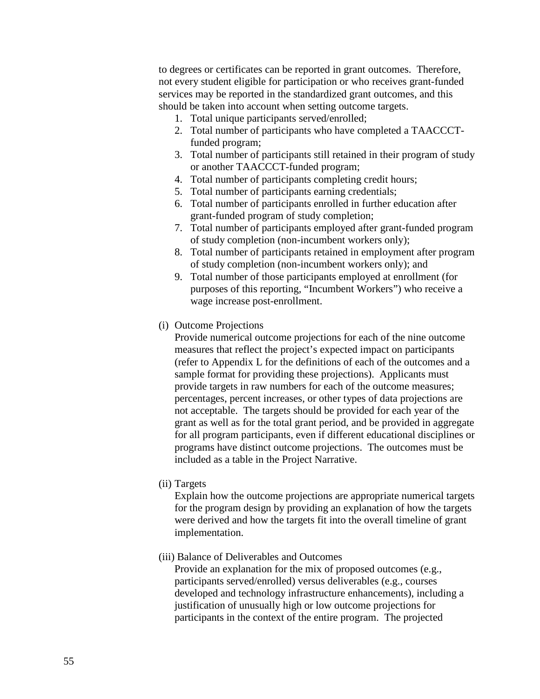to degrees or certificates can be reported in grant outcomes. Therefore, not every student eligible for participation or who receives grant-funded services may be reported in the standardized grant outcomes, and this should be taken into account when setting outcome targets.

- 1. Total unique participants served/enrolled;
- 2. Total number of participants who have completed a TAACCCTfunded program;
- 3. Total number of participants still retained in their program of study or another TAACCCT-funded program;
- 4. Total number of participants completing credit hours;
- 5. Total number of participants earning credentials;
- 6. Total number of participants enrolled in further education after grant-funded program of study completion;
- 7. Total number of participants employed after grant-funded program of study completion (non-incumbent workers only);
- 8. Total number of participants retained in employment after program of study completion (non-incumbent workers only); and
- 9. Total number of those participants employed at enrollment (for purposes of this reporting, "Incumbent Workers") who receive a wage increase post-enrollment.
- (i) Outcome Projections

Provide numerical outcome projections for each of the nine outcome measures that reflect the project's expected impact on participants (refer to Appendix L for the definitions of each of the outcomes and a sample format for providing these projections). Applicants must provide targets in raw numbers for each of the outcome measures; percentages, percent increases, or other types of data projections are not acceptable. The targets should be provided for each year of the grant as well as for the total grant period, and be provided in aggregate for all program participants, even if different educational disciplines or programs have distinct outcome projections. The outcomes must be included as a table in the Project Narrative.

(ii) Targets

Explain how the outcome projections are appropriate numerical targets for the program design by providing an explanation of how the targets were derived and how the targets fit into the overall timeline of grant implementation.

(iii) Balance of Deliverables and Outcomes

Provide an explanation for the mix of proposed outcomes (e.g., participants served/enrolled) versus deliverables (e.g., courses developed and technology infrastructure enhancements), including a justification of unusually high or low outcome projections for participants in the context of the entire program. The projected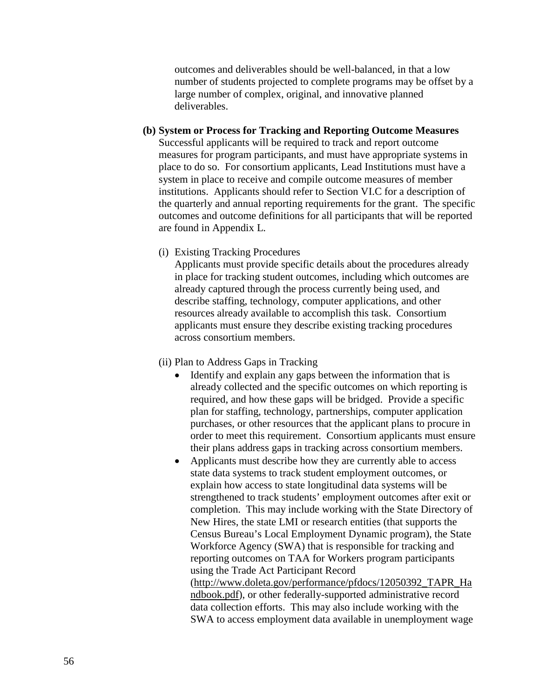outcomes and deliverables should be well-balanced, in that a low number of students projected to complete programs may be offset by a large number of complex, original, and innovative planned deliverables.

### **(b) System or Process for Tracking and Reporting Outcome Measures**

Successful applicants will be required to track and report outcome measures for program participants, and must have appropriate systems in place to do so. For consortium applicants, Lead Institutions must have a system in place to receive and compile outcome measures of member institutions. Applicants should refer to Section VI.C for a description of the quarterly and annual reporting requirements for the grant. The specific outcomes and outcome definitions for all participants that will be reported are found in Appendix L.

### (i) Existing Tracking Procedures

Applicants must provide specific details about the procedures already in place for tracking student outcomes, including which outcomes are already captured through the process currently being used, and describe staffing, technology, computer applications, and other resources already available to accomplish this task. Consortium applicants must ensure they describe existing tracking procedures across consortium members.

#### (ii) Plan to Address Gaps in Tracking

- Identify and explain any gaps between the information that is already collected and the specific outcomes on which reporting is required, and how these gaps will be bridged. Provide a specific plan for staffing, technology, partnerships, computer application purchases, or other resources that the applicant plans to procure in order to meet this requirement. Consortium applicants must ensure their plans address gaps in tracking across consortium members.
- Applicants must describe how they are currently able to access state data systems to track student employment outcomes, or explain how access to state longitudinal data systems will be strengthened to track students' employment outcomes after exit or completion. This may include working with the State Directory of New Hires, the state LMI or research entities (that supports the Census Bureau's Local Employment Dynamic program), the State Workforce Agency (SWA) that is responsible for tracking and reporting outcomes on TAA for Workers program participants using the Trade Act Participant Record [\(http://www.doleta.gov/performance/pfdocs/12050392\\_TAPR\\_Ha](http://www.doleta.gov/Performance/pfdocs/12050392_TAPR_Revision_Track_Changes_Draft_TEGL_Change_112909.pdf)

[ndbook.pdf\)](http://www.doleta.gov/Performance/pfdocs/12050392_TAPR_Revision_Track_Changes_Draft_TEGL_Change_112909.pdf), or other federally-supported administrative record data collection efforts. This may also include working with the SWA to access employment data available in unemployment wage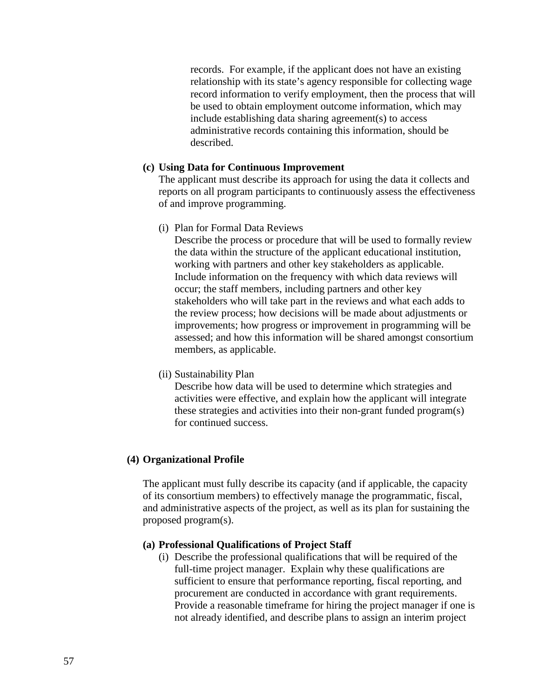records. For example, if the applicant does not have an existing relationship with its state's agency responsible for collecting wage record information to verify employment, then the process that will be used to obtain employment outcome information, which may include establishing data sharing agreement(s) to access administrative records containing this information, should be described.

### **(c) Using Data for Continuous Improvement**

The applicant must describe its approach for using the data it collects and reports on all program participants to continuously assess the effectiveness of and improve programming.

(i) Plan for Formal Data Reviews

Describe the process or procedure that will be used to formally review the data within the structure of the applicant educational institution, working with partners and other key stakeholders as applicable. Include information on the frequency with which data reviews will occur; the staff members, including partners and other key stakeholders who will take part in the reviews and what each adds to the review process; how decisions will be made about adjustments or improvements; how progress or improvement in programming will be assessed; and how this information will be shared amongst consortium members, as applicable.

(ii) Sustainability Plan

Describe how data will be used to determine which strategies and activities were effective, and explain how the applicant will integrate these strategies and activities into their non-grant funded program(s) for continued success.

#### **(4) Organizational Profile**

The applicant must fully describe its capacity (and if applicable, the capacity of its consortium members) to effectively manage the programmatic, fiscal, and administrative aspects of the project, as well as its plan for sustaining the proposed program(s).

### **(a) Professional Qualifications of Project Staff**

(i) Describe the professional qualifications that will be required of the full-time project manager. Explain why these qualifications are sufficient to ensure that performance reporting, fiscal reporting, and procurement are conducted in accordance with grant requirements. Provide a reasonable timeframe for hiring the project manager if one is not already identified, and describe plans to assign an interim project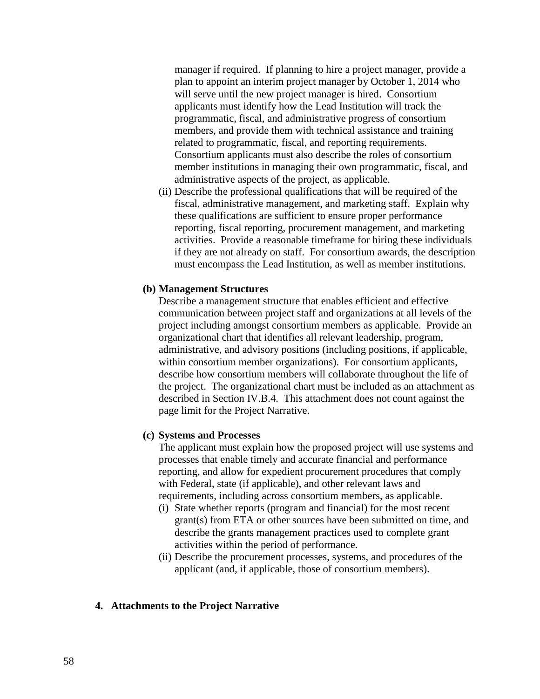manager if required. If planning to hire a project manager, provide a plan to appoint an interim project manager by October 1, 2014 who will serve until the new project manager is hired. Consortium applicants must identify how the Lead Institution will track the programmatic, fiscal, and administrative progress of consortium members, and provide them with technical assistance and training related to programmatic, fiscal, and reporting requirements. Consortium applicants must also describe the roles of consortium member institutions in managing their own programmatic, fiscal, and administrative aspects of the project, as applicable.

(ii) Describe the professional qualifications that will be required of the fiscal, administrative management, and marketing staff. Explain why these qualifications are sufficient to ensure proper performance reporting, fiscal reporting, procurement management, and marketing activities. Provide a reasonable timeframe for hiring these individuals if they are not already on staff. For consortium awards, the description must encompass the Lead Institution, as well as member institutions.

#### **(b) Management Structures**

Describe a management structure that enables efficient and effective communication between project staff and organizations at all levels of the project including amongst consortium members as applicable. Provide an organizational chart that identifies all relevant leadership, program, administrative, and advisory positions (including positions, if applicable, within consortium member organizations). For consortium applicants, describe how consortium members will collaborate throughout the life of the project. The organizational chart must be included as an attachment as described in Section IV.B.4. This attachment does not count against the page limit for the Project Narrative.

#### **(c) Systems and Processes**

The applicant must explain how the proposed project will use systems and processes that enable timely and accurate financial and performance reporting, and allow for expedient procurement procedures that comply with Federal, state (if applicable), and other relevant laws and requirements, including across consortium members, as applicable.

- (i) State whether reports (program and financial) for the most recent grant(s) from ETA or other sources have been submitted on time, and describe the grants management practices used to complete grant activities within the period of performance.
- (ii) Describe the procurement processes, systems, and procedures of the applicant (and, if applicable, those of consortium members).

#### **4. Attachments to the Project Narrative**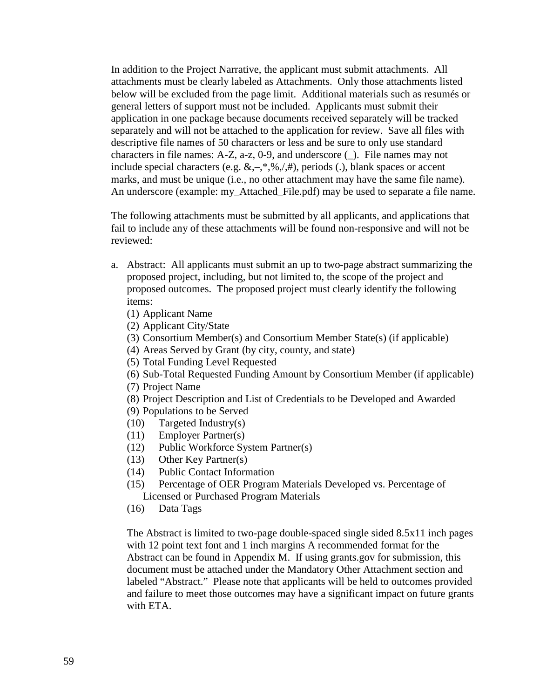In addition to the Project Narrative, the applicant must submit attachments. All attachments must be clearly labeled as Attachments. Only those attachments listed below will be excluded from the page limit. Additional materials such as resumés or general letters of support must not be included. Applicants must submit their application in one package because documents received separately will be tracked separately and will not be attached to the application for review. Save all files with descriptive file names of 50 characters or less and be sure to only use standard characters in file names: A-Z, a-z, 0-9, and underscore (\_). File names may not include special characters (e.g.  $\&, -, *, \%$ ,  $\neq$ , ), periods (.), blank spaces or accent marks, and must be unique (i.e., no other attachment may have the same file name). An underscore (example: my\_Attached\_File.pdf) may be used to separate a file name.

The following attachments must be submitted by all applicants, and applications that fail to include any of these attachments will be found non-responsive and will not be reviewed:

- a. Abstract: All applicants must submit an up to two-page abstract summarizing the proposed project, including, but not limited to, the scope of the project and proposed outcomes. The proposed project must clearly identify the following items:
	- (1) Applicant Name
	- (2) Applicant City/State
	- (3) Consortium Member(s) and Consortium Member State(s) (if applicable)
	- (4) Areas Served by Grant (by city, county, and state)
	- (5) Total Funding Level Requested
	- (6) Sub-Total Requested Funding Amount by Consortium Member (if applicable)
	- (7) Project Name
	- (8) Project Description and List of Credentials to be Developed and Awarded
	- (9) Populations to be Served
	- (10) Targeted Industry(s)
	- (11) Employer Partner(s)
	- (12) Public Workforce System Partner(s)
	- (13) Other Key Partner(s)
	- (14) Public Contact Information
	- (15) Percentage of OER Program Materials Developed vs. Percentage of Licensed or Purchased Program Materials
	- (16) Data Tags

The Abstract is limited to two-page double-spaced single sided 8.5x11 inch pages with 12 point text font and 1 inch margins A recommended format for the Abstract can be found in Appendix M. If using grants.gov for submission, this document must be attached under the Mandatory Other Attachment section and labeled "Abstract." Please note that applicants will be held to outcomes provided and failure to meet those outcomes may have a significant impact on future grants with ETA.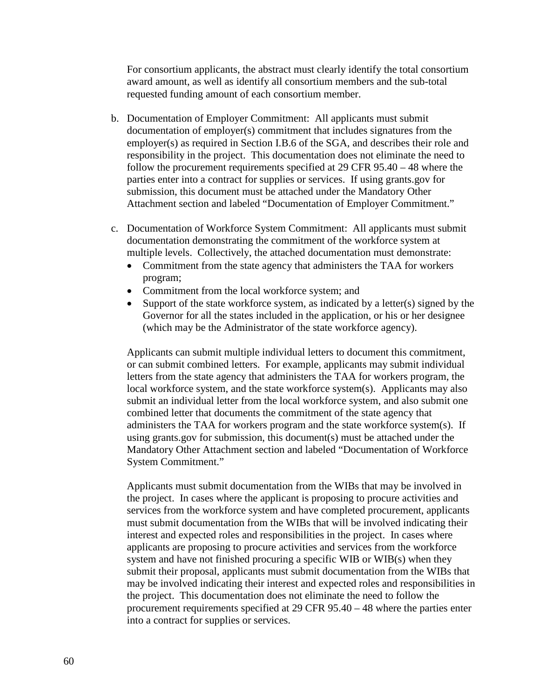For consortium applicants, the abstract must clearly identify the total consortium award amount, as well as identify all consortium members and the sub-total requested funding amount of each consortium member.

- b. Documentation of Employer Commitment: All applicants must submit documentation of employer(s) commitment that includes signatures from the employer(s) as required in Section I.B.6 of the SGA, and describes their role and responsibility in the project. This documentation does not eliminate the need to follow the procurement requirements specified at 29 CFR 95.40 – 48 where the parties enter into a contract for supplies or services. If using grants.gov for submission, this document must be attached under the Mandatory Other Attachment section and labeled "Documentation of Employer Commitment."
- c. Documentation of Workforce System Commitment: All applicants must submit documentation demonstrating the commitment of the workforce system at multiple levels. Collectively, the attached documentation must demonstrate:
	- Commitment from the state agency that administers the TAA for workers program;
	- Commitment from the local workforce system; and
	- Support of the state workforce system, as indicated by a letter(s) signed by the Governor for all the states included in the application, or his or her designee (which may be the Administrator of the state workforce agency).

Applicants can submit multiple individual letters to document this commitment, or can submit combined letters. For example, applicants may submit individual letters from the state agency that administers the TAA for workers program, the local workforce system, and the state workforce system(s). Applicants may also submit an individual letter from the local workforce system, and also submit one combined letter that documents the commitment of the state agency that administers the TAA for workers program and the state workforce system(s). If using grants.gov for submission, this document(s) must be attached under the Mandatory Other Attachment section and labeled "Documentation of Workforce System Commitment."

Applicants must submit documentation from the WIBs that may be involved in the project. In cases where the applicant is proposing to procure activities and services from the workforce system and have completed procurement, applicants must submit documentation from the WIBs that will be involved indicating their interest and expected roles and responsibilities in the project. In cases where applicants are proposing to procure activities and services from the workforce system and have not finished procuring a specific WIB or WIB(s) when they submit their proposal, applicants must submit documentation from the WIBs that may be involved indicating their interest and expected roles and responsibilities in the project. This documentation does not eliminate the need to follow the procurement requirements specified at 29 CFR 95.40 – 48 where the parties enter into a contract for supplies or services.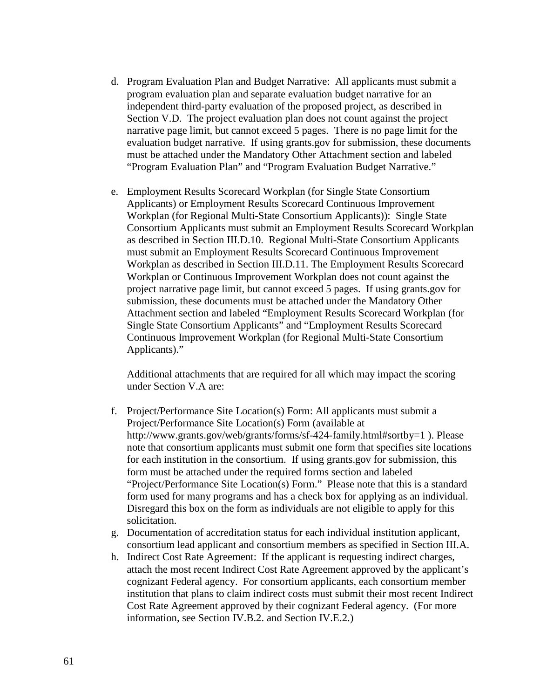- d. Program Evaluation Plan and Budget Narrative: All applicants must submit a program evaluation plan and separate evaluation budget narrative for an independent third-party evaluation of the proposed project, as described in Section V.D. The project evaluation plan does not count against the project narrative page limit, but cannot exceed 5 pages. There is no page limit for the evaluation budget narrative. If using grants.gov for submission, these documents must be attached under the Mandatory Other Attachment section and labeled "Program Evaluation Plan" and "Program Evaluation Budget Narrative."
- e. Employment Results Scorecard Workplan (for Single State Consortium Applicants) or Employment Results Scorecard Continuous Improvement Workplan (for Regional Multi-State Consortium Applicants)): Single State Consortium Applicants must submit an Employment Results Scorecard Workplan as described in Section III.D.10. Regional Multi-State Consortium Applicants must submit an Employment Results Scorecard Continuous Improvement Workplan as described in Section III.D.11. The Employment Results Scorecard Workplan or Continuous Improvement Workplan does not count against the project narrative page limit, but cannot exceed 5 pages. If using grants.gov for submission, these documents must be attached under the Mandatory Other Attachment section and labeled "Employment Results Scorecard Workplan (for Single State Consortium Applicants" and "Employment Results Scorecard Continuous Improvement Workplan (for Regional Multi-State Consortium Applicants)."

Additional attachments that are required for all which may impact the scoring under Section V.A are:

- f. Project/Performance Site Location(s) Form: All applicants must submit a Project/Performance Site Location(s) Form (available at <http://www.grants.gov/web/grants/forms/sf-424-family.html#sortby=1> ). Please note that consortium applicants must submit one form that specifies site locations for each institution in the consortium. If using grants.gov for submission, this form must be attached under the required forms section and labeled "Project/Performance Site Location(s) Form." Please note that this is a standard form used for many programs and has a check box for applying as an individual. Disregard this box on the form as individuals are not eligible to apply for this solicitation.
- g. Documentation of accreditation status for each individual institution applicant, consortium lead applicant and consortium members as specified in Section III.A.
- h. Indirect Cost Rate Agreement: If the applicant is requesting indirect charges, attach the most recent Indirect Cost Rate Agreement approved by the applicant's cognizant Federal agency. For consortium applicants, each consortium member institution that plans to claim indirect costs must submit their most recent Indirect Cost Rate Agreement approved by their cognizant Federal agency. (For more information, see Section IV.B.2. and Section IV.E.2.)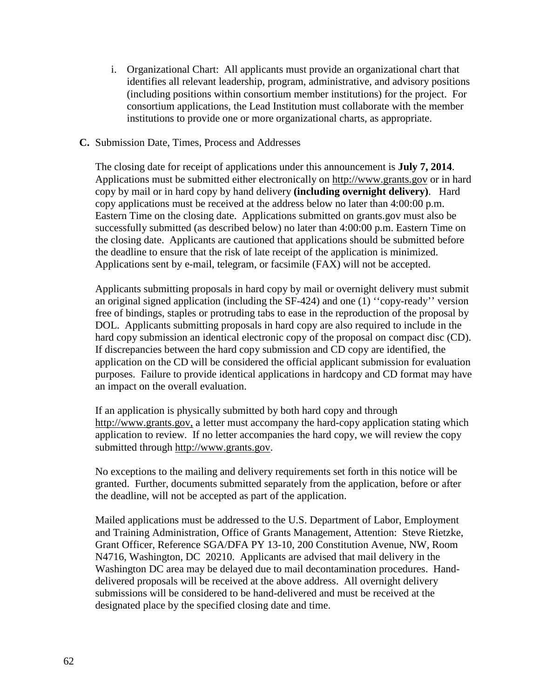i. Organizational Chart: All applicants must provide an organizational chart that identifies all relevant leadership, program, administrative, and advisory positions (including positions within consortium member institutions) for the project. For consortium applications, the Lead Institution must collaborate with the member institutions to provide one or more organizational charts, as appropriate.

### **C.** Submission Date, Times, Process and Addresses

The closing date for receipt of applications under this announcement is **July 7, 2014**. Applications must be submitted either electronically on [http://www.grants.gov](http://www.grants.gov/) or in hard copy by mail or in hard copy by hand delivery **(including overnight delivery)**. Hard copy applications must be received at the address below no later than 4:00:00 p.m. Eastern Time on the closing date. Applications submitted on grants.gov must also be successfully submitted (as described below) no later than 4:00:00 p.m. Eastern Time on the closing date. Applicants are cautioned that applications should be submitted before the deadline to ensure that the risk of late receipt of the application is minimized. Applications sent by e-mail, telegram, or facsimile (FAX) will not be accepted.

Applicants submitting proposals in hard copy by mail or overnight delivery must submit an original signed application (including the SF-424) and one (1) ''copy-ready'' version free of bindings, staples or protruding tabs to ease in the reproduction of the proposal by DOL. Applicants submitting proposals in hard copy are also required to include in the hard copy submission an identical electronic copy of the proposal on compact disc (CD). If discrepancies between the hard copy submission and CD copy are identified, the application on the CD will be considered the official applicant submission for evaluation purposes. Failure to provide identical applications in hardcopy and CD format may have an impact on the overall evaluation.

If an application is physically submitted by both hard copy and through [http://www.grants.gov,](http://www.grants.gov/) a letter must accompany the hard-copy application stating which application to review. If no letter accompanies the hard copy, we will review the copy submitted through [http://www.grants.gov.](http://www.grants.gov/)

No exceptions to the mailing and delivery requirements set forth in this notice will be granted. Further, documents submitted separately from the application, before or after the deadline, will not be accepted as part of the application.

Mailed applications must be addressed to the U.S. Department of Labor, Employment and Training Administration, Office of Grants Management, Attention: Steve Rietzke, Grant Officer, Reference SGA/DFA PY 13-10, 200 Constitution Avenue, NW, Room N4716, Washington, DC 20210. Applicants are advised that mail delivery in the Washington DC area may be delayed due to mail decontamination procedures. Handdelivered proposals will be received at the above address. All overnight delivery submissions will be considered to be hand-delivered and must be received at the designated place by the specified closing date and time.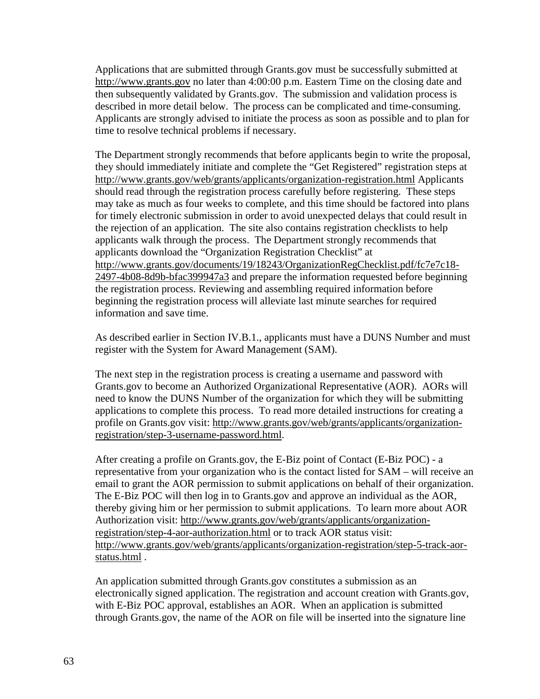Applications that are submitted through Grants.gov must be successfully submitted at [http://www.grants.gov](http://www.grants.gov/) no later than 4:00:00 p.m. Eastern Time on the closing date and then subsequently validated by Grants.gov. The submission and validation process is described in more detail below. The process can be complicated and time-consuming. Applicants are strongly advised to initiate the process as soon as possible and to plan for time to resolve technical problems if necessary.

The Department strongly recommends that before applicants begin to write the proposal, they should immediately initiate and complete the "Get Registered" registration steps at <http://www.grants.gov/web/grants/applicants/organization-registration.html> Applicants should read through the registration process carefully before registering. These steps may take as much as four weeks to complete, and this time should be factored into plans for timely electronic submission in order to avoid unexpected delays that could result in the rejection of an application. The site also contains registration checklists to help applicants walk through the process. The Department strongly recommends that applicants download the "Organization Registration Checklist" at [http://www.grants.gov/documents/19/18243/OrganizationRegChecklist.pdf/fc7e7c18-](http://www.grants.gov/documents/19/18243/OrganizationRegChecklist.pdf/fc7e7c18-2497-4b08-8d9b-bfac399947a3) [2497-4b08-8d9b-bfac399947a3](http://www.grants.gov/documents/19/18243/OrganizationRegChecklist.pdf/fc7e7c18-2497-4b08-8d9b-bfac399947a3) and prepare the information requested before beginning the registration process. Reviewing and assembling required information before beginning the registration process will alleviate last minute searches for required information and save time.

As described earlier in Section IV.B.1., applicants must have a DUNS Number and must register with the System for Award Management (SAM).

The next step in the registration process is creating a username and password with Grants.gov to become an Authorized Organizational Representative (AOR). AORs will need to know the DUNS Number of the organization for which they will be submitting applications to complete this process. To read more detailed instructions for creating a profile on Grants.gov visit: [http://www.grants.gov/web/grants/applicants/organization](http://www.grants.gov/web/grants/applicants/organization-registration/step-3-username-password.html)[registration/step-3-username-password.html.](http://www.grants.gov/web/grants/applicants/organization-registration/step-3-username-password.html)

After creating a profile on Grants.gov, the E-Biz point of Contact (E-Biz POC) - a representative from your organization who is the contact listed for SAM – will receive an email to grant the AOR permission to submit applications on behalf of their organization. The E-Biz POC will then log in to Grants.gov and approve an individual as the AOR, thereby giving him or her permission to submit applications. To learn more about AOR Authorization visit: [http://www.grants.gov/web/grants/applicants/organization](http://www.grants.gov/web/grants/applicants/organization-registration/step-4-aor-authorization.html)[registration/step-4-aor-authorization.html](http://www.grants.gov/web/grants/applicants/organization-registration/step-4-aor-authorization.html) or to track AOR status visit: [http://www.grants.gov/web/grants/applicants/organization-registration/step-5-track-aor](http://www.grants.gov/web/grants/applicants/organization-registration/step-5-track-aor-status.html)[status.html](http://www.grants.gov/web/grants/applicants/organization-registration/step-5-track-aor-status.html) .

An application submitted through Grants.gov constitutes a submission as an electronically signed application. The registration and account creation with Grants.gov, with E-Biz POC approval, establishes an AOR. When an application is submitted through Grants.gov, the name of the AOR on file will be inserted into the signature line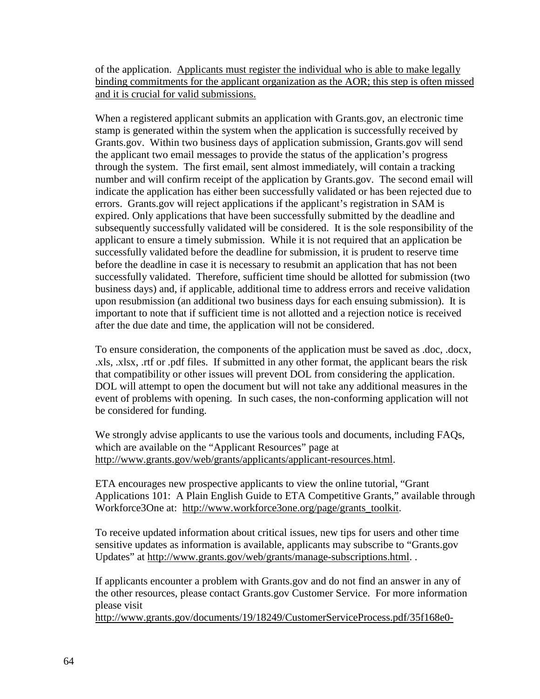of the application. Applicants must register the individual who is able to make legally binding commitments for the applicant organization as the AOR; this step is often missed and it is crucial for valid submissions.

When a registered applicant submits an application with Grants.gov, an electronic time stamp is generated within the system when the application is successfully received by Grants.gov. Within two business days of application submission, Grants.gov will send the applicant two email messages to provide the status of the application's progress through the system. The first email, sent almost immediately, will contain a tracking number and will confirm receipt of the application by Grants.gov. The second email will indicate the application has either been successfully validated or has been rejected due to errors. Grants.gov will reject applications if the applicant's registration in SAM is expired. Only applications that have been successfully submitted by the deadline and subsequently successfully validated will be considered. It is the sole responsibility of the applicant to ensure a timely submission. While it is not required that an application be successfully validated before the deadline for submission, it is prudent to reserve time before the deadline in case it is necessary to resubmit an application that has not been successfully validated. Therefore, sufficient time should be allotted for submission (two business days) and, if applicable, additional time to address errors and receive validation upon resubmission (an additional two business days for each ensuing submission). It is important to note that if sufficient time is not allotted and a rejection notice is received after the due date and time, the application will not be considered.

To ensure consideration, the components of the application must be saved as .doc, .docx, .xls, .xlsx, .rtf or .pdf files. If submitted in any other format, the applicant bears the risk that compatibility or other issues will prevent DOL from considering the application. DOL will attempt to open the document but will not take any additional measures in the event of problems with opening. In such cases, the non-conforming application will not be considered for funding.

We strongly advise applicants to use the various tools and documents, including FAQs, which are available on the "Applicant Resources" page at [http://www.grants.gov/web/grants/applicants/applicant-resources.html.](http://www.grants.gov/web/grants/applicants/applicant-resources.html)

ETA encourages new prospective applicants to view the online tutorial, "Grant Applications 101: A Plain English Guide to ETA Competitive Grants," available through Workforce3One at: [http://www.workforce3one.org/page/grants\\_toolkit.](http://www.workforce3one.org/page/grants_toolkit)

To receive updated information about critical issues, new tips for users and other time sensitive updates as information is available, applicants may subscribe to "Grants.gov Updates" at [http://www.grants.gov/web/grants/manage-subscriptions.html.](http://www.grants.gov/web/grants/manage-subscriptions.html) .

If applicants encounter a problem with Grants.gov and do not find an answer in any of the other resources, please contact Grants.gov Customer Service. For more information please visit

[http://www.grants.gov/documents/19/18249/CustomerServiceProcess.pdf/35f168e0-](http://www.grants.gov/documents/19/18249/CustomerServiceProcess.pdf/35f168e0-49ea-426f-be2b-5b772178326d)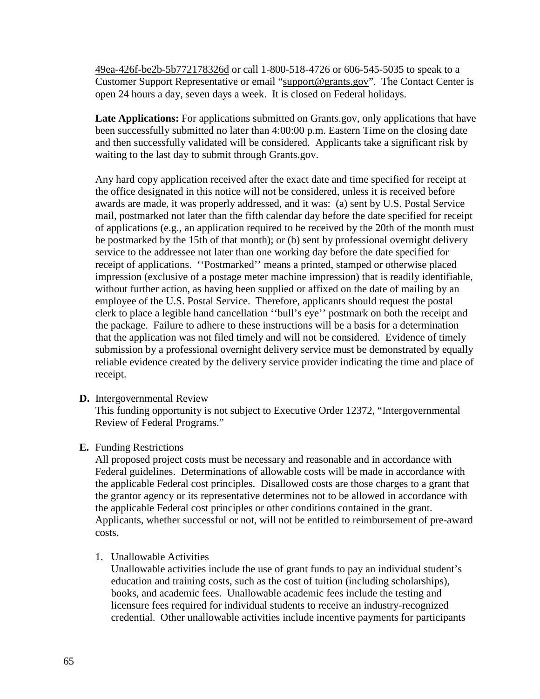[49ea-426f-be2b-5b772178326d](http://www.grants.gov/documents/19/18249/CustomerServiceProcess.pdf/35f168e0-49ea-426f-be2b-5b772178326d) or call 1-800-518-4726 or 606-545-5035 to speak to a Customer Support Representative or email "support@grants.gov". The Contact Center is open 24 hours a day, seven days a week. It is closed on Federal holidays.

**Late Applications:** For applications submitted on Grants.gov, only applications that have been successfully submitted no later than 4:00:00 p.m. Eastern Time on the closing date and then successfully validated will be considered. Applicants take a significant risk by waiting to the last day to submit through Grants.gov.

Any hard copy application received after the exact date and time specified for receipt at the office designated in this notice will not be considered, unless it is received before awards are made, it was properly addressed, and it was: (a) sent by U.S. Postal Service mail, postmarked not later than the fifth calendar day before the date specified for receipt of applications (e.g., an application required to be received by the 20th of the month must be postmarked by the 15th of that month); or (b) sent by professional overnight delivery service to the addressee not later than one working day before the date specified for receipt of applications. ''Postmarked'' means a printed, stamped or otherwise placed impression (exclusive of a postage meter machine impression) that is readily identifiable, without further action, as having been supplied or affixed on the date of mailing by an employee of the U.S. Postal Service. Therefore, applicants should request the postal clerk to place a legible hand cancellation ''bull's eye'' postmark on both the receipt and the package. Failure to adhere to these instructions will be a basis for a determination that the application was not filed timely and will not be considered. Evidence of timely submission by a professional overnight delivery service must be demonstrated by equally reliable evidence created by the delivery service provider indicating the time and place of receipt.

**D.** Intergovernmental Review

This funding opportunity is not subject to Executive Order 12372, "Intergovernmental Review of Federal Programs."

## **E.** Funding Restrictions

All proposed project costs must be necessary and reasonable and in accordance with Federal guidelines. Determinations of allowable costs will be made in accordance with the applicable Federal cost principles. Disallowed costs are those charges to a grant that the grantor agency or its representative determines not to be allowed in accordance with the applicable Federal cost principles or other conditions contained in the grant. Applicants, whether successful or not, will not be entitled to reimbursement of pre-award costs.

1. Unallowable Activities

Unallowable activities include the use of grant funds to pay an individual student's education and training costs, such as the cost of tuition (including scholarships), books, and academic fees. Unallowable academic fees include the testing and licensure fees required for individual students to receive an industry-recognized credential. Other unallowable activities include incentive payments for participants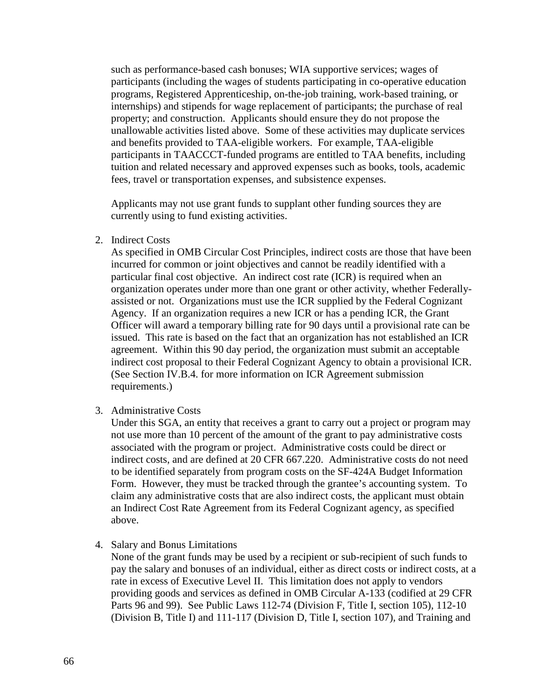such as performance-based cash bonuses; WIA supportive services; wages of participants (including the wages of students participating in co-operative education programs, Registered Apprenticeship, on-the-job training, work-based training, or internships) and stipends for wage replacement of participants; the purchase of real property; and construction. Applicants should ensure they do not propose the unallowable activities listed above. Some of these activities may duplicate services and benefits provided to TAA-eligible workers. For example, TAA-eligible participants in TAACCCT-funded programs are entitled to TAA benefits, including tuition and related necessary and approved expenses such as books, tools, academic fees, travel or transportation expenses, and subsistence expenses.

Applicants may not use grant funds to supplant other funding sources they are currently using to fund existing activities.

2. Indirect Costs

As specified in OMB Circular Cost Principles, indirect costs are those that have been incurred for common or joint objectives and cannot be readily identified with a particular final cost objective. An indirect cost rate (ICR) is required when an organization operates under more than one grant or other activity, whether Federallyassisted or not. Organizations must use the ICR supplied by the Federal Cognizant Agency. If an organization requires a new ICR or has a pending ICR, the Grant Officer will award a temporary billing rate for 90 days until a provisional rate can be issued. This rate is based on the fact that an organization has not established an ICR agreement. Within this 90 day period, the organization must submit an acceptable indirect cost proposal to their Federal Cognizant Agency to obtain a provisional ICR. (See Section IV.B.4. for more information on ICR Agreement submission requirements.)

3. Administrative Costs

Under this SGA, an entity that receives a grant to carry out a project or program may not use more than 10 percent of the amount of the grant to pay administrative costs associated with the program or project. Administrative costs could be direct or indirect costs, and are defined at 20 CFR 667.220. Administrative costs do not need to be identified separately from program costs on the SF-424A Budget Information Form. However, they must be tracked through the grantee's accounting system. To claim any administrative costs that are also indirect costs, the applicant must obtain an Indirect Cost Rate Agreement from its Federal Cognizant agency, as specified above.

4. Salary and Bonus Limitations

None of the grant funds may be used by a recipient or sub-recipient of such funds to pay the salary and bonuses of an individual, either as direct costs or indirect costs, at a rate in excess of Executive Level II. This limitation does not apply to vendors providing goods and services as defined in OMB Circular A-133 (codified at 29 CFR Parts 96 and 99). See Public Laws 112-74 (Division F, Title I, section 105), 112-10 (Division B, Title I) and 111-117 (Division D, Title I, section 107), and Training and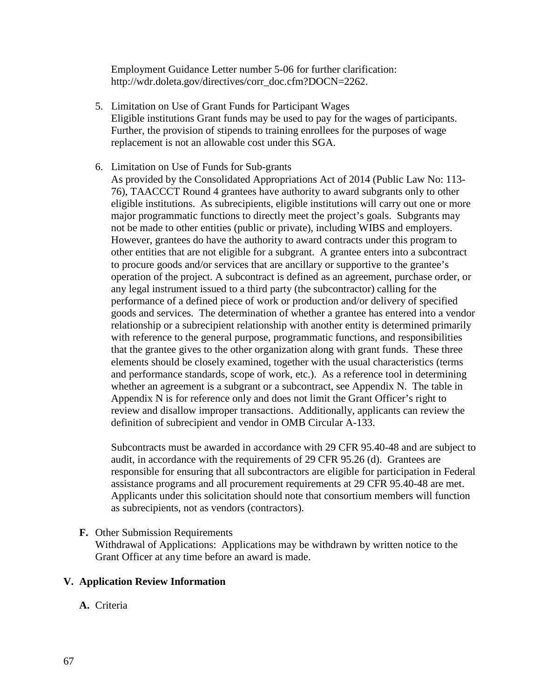Employment Guidance Letter number 5-06 for further clarification: [http://wdr.doleta.gov/directives/corr\\_doc.cfm?DOCN=2262.](http://wdr.doleta.gov/directives/corr_doc.cfm?DOCN=2262)

- 5. Limitation on Use of Grant Funds for Participant Wages Eligible institutions Grant funds may be used to pay for the wages of participants. Further, the provision of stipends to training enrollees for the purposes of wage replacement is not an allowable cost under this SGA.
- 6. Limitation on Use of Funds for Sub-grants As provided by the Consolidated Appropriations Act of 2014 (Public Law No: 113- 76), TAACCCT Round 4 grantees have authority to award subgrants only to other eligible institutions. As subrecipients, eligible institutions will carry out one or more major programmatic functions to directly meet the project's goals. Subgrants may not be made to other entities (public or private), including WIBS and employers. However, grantees do have the authority to award contracts under this program to other entities that are not eligible for a subgrant. A grantee enters into a subcontract to procure goods and/or services that are ancillary or supportive to the grantee's operation of the project. A subcontract is defined as an agreement, purchase order, or any legal instrument issued to a third party (the subcontractor) calling for the performance of a defined piece of work or production and/or delivery of specified goods and services. The determination of whether a grantee has entered into a vendor relationship or a subrecipient relationship with another entity is determined primarily with reference to the general purpose, programmatic functions, and responsibilities that the grantee gives to the other organization along with grant funds. These three elements should be closely examined, together with the usual characteristics (terms and performance standards, scope of work, etc.). As a reference tool in determining whether an agreement is a subgrant or a subcontract, see Appendix N. The table in Appendix N is for reference only and does not limit the Grant Officer's right to review and disallow improper transactions. Additionally, applicants can review the definition of subrecipient and vendor in OMB Circular A-133.

Subcontracts must be awarded in accordance with 29 CFR 95.40-48 and are subject to audit, in accordance with the requirements of 29 CFR 95.26 (d). Grantees are responsible for ensuring that all subcontractors are eligible for participation in Federal assistance programs and all procurement requirements at 29 CFR 95.40-48 are met. Applicants under this solicitation should note that consortium members will function as subrecipients, not as vendors (contractors).

**F.** Other Submission Requirements

Withdrawal of Applications: Applications may be withdrawn by written notice to the Grant Officer at any time before an award is made.

### **V. Application Review Information**

**A.** Criteria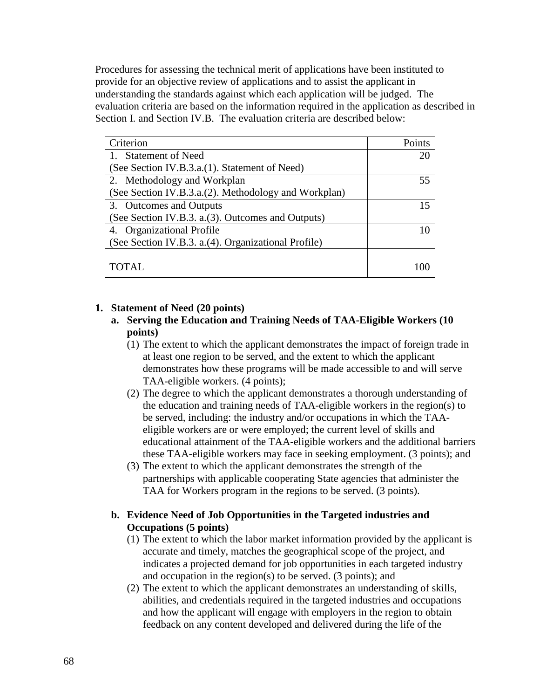Procedures for assessing the technical merit of applications have been instituted to provide for an objective review of applications and to assist the applicant in understanding the standards against which each application will be judged. The evaluation criteria are based on the information required in the application as described in Section I. and Section IV.B. The evaluation criteria are described below:

| Criterion                                            | Points |
|------------------------------------------------------|--------|
| <b>Statement of Need</b>                             | 20     |
| (See Section IV.B.3.a.(1). Statement of Need)        |        |
| 2. Methodology and Workplan                          | 55     |
| (See Section IV.B.3.a.(2). Methodology and Workplan) |        |
| 3. Outcomes and Outputs                              | 15     |
| (See Section IV.B.3. a. (3). Outcomes and Outputs)   |        |
| 4. Organizational Profile                            |        |
| (See Section IV.B.3. a.(4). Organizational Profile)  |        |
|                                                      |        |
| TOTAL.                                               |        |

# **1. Statement of Need (20 points)**

- **a. Serving the Education and Training Needs of TAA-Eligible Workers (10 points)**
	- (1) The extent to which the applicant demonstrates the impact of foreign trade in at least one region to be served, and the extent to which the applicant demonstrates how these programs will be made accessible to and will serve TAA-eligible workers. (4 points);
	- (2) The degree to which the applicant demonstrates a thorough understanding of the education and training needs of TAA-eligible workers in the region(s) to be served, including: the industry and/or occupations in which the TAAeligible workers are or were employed; the current level of skills and educational attainment of the TAA-eligible workers and the additional barriers these TAA-eligible workers may face in seeking employment. (3 points); and
	- (3) The extent to which the applicant demonstrates the strength of the partnerships with applicable cooperating State agencies that administer the TAA for Workers program in the regions to be served. (3 points).

## **b. Evidence Need of Job Opportunities in the Targeted industries and Occupations (5 points)**

- (1) The extent to which the labor market information provided by the applicant is accurate and timely, matches the geographical scope of the project, and indicates a projected demand for job opportunities in each targeted industry and occupation in the region(s) to be served. (3 points); and
- (2) The extent to which the applicant demonstrates an understanding of skills, abilities, and credentials required in the targeted industries and occupations and how the applicant will engage with employers in the region to obtain feedback on any content developed and delivered during the life of the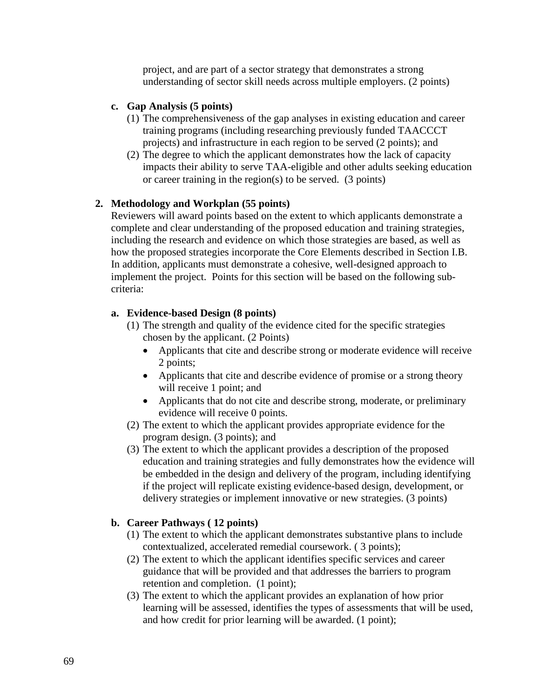project, and are part of a sector strategy that demonstrates a strong understanding of sector skill needs across multiple employers. (2 points)

## **c. Gap Analysis (5 points)**

- (1) The comprehensiveness of the gap analyses in existing education and career training programs (including researching previously funded TAACCCT projects) and infrastructure in each region to be served (2 points); and
- (2) The degree to which the applicant demonstrates how the lack of capacity impacts their ability to serve TAA-eligible and other adults seeking education or career training in the region(s) to be served. (3 points)

### **2. Methodology and Workplan (55 points)**

Reviewers will award points based on the extent to which applicants demonstrate a complete and clear understanding of the proposed education and training strategies, including the research and evidence on which those strategies are based, as well as how the proposed strategies incorporate the Core Elements described in Section I.B. In addition, applicants must demonstrate a cohesive, well-designed approach to implement the project. Points for this section will be based on the following subcriteria:

### **a. Evidence-based Design (8 points)**

- (1) The strength and quality of the evidence cited for the specific strategies chosen by the applicant. (2 Points)
	- Applicants that cite and describe strong or moderate evidence will receive 2 points;
	- Applicants that cite and describe evidence of promise or a strong theory will receive 1 point; and
	- Applicants that do not cite and describe strong, moderate, or preliminary evidence will receive 0 points.
- (2) The extent to which the applicant provides appropriate evidence for the program design. (3 points); and
- (3) The extent to which the applicant provides a description of the proposed education and training strategies and fully demonstrates how the evidence will be embedded in the design and delivery of the program, including identifying if the project will replicate existing evidence-based design, development, or delivery strategies or implement innovative or new strategies. (3 points)

## **b. Career Pathways ( 12 points)**

- (1) The extent to which the applicant demonstrates substantive plans to include contextualized, accelerated remedial coursework. ( 3 points);
- (2) The extent to which the applicant identifies specific services and career guidance that will be provided and that addresses the barriers to program retention and completion. (1 point);
- (3) The extent to which the applicant provides an explanation of how prior learning will be assessed, identifies the types of assessments that will be used, and how credit for prior learning will be awarded. (1 point);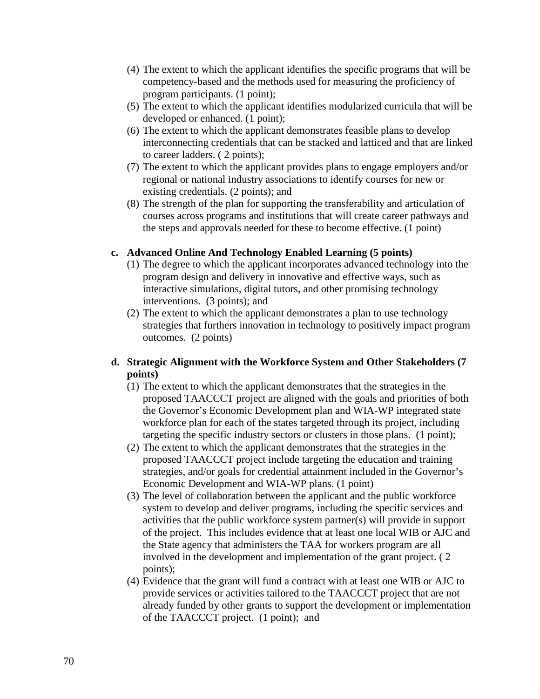- (4) The extent to which the applicant identifies the specific programs that will be competency-based and the methods used for measuring the proficiency of program participants. (1 point);
- (5) The extent to which the applicant identifies modularized curricula that will be developed or enhanced. (1 point);
- (6) The extent to which the applicant demonstrates feasible plans to develop interconnecting credentials that can be stacked and latticed and that are linked to career ladders. ( 2 points);
- (7) The extent to which the applicant provides plans to engage employers and/or regional or national industry associations to identify courses for new or existing credentials. (2 points); and
- (8) The strength of the plan for supporting the transferability and articulation of courses across programs and institutions that will create career pathways and the steps and approvals needed for these to become effective. (1 point)

## **c. Advanced Online And Technology Enabled Learning (5 points)**

- (1) The degree to which the applicant incorporates advanced technology into the program design and delivery in innovative and effective ways, such as interactive simulations, digital tutors, and other promising technology interventions. (3 points); and
- (2) The extent to which the applicant demonstrates a plan to use technology strategies that furthers innovation in technology to positively impact program outcomes. (2 points)

# **d. Strategic Alignment with the Workforce System and Other Stakeholders (7 points)**

- (1) The extent to which the applicant demonstrates that the strategies in the proposed TAACCCT project are aligned with the goals and priorities of both the Governor's Economic Development plan and WIA-WP integrated state workforce plan for each of the states targeted through its project, including targeting the specific industry sectors or clusters in those plans. (1 point);
- (2) The extent to which the applicant demonstrates that the strategies in the proposed TAACCCT project include targeting the education and training strategies, and/or goals for credential attainment included in the Governor's Economic Development and WIA-WP plans. (1 point)
- (3) The level of collaboration between the applicant and the public workforce system to develop and deliver programs, including the specific services and activities that the public workforce system partner(s) will provide in support of the project. This includes evidence that at least one local WIB or AJC and the State agency that administers the TAA for workers program are all involved in the development and implementation of the grant project. ( 2 points);
- (4) Evidence that the grant will fund a contract with at least one WIB or AJC to provide services or activities tailored to the TAACCCT project that are not already funded by other grants to support the development or implementation of the TAACCCT project. (1 point); and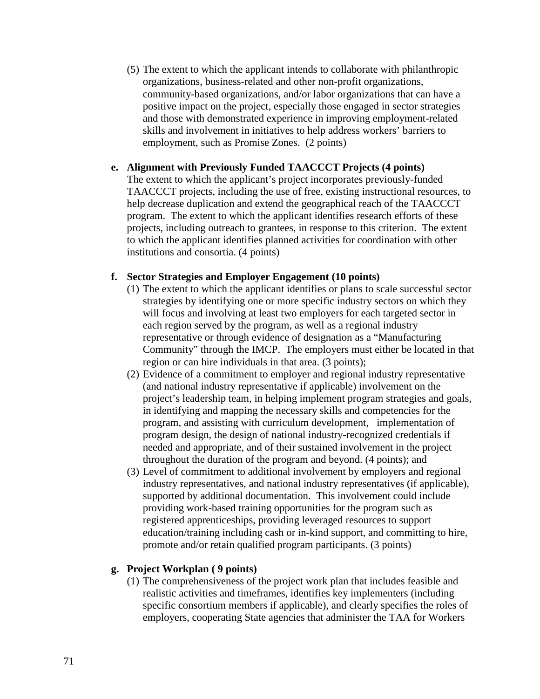(5) The extent to which the applicant intends to collaborate with philanthropic organizations, business-related and other non-profit organizations, community-based organizations, and/or labor organizations that can have a positive impact on the project, especially those engaged in sector strategies and those with demonstrated experience in improving employment-related skills and involvement in initiatives to help address workers' barriers to employment, such as Promise Zones. (2 points)

### **e. Alignment with Previously Funded TAACCCT Projects (4 points)**

The extent to which the applicant's project incorporates previously-funded TAACCCT projects, including the use of free, existing instructional resources, to help decrease duplication and extend the geographical reach of the TAACCCT program. The extent to which the applicant identifies research efforts of these projects, including outreach to grantees, in response to this criterion. The extent to which the applicant identifies planned activities for coordination with other institutions and consortia. (4 points)

## **f. Sector Strategies and Employer Engagement (10 points)**

- (1) The extent to which the applicant identifies or plans to scale successful sector strategies by identifying one or more specific industry sectors on which they will focus and involving at least two employers for each targeted sector in each region served by the program, as well as a regional industry representative or through evidence of designation as a "Manufacturing Community" through the IMCP. The employers must either be located in that region or can hire individuals in that area. (3 points);
- (2) Evidence of a commitment to employer and regional industry representative (and national industry representative if applicable) involvement on the project's leadership team, in helping implement program strategies and goals, in identifying and mapping the necessary skills and competencies for the program, and assisting with curriculum development, implementation of program design, the design of national industry-recognized credentials if needed and appropriate, and of their sustained involvement in the project throughout the duration of the program and beyond. (4 points); and
- (3) Level of commitment to additional involvement by employers and regional industry representatives, and national industry representatives (if applicable), supported by additional documentation. This involvement could include providing work-based training opportunities for the program such as registered apprenticeships, providing leveraged resources to support education/training including cash or in-kind support, and committing to hire, promote and/or retain qualified program participants. (3 points)

## **g. Project Workplan ( 9 points)**

(1) The comprehensiveness of the project work plan that includes feasible and realistic activities and timeframes, identifies key implementers (including specific consortium members if applicable), and clearly specifies the roles of employers, cooperating State agencies that administer the TAA for Workers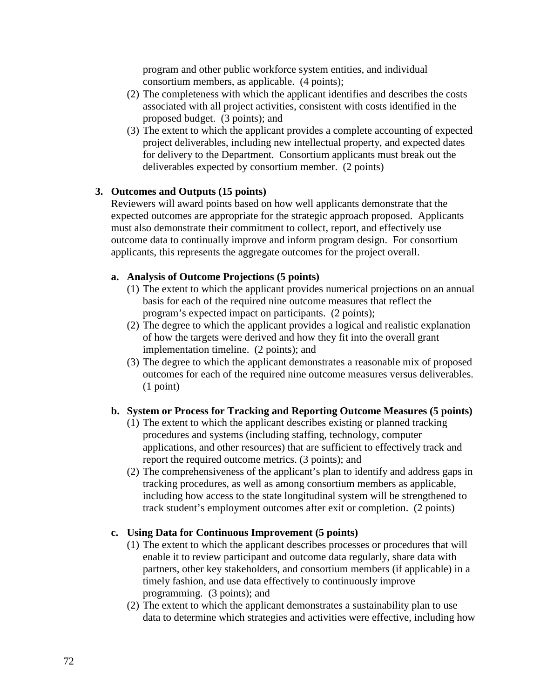program and other public workforce system entities, and individual consortium members, as applicable. (4 points);

- (2) The completeness with which the applicant identifies and describes the costs associated with all project activities, consistent with costs identified in the proposed budget. (3 points); and
- (3) The extent to which the applicant provides a complete accounting of expected project deliverables, including new intellectual property, and expected dates for delivery to the Department. Consortium applicants must break out the deliverables expected by consortium member. (2 points)

## **3. Outcomes and Outputs (15 points)**

Reviewers will award points based on how well applicants demonstrate that the expected outcomes are appropriate for the strategic approach proposed. Applicants must also demonstrate their commitment to collect, report, and effectively use outcome data to continually improve and inform program design. For consortium applicants, this represents the aggregate outcomes for the project overall.

## **a. Analysis of Outcome Projections (5 points)**

- (1) The extent to which the applicant provides numerical projections on an annual basis for each of the required nine outcome measures that reflect the program's expected impact on participants. (2 points);
- (2) The degree to which the applicant provides a logical and realistic explanation of how the targets were derived and how they fit into the overall grant implementation timeline. (2 points); and
- (3) The degree to which the applicant demonstrates a reasonable mix of proposed outcomes for each of the required nine outcome measures versus deliverables. (1 point)

# **b. System or Process for Tracking and Reporting Outcome Measures (5 points)**

- (1) The extent to which the applicant describes existing or planned tracking procedures and systems (including staffing, technology, computer applications, and other resources) that are sufficient to effectively track and report the required outcome metrics. (3 points); and
- (2) The comprehensiveness of the applicant's plan to identify and address gaps in tracking procedures, as well as among consortium members as applicable, including how access to the state longitudinal system will be strengthened to track student's employment outcomes after exit or completion. (2 points)

# **c. Using Data for Continuous Improvement (5 points)**

- (1) The extent to which the applicant describes processes or procedures that will enable it to review participant and outcome data regularly, share data with partners, other key stakeholders, and consortium members (if applicable) in a timely fashion, and use data effectively to continuously improve programming. (3 points); and
- (2) The extent to which the applicant demonstrates a sustainability plan to use data to determine which strategies and activities were effective, including how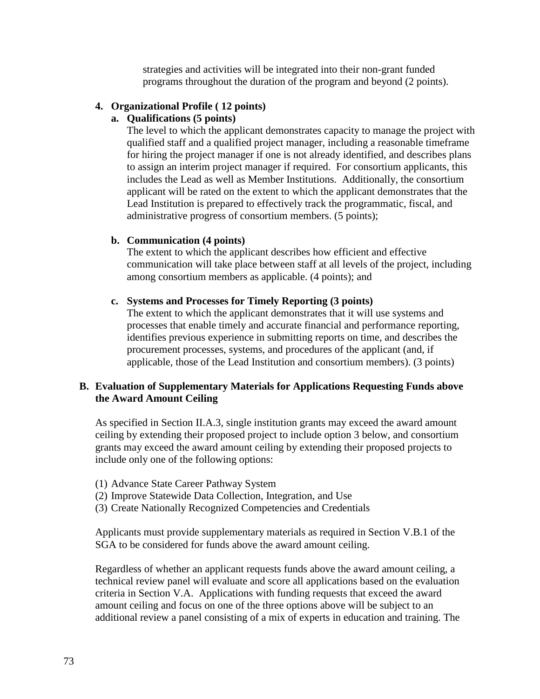strategies and activities will be integrated into their non-grant funded programs throughout the duration of the program and beyond (2 points).

# **4. Organizational Profile ( 12 points)**

# **a. Qualifications (5 points)**

The level to which the applicant demonstrates capacity to manage the project with qualified staff and a qualified project manager, including a reasonable timeframe for hiring the project manager if one is not already identified, and describes plans to assign an interim project manager if required. For consortium applicants, this includes the Lead as well as Member Institutions. Additionally, the consortium applicant will be rated on the extent to which the applicant demonstrates that the Lead Institution is prepared to effectively track the programmatic, fiscal, and administrative progress of consortium members. (5 points);

# **b. Communication (4 points)**

The extent to which the applicant describes how efficient and effective communication will take place between staff at all levels of the project, including among consortium members as applicable. (4 points); and

# **c. Systems and Processes for Timely Reporting (3 points)**

The extent to which the applicant demonstrates that it will use systems and processes that enable timely and accurate financial and performance reporting, identifies previous experience in submitting reports on time, and describes the procurement processes, systems, and procedures of the applicant (and, if applicable, those of the Lead Institution and consortium members). (3 points)

# **B. Evaluation of Supplementary Materials for Applications Requesting Funds above the Award Amount Ceiling**

As specified in Section II.A.3, single institution grants may exceed the award amount ceiling by extending their proposed project to include option 3 below, and consortium grants may exceed the award amount ceiling by extending their proposed projects to include only one of the following options:

- (1) Advance State Career Pathway System
- (2) Improve Statewide Data Collection, Integration, and Use
- (3) Create Nationally Recognized Competencies and Credentials

Applicants must provide supplementary materials as required in Section V.B.1 of the SGA to be considered for funds above the award amount ceiling.

Regardless of whether an applicant requests funds above the award amount ceiling, a technical review panel will evaluate and score all applications based on the evaluation criteria in Section V.A. Applications with funding requests that exceed the award amount ceiling and focus on one of the three options above will be subject to an additional review a panel consisting of a mix of experts in education and training. The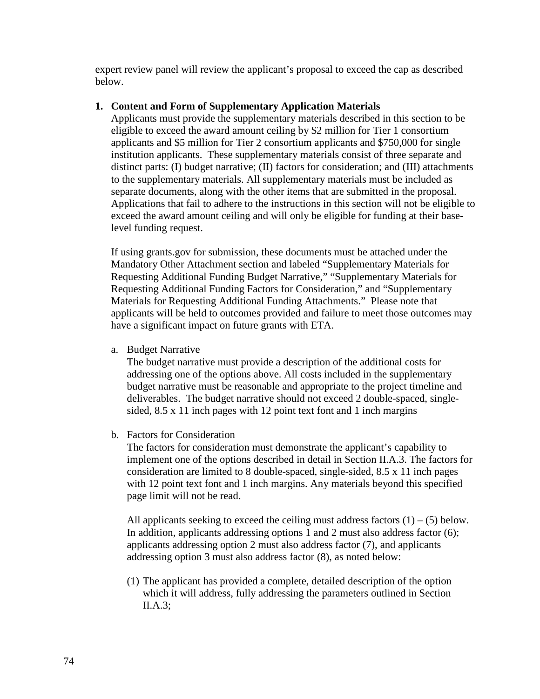expert review panel will review the applicant's proposal to exceed the cap as described below.

# **1. Content and Form of Supplementary Application Materials**

Applicants must provide the supplementary materials described in this section to be eligible to exceed the award amount ceiling by \$2 million for Tier 1 consortium applicants and \$5 million for Tier 2 consortium applicants and \$750,000 for single institution applicants. These supplementary materials consist of three separate and distinct parts: (I) budget narrative; (II) factors for consideration; and (III) attachments to the supplementary materials. All supplementary materials must be included as separate documents, along with the other items that are submitted in the proposal. Applications that fail to adhere to the instructions in this section will not be eligible to exceed the award amount ceiling and will only be eligible for funding at their baselevel funding request.

If using grants.gov for submission, these documents must be attached under the Mandatory Other Attachment section and labeled "Supplementary Materials for Requesting Additional Funding Budget Narrative," "Supplementary Materials for Requesting Additional Funding Factors for Consideration," and "Supplementary Materials for Requesting Additional Funding Attachments." Please note that applicants will be held to outcomes provided and failure to meet those outcomes may have a significant impact on future grants with ETA.

a. Budget Narrative

The budget narrative must provide a description of the additional costs for addressing one of the options above. All costs included in the supplementary budget narrative must be reasonable and appropriate to the project timeline and deliverables. The budget narrative should not exceed 2 double-spaced, singlesided, 8.5 x 11 inch pages with 12 point text font and 1 inch margins

b. Factors for Consideration

The factors for consideration must demonstrate the applicant's capability to implement one of the options described in detail in Section II.A.3. The factors for consideration are limited to 8 double-spaced, single-sided, 8.5 x 11 inch pages with 12 point text font and 1 inch margins. Any materials beyond this specified page limit will not be read.

All applicants seeking to exceed the ceiling must address factors  $(1) - (5)$  below. In addition, applicants addressing options 1 and 2 must also address factor (6); applicants addressing option 2 must also address factor (7), and applicants addressing option 3 must also address factor (8), as noted below:

(1) The applicant has provided a complete, detailed description of the option which it will address, fully addressing the parameters outlined in Section II.A.3;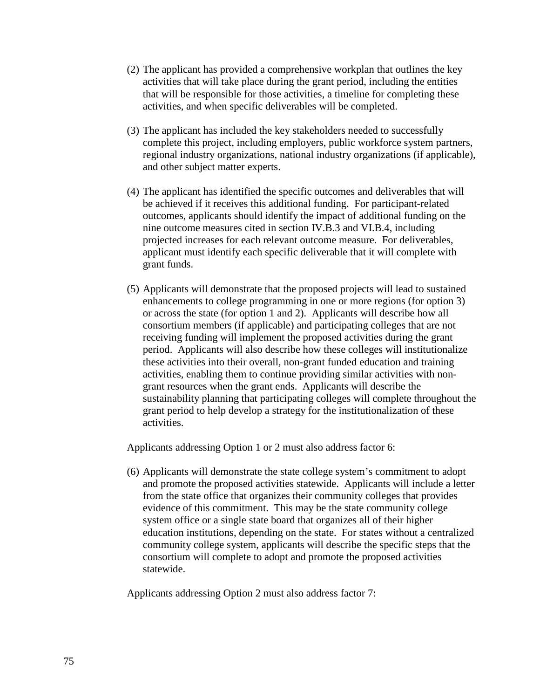- (2) The applicant has provided a comprehensive workplan that outlines the key activities that will take place during the grant period, including the entities that will be responsible for those activities, a timeline for completing these activities, and when specific deliverables will be completed.
- (3) The applicant has included the key stakeholders needed to successfully complete this project, including employers, public workforce system partners, regional industry organizations, national industry organizations (if applicable), and other subject matter experts.
- (4) The applicant has identified the specific outcomes and deliverables that will be achieved if it receives this additional funding. For participant-related outcomes, applicants should identify the impact of additional funding on the nine outcome measures cited in section IV.B.3 and VI.B.4, including projected increases for each relevant outcome measure. For deliverables, applicant must identify each specific deliverable that it will complete with grant funds.
- (5) Applicants will demonstrate that the proposed projects will lead to sustained enhancements to college programming in one or more regions (for option 3) or across the state (for option 1 and 2). Applicants will describe how all consortium members (if applicable) and participating colleges that are not receiving funding will implement the proposed activities during the grant period. Applicants will also describe how these colleges will institutionalize these activities into their overall, non-grant funded education and training activities, enabling them to continue providing similar activities with nongrant resources when the grant ends. Applicants will describe the sustainability planning that participating colleges will complete throughout the grant period to help develop a strategy for the institutionalization of these activities.

Applicants addressing Option 1 or 2 must also address factor 6:

(6) Applicants will demonstrate the state college system's commitment to adopt and promote the proposed activities statewide. Applicants will include a letter from the state office that organizes their community colleges that provides evidence of this commitment. This may be the state community college system office or a single state board that organizes all of their higher education institutions, depending on the state. For states without a centralized community college system, applicants will describe the specific steps that the consortium will complete to adopt and promote the proposed activities statewide.

Applicants addressing Option 2 must also address factor 7: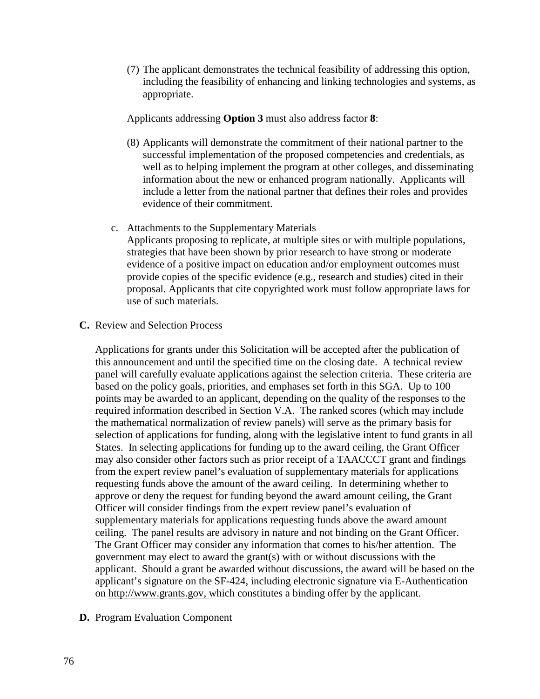(7) The applicant demonstrates the technical feasibility of addressing this option, including the feasibility of enhancing and linking technologies and systems, as appropriate.

Applicants addressing **Option 3** must also address factor **8**:

- (8) Applicants will demonstrate the commitment of their national partner to the successful implementation of the proposed competencies and credentials, as well as to helping implement the program at other colleges, and disseminating information about the new or enhanced program nationally. Applicants will include a letter from the national partner that defines their roles and provides evidence of their commitment.
- c. Attachments to the Supplementary Materials

Applicants proposing to replicate, at multiple sites or with multiple populations, strategies that have been shown by prior research to have strong or moderate evidence of a positive impact on education and/or employment outcomes must provide copies of the specific evidence (e.g., research and studies) cited in their proposal. Applicants that cite copyrighted work must follow appropriate laws for use of such materials.

**C.** Review and Selection Process

Applications for grants under this Solicitation will be accepted after the publication of this announcement and until the specified time on the closing date. A technical review panel will carefully evaluate applications against the selection criteria. These criteria are based on the policy goals, priorities, and emphases set forth in this SGA. Up to 100 points may be awarded to an applicant, depending on the quality of the responses to the required information described in Section V.A. The ranked scores (which may include the mathematical normalization of review panels) will serve as the primary basis for selection of applications for funding, along with the legislative intent to fund grants in all States. In selecting applications for funding up to the award ceiling, the Grant Officer may also consider other factors such as prior receipt of a TAACCCT grant and findings from the expert review panel's evaluation of supplementary materials for applications requesting funds above the amount of the award ceiling. In determining whether to approve or deny the request for funding beyond the award amount ceiling, the Grant Officer will consider findings from the expert review panel's evaluation of supplementary materials for applications requesting funds above the award amount ceiling. The panel results are advisory in nature and not binding on the Grant Officer. The Grant Officer may consider any information that comes to his/her attention. The government may elect to award the grant(s) with or without discussions with the applicant. Should a grant be awarded without discussions, the award will be based on the applicant's signature on the SF-424, including electronic signature via E-Authentication on [http://www.grants.gov,](http://www.grants.gov/) which constitutes a binding offer by the applicant.

**D.** Program Evaluation Component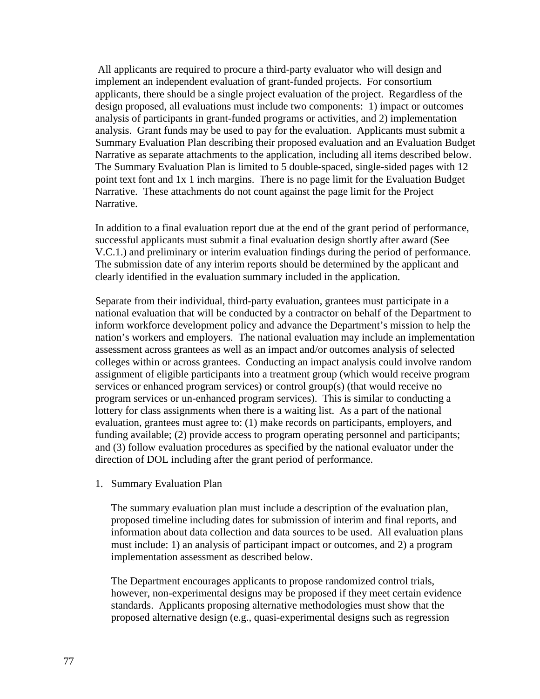All applicants are required to procure a third-party evaluator who will design and implement an independent evaluation of grant-funded projects. For consortium applicants, there should be a single project evaluation of the project. Regardless of the design proposed, all evaluations must include two components: 1) impact or outcomes analysis of participants in grant-funded programs or activities, and 2) implementation analysis. Grant funds may be used to pay for the evaluation. Applicants must submit a Summary Evaluation Plan describing their proposed evaluation and an Evaluation Budget Narrative as separate attachments to the application, including all items described below. The Summary Evaluation Plan is limited to 5 double-spaced, single-sided pages with 12 point text font and 1x 1 inch margins. There is no page limit for the Evaluation Budget Narrative. These attachments do not count against the page limit for the Project Narrative.

In addition to a final evaluation report due at the end of the grant period of performance, successful applicants must submit a final evaluation design shortly after award (See V.C.1.) and preliminary or interim evaluation findings during the period of performance. The submission date of any interim reports should be determined by the applicant and clearly identified in the evaluation summary included in the application.

Separate from their individual, third-party evaluation, grantees must participate in a national evaluation that will be conducted by a contractor on behalf of the Department to inform workforce development policy and advance the Department's mission to help the nation's workers and employers. The national evaluation may include an implementation assessment across grantees as well as an impact and/or outcomes analysis of selected colleges within or across grantees. Conducting an impact analysis could involve random assignment of eligible participants into a treatment group (which would receive program services or enhanced program services) or control group(s) (that would receive no program services or un-enhanced program services). This is similar to conducting a lottery for class assignments when there is a waiting list. As a part of the national evaluation, grantees must agree to: (1) make records on participants, employers, and funding available; (2) provide access to program operating personnel and participants; and (3) follow evaluation procedures as specified by the national evaluator under the direction of DOL including after the grant period of performance.

1. Summary Evaluation Plan

The summary evaluation plan must include a description of the evaluation plan, proposed timeline including dates for submission of interim and final reports, and information about data collection and data sources to be used. All evaluation plans must include: 1) an analysis of participant impact or outcomes, and 2) a program implementation assessment as described below.

The Department encourages applicants to propose randomized control trials, however, non-experimental designs may be proposed if they meet certain evidence standards. Applicants proposing alternative methodologies must show that the proposed alternative design (e.g., quasi-experimental designs such as regression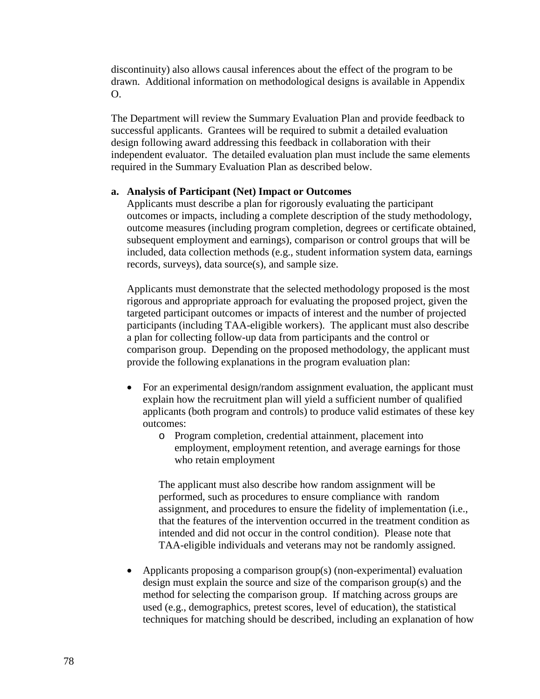discontinuity) also allows causal inferences about the effect of the program to be drawn. Additional information on methodological designs is available in Appendix  $\Omega$ .

The Department will review the Summary Evaluation Plan and provide feedback to successful applicants. Grantees will be required to submit a detailed evaluation design following award addressing this feedback in collaboration with their independent evaluator. The detailed evaluation plan must include the same elements required in the Summary Evaluation Plan as described below.

# **a. Analysis of Participant (Net) Impact or Outcomes**

Applicants must describe a plan for rigorously evaluating the participant outcomes or impacts, including a complete description of the study methodology, outcome measures (including program completion, degrees or certificate obtained, subsequent employment and earnings), comparison or control groups that will be included, data collection methods (e.g., student information system data, earnings records, surveys), data source(s), and sample size.

Applicants must demonstrate that the selected methodology proposed is the most rigorous and appropriate approach for evaluating the proposed project, given the targeted participant outcomes or impacts of interest and the number of projected participants (including TAA-eligible workers). The applicant must also describe a plan for collecting follow-up data from participants and the control or comparison group. Depending on the proposed methodology, the applicant must provide the following explanations in the program evaluation plan:

- For an experimental design/random assignment evaluation, the applicant must explain how the recruitment plan will yield a sufficient number of qualified applicants (both program and controls) to produce valid estimates of these key outcomes:
	- o Program completion, credential attainment, placement into employment, employment retention, and average earnings for those who retain employment

The applicant must also describe how random assignment will be performed, such as procedures to ensure compliance with random assignment, and procedures to ensure the fidelity of implementation (i.e., that the features of the intervention occurred in the treatment condition as intended and did not occur in the control condition). Please note that TAA-eligible individuals and veterans may not be randomly assigned.

• Applicants proposing a comparison group(s) (non-experimental) evaluation design must explain the source and size of the comparison group(s) and the method for selecting the comparison group. If matching across groups are used (e.g., demographics, pretest scores, level of education), the statistical techniques for matching should be described, including an explanation of how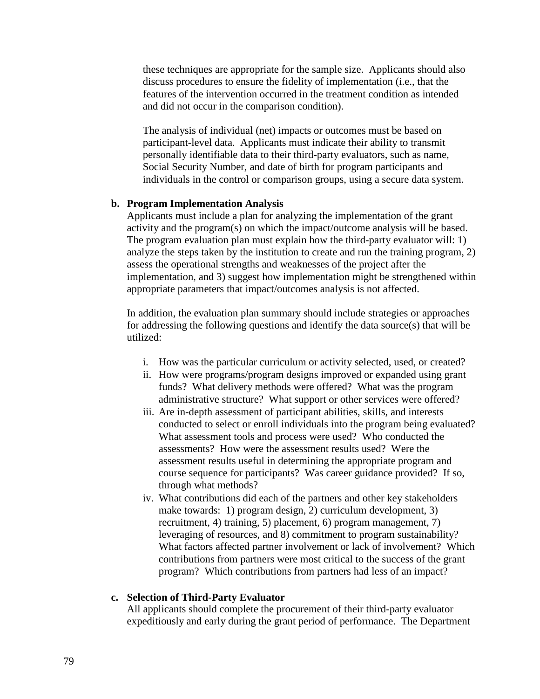these techniques are appropriate for the sample size. Applicants should also discuss procedures to ensure the fidelity of implementation (i.e., that the features of the intervention occurred in the treatment condition as intended and did not occur in the comparison condition).

The analysis of individual (net) impacts or outcomes must be based on participant-level data. Applicants must indicate their ability to transmit personally identifiable data to their third-party evaluators, such as name, Social Security Number, and date of birth for program participants and individuals in the control or comparison groups, using a secure data system.

### **b. Program Implementation Analysis**

Applicants must include a plan for analyzing the implementation of the grant activity and the program(s) on which the impact/outcome analysis will be based. The program evaluation plan must explain how the third-party evaluator will: 1) analyze the steps taken by the institution to create and run the training program, 2) assess the operational strengths and weaknesses of the project after the implementation, and 3) suggest how implementation might be strengthened within appropriate parameters that impact/outcomes analysis is not affected.

In addition, the evaluation plan summary should include strategies or approaches for addressing the following questions and identify the data source(s) that will be utilized:

- i. How was the particular curriculum or activity selected, used, or created?
- ii. How were programs/program designs improved or expanded using grant funds? What delivery methods were offered? What was the program administrative structure? What support or other services were offered?
- iii. Are in-depth assessment of participant abilities, skills, and interests conducted to select or enroll individuals into the program being evaluated? What assessment tools and process were used? Who conducted the assessments? How were the assessment results used? Were the assessment results useful in determining the appropriate program and course sequence for participants? Was career guidance provided? If so, through what methods?
- iv. What contributions did each of the partners and other key stakeholders make towards: 1) program design, 2) curriculum development, 3) recruitment, 4) training, 5) placement, 6) program management, 7) leveraging of resources, and 8) commitment to program sustainability? What factors affected partner involvement or lack of involvement? Which contributions from partners were most critical to the success of the grant program? Which contributions from partners had less of an impact?

### **c. Selection of Third-Party Evaluator**

All applicants should complete the procurement of their third-party evaluator expeditiously and early during the grant period of performance. The Department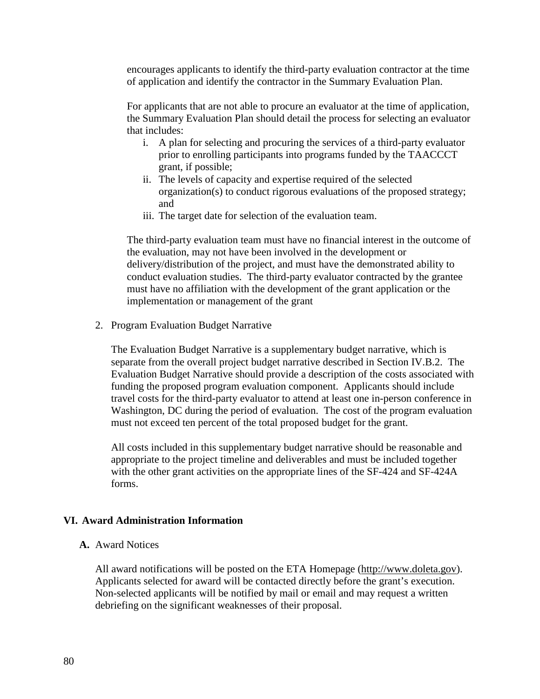encourages applicants to identify the third-party evaluation contractor at the time of application and identify the contractor in the Summary Evaluation Plan.

For applicants that are not able to procure an evaluator at the time of application, the Summary Evaluation Plan should detail the process for selecting an evaluator that includes:

- i. A plan for selecting and procuring the services of a third-party evaluator prior to enrolling participants into programs funded by the TAACCCT grant, if possible;
- ii. The levels of capacity and expertise required of the selected organization(s) to conduct rigorous evaluations of the proposed strategy; and
- iii. The target date for selection of the evaluation team.

The third-party evaluation team must have no financial interest in the outcome of the evaluation, may not have been involved in the development or delivery/distribution of the project, and must have the demonstrated ability to conduct evaluation studies. The third-party evaluator contracted by the grantee must have no affiliation with the development of the grant application or the implementation or management of the grant

2. Program Evaluation Budget Narrative

The Evaluation Budget Narrative is a supplementary budget narrative, which is separate from the overall project budget narrative described in Section IV.B.2. The Evaluation Budget Narrative should provide a description of the costs associated with funding the proposed program evaluation component. Applicants should include travel costs for the third-party evaluator to attend at least one in-person conference in Washington, DC during the period of evaluation. The cost of the program evaluation must not exceed ten percent of the total proposed budget for the grant.

All costs included in this supplementary budget narrative should be reasonable and appropriate to the project timeline and deliverables and must be included together with the other grant activities on the appropriate lines of the SF-424 and SF-424A forms.

#### **VI. Award Administration Information**

### **A.** Award Notices

All award notifications will be posted on the ETA Homepage [\(http://www.doleta.gov\)](http://www.doleta.gov/). Applicants selected for award will be contacted directly before the grant's execution. Non-selected applicants will be notified by mail or email and may request a written debriefing on the significant weaknesses of their proposal.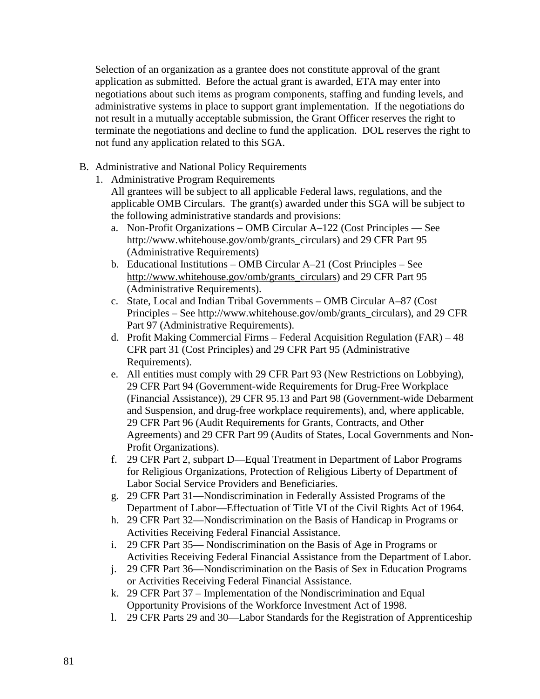Selection of an organization as a grantee does not constitute approval of the grant application as submitted. Before the actual grant is awarded, ETA may enter into negotiations about such items as program components, staffing and funding levels, and administrative systems in place to support grant implementation. If the negotiations do not result in a mutually acceptable submission, the Grant Officer reserves the right to terminate the negotiations and decline to fund the application. DOL reserves the right to not fund any application related to this SGA.

- B. Administrative and National Policy Requirements
	- 1. Administrative Program Requirements
		- All grantees will be subject to all applicable Federal laws, regulations, and the applicable OMB Circulars. The grant(s) awarded under this SGA will be subject to the following administrative standards and provisions:
		- a. Non-Profit Organizations OMB Circular A–122 (Cost Principles See http://www.whitehouse.gov/omb/grants\_circulars) and 29 CFR Part 95 (Administrative Requirements)
		- b. Educational Institutions OMB Circular A–21 (Cost Principles See [http://www.whitehouse.gov/omb/grants\\_circulars\)](http://www.whitehouse.gov/omb/grants_circulars) and 29 CFR Part 95 (Administrative Requirements).
		- c. State, Local and Indian Tribal Governments OMB Circular A–87 (Cost Principles – See [http://www.whitehouse.gov/omb/grants\\_circulars\)](http://www.whitehouse.gov/omb/grants_circulars), and 29 CFR Part 97 (Administrative Requirements).
		- d. Profit Making Commercial Firms Federal Acquisition Regulation (FAR) 48 CFR part 31 (Cost Principles) and 29 CFR Part 95 (Administrative Requirements).
		- e. All entities must comply with 29 CFR Part 93 (New Restrictions on Lobbying), 29 CFR Part 94 (Government-wide Requirements for Drug-Free Workplace (Financial Assistance)), 29 CFR 95.13 and Part 98 (Government-wide Debarment and Suspension, and drug-free workplace requirements), and, where applicable, 29 CFR Part 96 (Audit Requirements for Grants, Contracts, and Other Agreements) and 29 CFR Part 99 (Audits of States, Local Governments and Non-Profit Organizations).
		- f. 29 CFR Part 2, subpart D—Equal Treatment in Department of Labor Programs for Religious Organizations, Protection of Religious Liberty of Department of Labor Social Service Providers and Beneficiaries.
		- g. 29 CFR Part 31—Nondiscrimination in Federally Assisted Programs of the Department of Labor—Effectuation of Title VI of the Civil Rights Act of 1964.
		- h. 29 CFR Part 32—Nondiscrimination on the Basis of Handicap in Programs or Activities Receiving Federal Financial Assistance.
		- i. 29 CFR Part 35— Nondiscrimination on the Basis of Age in Programs or Activities Receiving Federal Financial Assistance from the Department of Labor.
		- j. 29 CFR Part 36—Nondiscrimination on the Basis of Sex in Education Programs or Activities Receiving Federal Financial Assistance.
		- k. 29 CFR Part 37 Implementation of the Nondiscrimination and Equal Opportunity Provisions of the Workforce Investment Act of 1998.
		- l. 29 CFR Parts 29 and 30—Labor Standards for the Registration of Apprenticeship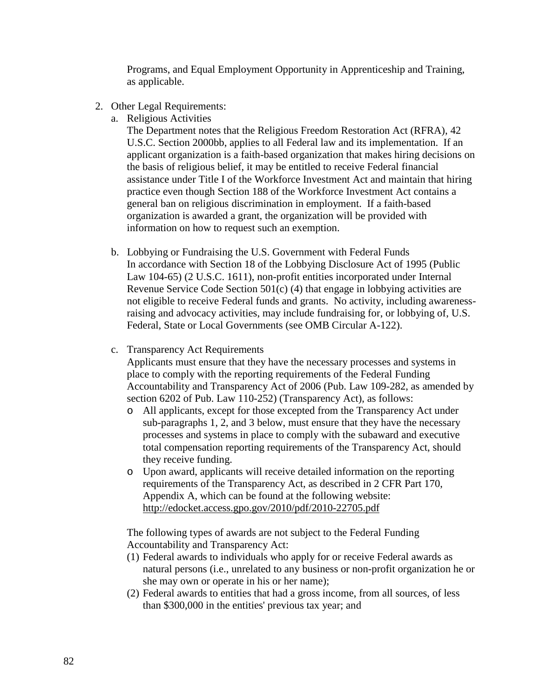Programs, and Equal Employment Opportunity in Apprenticeship and Training, as applicable.

- 2. Other Legal Requirements:
	- a. Religious Activities

The Department notes that the Religious Freedom Restoration Act (RFRA), 42 U.S.C. Section 2000bb, applies to all Federal law and its implementation. If an applicant organization is a faith-based organization that makes hiring decisions on the basis of religious belief, it may be entitled to receive Federal financial assistance under Title I of the Workforce Investment Act and maintain that hiring practice even though Section 188 of the Workforce Investment Act contains a general ban on religious discrimination in employment. If a faith-based organization is awarded a grant, the organization will be provided with information on how to request such an exemption.

- b. Lobbying or Fundraising the U.S. Government with Federal Funds In accordance with Section 18 of the Lobbying Disclosure Act of 1995 (Public Law 104-65) (2 U.S.C. 1611), non-profit entities incorporated under Internal Revenue Service Code Section 501(c) (4) that engage in lobbying activities are not eligible to receive Federal funds and grants. No activity, including awarenessraising and advocacy activities, may include fundraising for, or lobbying of, U.S. Federal, State or Local Governments (see OMB Circular A-122).
- c. Transparency Act Requirements

Applicants must ensure that they have the necessary processes and systems in place to comply with the reporting requirements of the Federal Funding Accountability and Transparency Act of 2006 (Pub. Law 109-282, as amended by section 6202 of Pub. Law 110-252) (Transparency Act), as follows:

- o All applicants, except for those excepted from the Transparency Act under sub-paragraphs 1, 2, and 3 below, must ensure that they have the necessary processes and systems in place to comply with the subaward and executive total compensation reporting requirements of the Transparency Act, should they receive funding.
- o Upon award, applicants will receive detailed information on the reporting requirements of the Transparency Act, as described in 2 CFR Part 170, Appendix A, which can be found at the following website: <http://edocket.access.gpo.gov/2010/pdf/2010-22705.pdf>

The following types of awards are not subject to the Federal Funding Accountability and Transparency Act:

- (1) Federal awards to individuals who apply for or receive Federal awards as natural persons (i.e., unrelated to any business or non-profit organization he or she may own or operate in his or her name);
- (2) Federal awards to entities that had a gross income, from all sources, of less than \$300,000 in the entities' previous tax year; and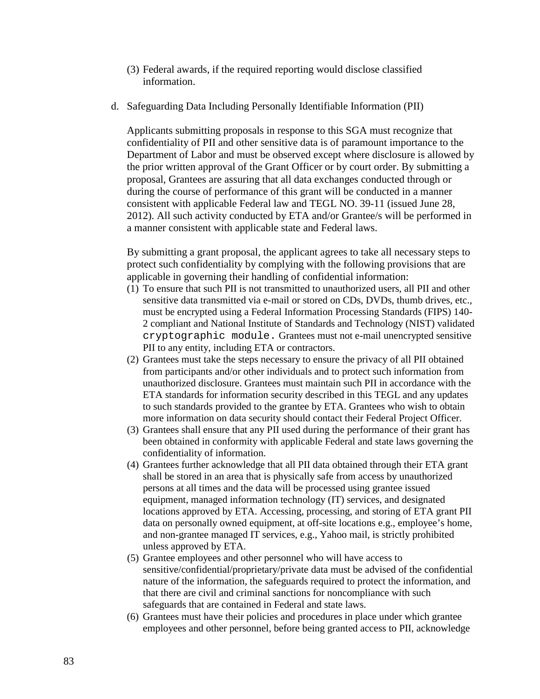- (3) Federal awards, if the required reporting would disclose classified information.
- d. Safeguarding Data Including Personally Identifiable Information (PII)

Applicants submitting proposals in response to this SGA must recognize that confidentiality of PII and other sensitive data is of paramount importance to the Department of Labor and must be observed except where disclosure is allowed by the prior written approval of the Grant Officer or by court order. By submitting a proposal, Grantees are assuring that all data exchanges conducted through or during the course of performance of this grant will be conducted in a manner consistent with applicable Federal law and TEGL NO. 39-11 (issued June 28, 2012). All such activity conducted by ETA and/or Grantee/s will be performed in a manner consistent with applicable state and Federal laws.

By submitting a grant proposal, the applicant agrees to take all necessary steps to protect such confidentiality by complying with the following provisions that are applicable in governing their handling of confidential information:

- (1) To ensure that such PII is not transmitted to unauthorized users, all PII and other sensitive data transmitted via e-mail or stored on CDs, DVDs, thumb drives, etc., must be encrypted using a Federal Information Processing Standards (FIPS) 140- 2 compliant and National Institute of Standards and Technology (NIST) validated cryptographic module. Grantees must not e-mail unencrypted sensitive PII to any entity, including ETA or contractors.
- (2) Grantees must take the steps necessary to ensure the privacy of all PII obtained from participants and/or other individuals and to protect such information from unauthorized disclosure. Grantees must maintain such PII in accordance with the ETA standards for information security described in this TEGL and any updates to such standards provided to the grantee by ETA. Grantees who wish to obtain more information on data security should contact their Federal Project Officer.
- (3) Grantees shall ensure that any PII used during the performance of their grant has been obtained in conformity with applicable Federal and state laws governing the confidentiality of information.
- (4) Grantees further acknowledge that all PII data obtained through their ETA grant shall be stored in an area that is physically safe from access by unauthorized persons at all times and the data will be processed using grantee issued equipment, managed information technology (IT) services, and designated locations approved by ETA. Accessing, processing, and storing of ETA grant PII data on personally owned equipment, at off-site locations e.g., employee's home, and non-grantee managed IT services, e.g., Yahoo mail, is strictly prohibited unless approved by ETA.
- (5) Grantee employees and other personnel who will have access to sensitive/confidential/proprietary/private data must be advised of the confidential nature of the information, the safeguards required to protect the information, and that there are civil and criminal sanctions for noncompliance with such safeguards that are contained in Federal and state laws.
- (6) Grantees must have their policies and procedures in place under which grantee employees and other personnel, before being granted access to PII, acknowledge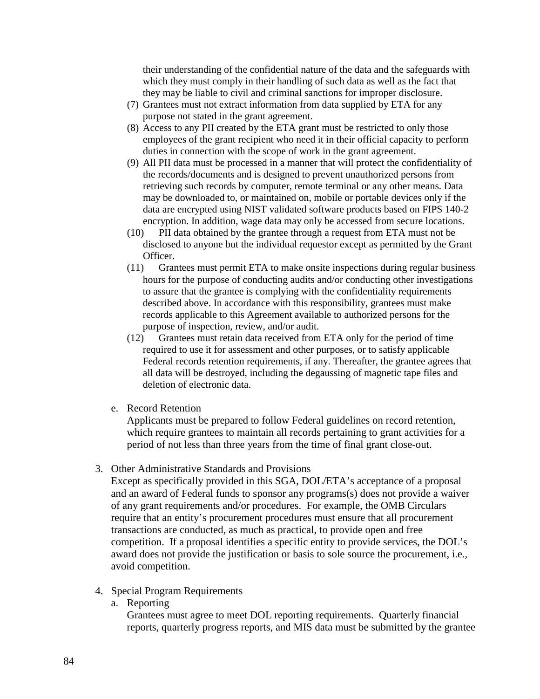their understanding of the confidential nature of the data and the safeguards with which they must comply in their handling of such data as well as the fact that they may be liable to civil and criminal sanctions for improper disclosure.

- (7) Grantees must not extract information from data supplied by ETA for any purpose not stated in the grant agreement.
- (8) Access to any PII created by the ETA grant must be restricted to only those employees of the grant recipient who need it in their official capacity to perform duties in connection with the scope of work in the grant agreement.
- (9) All PII data must be processed in a manner that will protect the confidentiality of the records/documents and is designed to prevent unauthorized persons from retrieving such records by computer, remote terminal or any other means. Data may be downloaded to, or maintained on, mobile or portable devices only if the data are encrypted using NIST validated software products based on FIPS 140-2 encryption. In addition, wage data may only be accessed from secure locations.
- (10) PII data obtained by the grantee through a request from ETA must not be disclosed to anyone but the individual requestor except as permitted by the Grant Officer.
- (11) Grantees must permit ETA to make onsite inspections during regular business hours for the purpose of conducting audits and/or conducting other investigations to assure that the grantee is complying with the confidentiality requirements described above. In accordance with this responsibility, grantees must make records applicable to this Agreement available to authorized persons for the purpose of inspection, review, and/or audit.
- (12) Grantees must retain data received from ETA only for the period of time required to use it for assessment and other purposes, or to satisfy applicable Federal records retention requirements, if any. Thereafter, the grantee agrees that all data will be destroyed, including the degaussing of magnetic tape files and deletion of electronic data.
- e. Record Retention

Applicants must be prepared to follow Federal guidelines on record retention, which require grantees to maintain all records pertaining to grant activities for a period of not less than three years from the time of final grant close-out.

3. Other Administrative Standards and Provisions

Except as specifically provided in this SGA, DOL/ETA's acceptance of a proposal and an award of Federal funds to sponsor any programs(s) does not provide a waiver of any grant requirements and/or procedures. For example, the OMB Circulars require that an entity's procurement procedures must ensure that all procurement transactions are conducted, as much as practical, to provide open and free competition. If a proposal identifies a specific entity to provide services, the DOL's award does not provide the justification or basis to sole source the procurement, i.e., avoid competition.

- 4. Special Program Requirements
	- a. Reporting

Grantees must agree to meet DOL reporting requirements. Quarterly financial reports, quarterly progress reports, and MIS data must be submitted by the grantee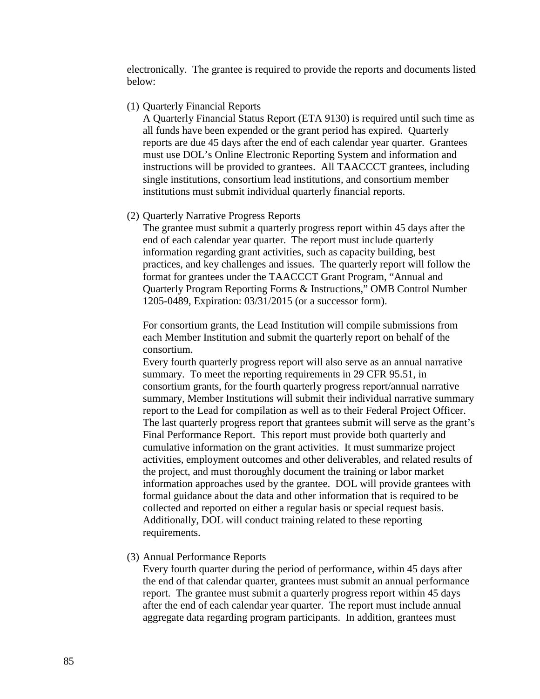electronically. The grantee is required to provide the reports and documents listed below:

#### (1) Quarterly Financial Reports

A Quarterly Financial Status Report (ETA 9130) is required until such time as all funds have been expended or the grant period has expired. Quarterly reports are due 45 days after the end of each calendar year quarter. Grantees must use DOL's Online Electronic Reporting System and information and instructions will be provided to grantees. All TAACCCT grantees, including single institutions, consortium lead institutions, and consortium member institutions must submit individual quarterly financial reports.

### (2) Quarterly Narrative Progress Reports

The grantee must submit a quarterly progress report within 45 days after the end of each calendar year quarter. The report must include quarterly information regarding grant activities, such as capacity building, best practices, and key challenges and issues. The quarterly report will follow the format for grantees under the TAACCCT Grant Program, "Annual and Quarterly Program Reporting Forms & Instructions," OMB Control Number 1205-0489, Expiration: 03/31/2015 (or a successor form).

For consortium grants, the Lead Institution will compile submissions from each Member Institution and submit the quarterly report on behalf of the consortium.

Every fourth quarterly progress report will also serve as an annual narrative summary. To meet the reporting requirements in 29 CFR 95.51, in consortium grants, for the fourth quarterly progress report/annual narrative summary, Member Institutions will submit their individual narrative summary report to the Lead for compilation as well as to their Federal Project Officer. The last quarterly progress report that grantees submit will serve as the grant's Final Performance Report. This report must provide both quarterly and cumulative information on the grant activities. It must summarize project activities, employment outcomes and other deliverables, and related results of the project, and must thoroughly document the training or labor market information approaches used by the grantee. DOL will provide grantees with formal guidance about the data and other information that is required to be collected and reported on either a regular basis or special request basis. Additionally, DOL will conduct training related to these reporting requirements.

### (3) Annual Performance Reports

Every fourth quarter during the period of performance, within 45 days after the end of that calendar quarter, grantees must submit an annual performance report. The grantee must submit a quarterly progress report within 45 days after the end of each calendar year quarter. The report must include annual aggregate data regarding program participants. In addition, grantees must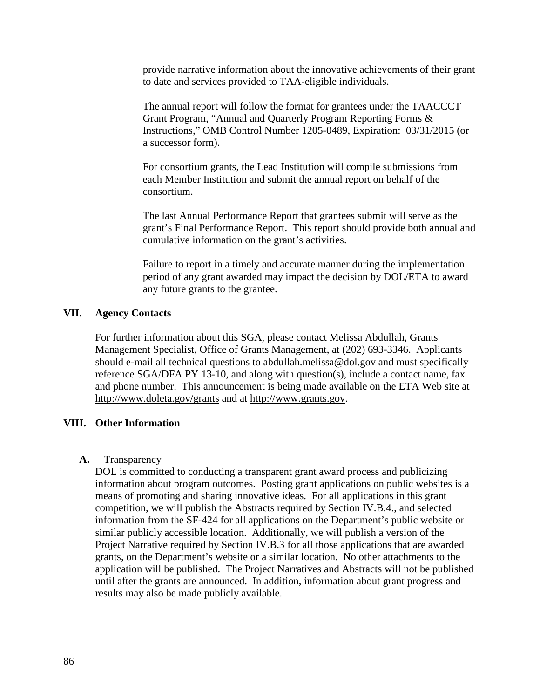provide narrative information about the innovative achievements of their grant to date and services provided to TAA-eligible individuals.

The annual report will follow the format for grantees under the TAACCCT Grant Program, "Annual and Quarterly Program Reporting Forms & Instructions," OMB Control Number 1205-0489, Expiration: 03/31/2015 (or a successor form).

For consortium grants, the Lead Institution will compile submissions from each Member Institution and submit the annual report on behalf of the consortium.

The last Annual Performance Report that grantees submit will serve as the grant's Final Performance Report. This report should provide both annual and cumulative information on the grant's activities.

Failure to report in a timely and accurate manner during the implementation period of any grant awarded may impact the decision by DOL/ETA to award any future grants to the grantee.

# **VII. Agency Contacts**

For further information about this SGA, please contact Melissa Abdullah, Grants Management Specialist, Office of Grants Management, at (202) 693-3346. Applicants should e-mail all technical questions to [abdullah.melissa@dol.gov](mailto:abdullah.melissa@dol.gov) and must specifically reference SGA/DFA PY 13-10, and along with question(s), include a contact name, fax and phone number. This announcement is being made available on the ETA Web site at <http://www.doleta.gov/grants> and at [http://www.grants.gov.](http://www.grants.gov/)

## **VIII. Other Information**

## **A.** Transparency

DOL is committed to conducting a transparent grant award process and publicizing information about program outcomes. Posting grant applications on public websites is a means of promoting and sharing innovative ideas. For all applications in this grant competition, we will publish the Abstracts required by Section IV.B.4., and selected information from the SF-424 for all applications on the Department's public website or similar publicly accessible location. Additionally, we will publish a version of the Project Narrative required by Section IV.B.3 for all those applications that are awarded grants, on the Department's website or a similar location. No other attachments to the application will be published. The Project Narratives and Abstracts will not be published until after the grants are announced. In addition, information about grant progress and results may also be made publicly available.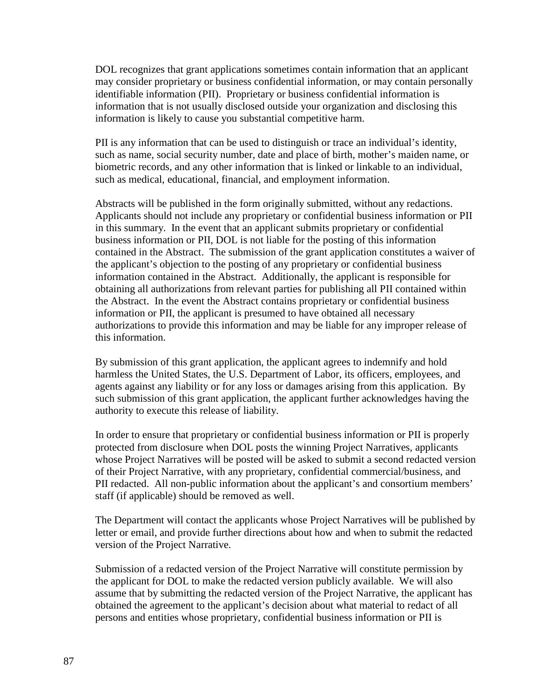DOL recognizes that grant applications sometimes contain information that an applicant may consider proprietary or business confidential information, or may contain personally identifiable information (PII). Proprietary or business confidential information is information that is not usually disclosed outside your organization and disclosing this information is likely to cause you substantial competitive harm.

PII is any information that can be used to distinguish or trace an individual's identity, such as name, social security number, date and place of birth, mother's maiden name, or biometric records, and any other information that is linked or linkable to an individual, such as medical, educational, financial, and employment information.

Abstracts will be published in the form originally submitted, without any redactions. Applicants should not include any proprietary or confidential business information or PII in this summary. In the event that an applicant submits proprietary or confidential business information or PII, DOL is not liable for the posting of this information contained in the Abstract. The submission of the grant application constitutes a waiver of the applicant's objection to the posting of any proprietary or confidential business information contained in the Abstract. Additionally, the applicant is responsible for obtaining all authorizations from relevant parties for publishing all PII contained within the Abstract. In the event the Abstract contains proprietary or confidential business information or PII, the applicant is presumed to have obtained all necessary authorizations to provide this information and may be liable for any improper release of this information.

By submission of this grant application, the applicant agrees to indemnify and hold harmless the United States, the U.S. Department of Labor, its officers, employees, and agents against any liability or for any loss or damages arising from this application. By such submission of this grant application, the applicant further acknowledges having the authority to execute this release of liability.

In order to ensure that proprietary or confidential business information or PII is properly protected from disclosure when DOL posts the winning Project Narratives, applicants whose Project Narratives will be posted will be asked to submit a second redacted version of their Project Narrative, with any proprietary, confidential commercial/business, and PII redacted. All non-public information about the applicant's and consortium members' staff (if applicable) should be removed as well.

The Department will contact the applicants whose Project Narratives will be published by letter or email, and provide further directions about how and when to submit the redacted version of the Project Narrative.

Submission of a redacted version of the Project Narrative will constitute permission by the applicant for DOL to make the redacted version publicly available. We will also assume that by submitting the redacted version of the Project Narrative, the applicant has obtained the agreement to the applicant's decision about what material to redact of all persons and entities whose proprietary, confidential business information or PII is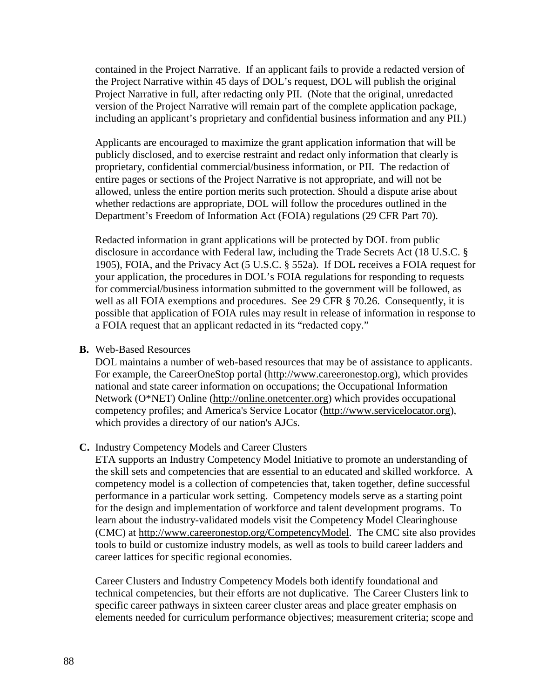contained in the Project Narrative. If an applicant fails to provide a redacted version of the Project Narrative within 45 days of DOL's request, DOL will publish the original Project Narrative in full, after redacting only PII. (Note that the original, unredacted version of the Project Narrative will remain part of the complete application package, including an applicant's proprietary and confidential business information and any PII.)

Applicants are encouraged to maximize the grant application information that will be publicly disclosed, and to exercise restraint and redact only information that clearly is proprietary, confidential commercial/business information, or PII. The redaction of entire pages or sections of the Project Narrative is not appropriate, and will not be allowed, unless the entire portion merits such protection. Should a dispute arise about whether redactions are appropriate, DOL will follow the procedures outlined in the Department's Freedom of Information Act (FOIA) regulations (29 CFR Part 70).

Redacted information in grant applications will be protected by DOL from public disclosure in accordance with Federal law, including the Trade Secrets Act (18 U.S.C. § 1905), FOIA, and the Privacy Act (5 U.S.C. § 552a). If DOL receives a FOIA request for your application, the procedures in DOL's FOIA regulations for responding to requests for commercial/business information submitted to the government will be followed, as well as all FOIA exemptions and procedures. See 29 CFR § 70.26. Consequently, it is possible that application of FOIA rules may result in release of information in response to a FOIA request that an applicant redacted in its "redacted copy."

### **B.** Web-Based Resources

DOL maintains a number of web-based resources that may be of assistance to applicants. For example, the CareerOneStop portal [\(http://www.careeronestop.org\)](http://www.careeronestop.org/), which provides national and state career information on occupations; the Occupational Information Network (O\*NET) Online [\(http://online.onetcenter.org\)](http://online.onetcenter.org/) which provides occupational competency profiles; and America's Service Locator [\(http://www.servicelocator.org\)](http://www.servicelocator.org/), which provides a directory of our nation's AJCs.

## **C.** Industry Competency Models and Career Clusters

ETA supports an Industry Competency Model Initiative to promote an understanding of the skill sets and competencies that are essential to an educated and skilled workforce. A competency model is a collection of competencies that, taken together, define successful performance in a particular work setting. Competency models serve as a starting point for the design and implementation of workforce and talent development programs. To learn about the industry-validated models visit the Competency Model Clearinghouse (CMC) at [http://www.careeronestop.org/CompetencyModel.](http://www.careeronestop.org/CompetencyModel) The CMC site also provides tools to build or customize industry models, as well as tools to build career ladders and career lattices for specific regional economies.

Career Clusters and Industry Competency Models both identify foundational and technical competencies, but their efforts are not duplicative. The Career Clusters link to specific career pathways in sixteen career cluster areas and place greater emphasis on elements needed for curriculum performance objectives; measurement criteria; scope and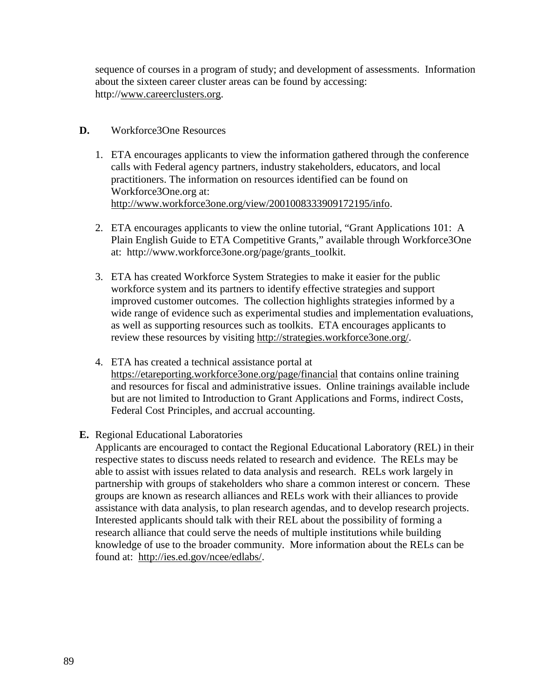sequence of courses in a program of study; and development of assessments. Information about the sixteen career cluster areas can be found by accessing: http:/[/www.careerclusters.org.](http://www.careerclusters.org/)

# **D.** Workforce3One Resources

- 1. ETA encourages applicants to view the information gathered through the conference calls with Federal agency partners, industry stakeholders, educators, and local practitioners. The information on resources identified can be found on Workforce3One.org at: [http://www.workforce3one.org/view/2001008333909172195/info.](http://www.workforce3one.org/view/2001008333909172195/info)
- 2. ETA encourages applicants to view the online tutorial, "Grant Applications 101: A Plain English Guide to ETA Competitive Grants," available through Workforce3One at: [http://www.workforce3one.org/page/grants\\_toolkit.](http://www.workforce3one.org/page/grants_toolkit)
- 3. ETA has created Workforce System Strategies to make it easier for the public workforce system and its partners to identify effective strategies and support improved customer outcomes. The collection highlights strategies informed by a wide range of evidence such as experimental studies and implementation evaluations, as well as supporting resources such as toolkits. ETA encourages applicants to review these resources by visiting [http://strategies.workforce3one.org/.](http://strategies.workforce3one.org/)
- 4. ETA has created a technical assistance portal at <https://etareporting.workforce3one.org/page/financial> that contains online training and resources for fiscal and administrative issues. Online trainings available include but are not limited to Introduction to Grant Applications and Forms, indirect Costs, Federal Cost Principles, and accrual accounting.
- **E.** Regional Educational Laboratories

Applicants are encouraged to contact the Regional Educational Laboratory (REL) in their respective states to discuss needs related to research and evidence. The RELs may be able to assist with issues related to data analysis and research. RELs work largely in partnership with groups of stakeholders who share a common interest or concern. These groups are known as research alliances and RELs work with their alliances to provide assistance with data analysis, to plan research agendas, and to develop research projects. Interested applicants should talk with their REL about the possibility of forming a research alliance that could serve the needs of multiple institutions while building knowledge of use to the broader community. More information about the RELs can be found at: [http://ies.ed.gov/ncee/edlabs/.](http://ies.ed.gov/ncee/edlabs/)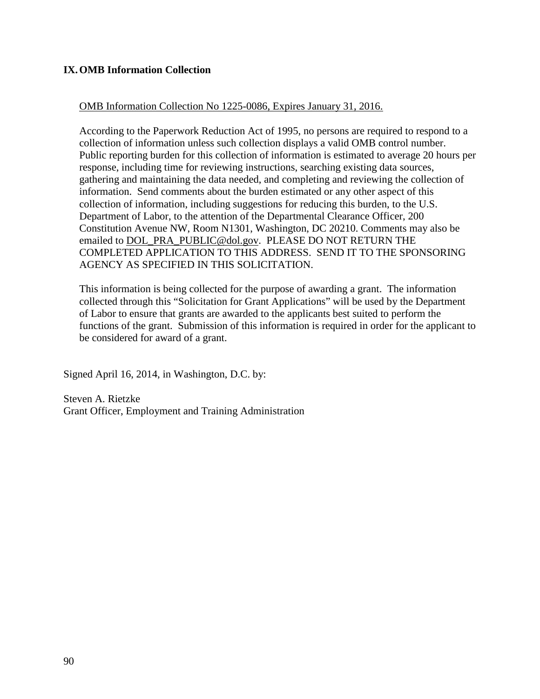# **IX.OMB Information Collection**

# OMB Information Collection No 1225-0086, Expires January 31, 2016.

According to the Paperwork Reduction Act of 1995, no persons are required to respond to a collection of information unless such collection displays a valid OMB control number. Public reporting burden for this collection of information is estimated to average 20 hours per response, including time for reviewing instructions, searching existing data sources, gathering and maintaining the data needed, and completing and reviewing the collection of information. Send comments about the burden estimated or any other aspect of this collection of information, including suggestions for reducing this burden, to the U.S. Department of Labor, to the attention of the Departmental Clearance Officer, 200 Constitution Avenue NW, Room N1301, Washington, DC 20210. Comments may also be emailed to [DOL\\_PRA\\_PUBLIC@dol.gov.](mailto:DOL_PRA_PUBLIC@dol.gov) PLEASE DO NOT RETURN THE COMPLETED APPLICATION TO THIS ADDRESS. SEND IT TO THE SPONSORING AGENCY AS SPECIFIED IN THIS SOLICITATION.

This information is being collected for the purpose of awarding a grant. The information collected through this "Solicitation for Grant Applications" will be used by the Department of Labor to ensure that grants are awarded to the applicants best suited to perform the functions of the grant. Submission of this information is required in order for the applicant to be considered for award of a grant.

Signed April 16, 2014, in Washington, D.C. by:

Steven A. Rietzke Grant Officer, Employment and Training Administration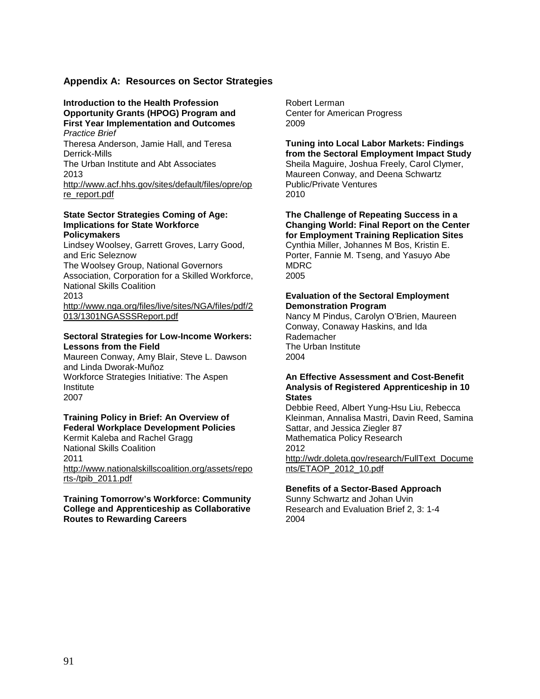### **Appendix A: Resources on Sector Strategies**

#### **Introduction to the Health Profession Opportunity Grants (HPOG) Program and First Year Implementation and Outcomes** *Practice Brief*

Theresa Anderson, Jamie Hall, and Teresa Derrick-Mills

The Urban Institute and Abt Associates 2013

[http://www.acf.hhs.gov/sites/default/files/opre/op](http://www.acf.hhs.gov/sites/default/files/opre/opre_report.pdf) [re\\_report.pdf](http://www.acf.hhs.gov/sites/default/files/opre/opre_report.pdf)

#### **State Sector Strategies Coming of Age: Implications for State Workforce Policymakers**

Lindsey Woolsey, Garrett Groves, Larry Good, and Eric Seleznow The Woolsey Group, National Governors Association, Corporation for a Skilled Workforce, National Skills Coalition 2013 [http://www.nga.org/files/live/sites/NGA/files/pdf/2](http://www.nga.org/files/live/sites/NGA/files/pdf/2013/1301NGASSSReport.pdf) [013/1301NGASSSReport.pdf](http://www.nga.org/files/live/sites/NGA/files/pdf/2013/1301NGASSSReport.pdf)

#### **Sectoral Strategies for Low-Income Workers: Lessons from the Field**

Maureen Conway, Amy Blair, Steve L. Dawson and Linda Dworak-Muñoz Workforce Strategies Initiative: The Aspen **Institute** 2007

### **Training Policy in Brief: An Overview of Federal Workplace Development Policies**

Kermit Kaleba and Rachel Gragg National Skills Coalition 2011 [http://www.nationalskillscoalition.org/assets/repo](http://www.nationalskillscoalition.org/assets/reports-/tpib_2011.pdf) [rts-/tpib\\_2011.pdf](http://www.nationalskillscoalition.org/assets/reports-/tpib_2011.pdf)

#### **Training Tomorrow's Workforce: Community College and Apprenticeship as Collaborative Routes to Rewarding Careers**

Robert Lerman Center for American Progress 2009

**Tuning into Local Labor Markets: Findings from the Sectoral Employment Impact Study** Sheila Maguire, Joshua Freely, Carol Clymer, Maureen Conway, and Deena Schwartz Public/Private Ventures 2010

**The Challenge of Repeating Success in a Changing World: Final Report on the Center for Employment Training Replication Sites** Cynthia Miller, Johannes M Bos, Kristin E. Porter, Fannie M. Tseng, and Yasuyo Abe MDRC 2005

#### **Evaluation of the Sectoral Employment Demonstration Program**

Nancy M Pindus, Carolyn O'Brien, Maureen Conway, Conaway Haskins, and Ida Rademacher The Urban Institute 2004

#### **An Effective Assessment and Cost-Benefit Analysis of Registered Apprenticeship in 10 States**

Debbie Reed, Albert Yung-Hsu Liu, Rebecca Kleinman, Annalisa Mastri, Davin Reed, Samina Sattar, and Jessica Ziegler 87 Mathematica Policy Research 2012 [http://wdr.doleta.gov/research/FullText\\_Docume](http://wdr.doleta.gov/research/FullText_Documents/ETAOP_2012_10.pdf) [nts/ETAOP\\_2012\\_10.pdf](http://wdr.doleta.gov/research/FullText_Documents/ETAOP_2012_10.pdf)

#### **Benefits of a Sector-Based Approach**

Sunny Schwartz and Johan Uvin Research and Evaluation Brief 2, 3: 1-4 2004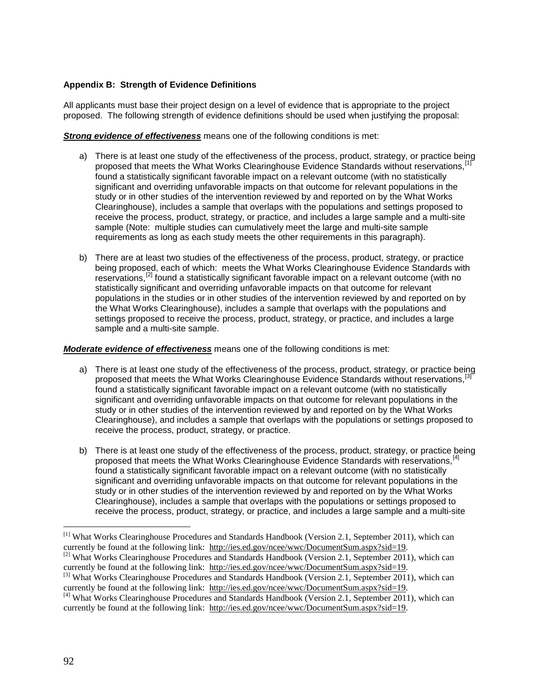### **Appendix B: Strength of Evidence Definitions**

All applicants must base their project design on a level of evidence that is appropriate to the project proposed. The following strength of evidence definitions should be used when justifying the proposal:

**Strong evidence of effectiveness** means one of the following conditions is met:

- a) There is at least one study of the effectiveness of the process, product, strategy, or practice being proposed that meets the What Works Clearinghouse Evidence Standards without reservations.<sup>[1</sup>] found a statistically significant favorable impact on a relevant outcome (with no statistically significant and overriding unfavorable impacts on that outcome for relevant populations in the study or in other studies of the intervention reviewed by and reported on by the What Works Clearinghouse), includes a sample that overlaps with the populations and settings proposed to receive the process, product, strategy, or practice, and includes a large sample and a multi-site sample (Note: multiple studies can cumulatively meet the large and multi-site sample requirements as long as each study meets the other requirements in this paragraph).
- b) There are at least two studies of the effectiveness of the process, product, strategy, or practice being proposed, each of which: meets the What Works Clearinghouse Evidence Standards with reservations,<sup>[\[2\]](#page-91-0)</sup> found a statistically significant favorable impact on a relevant outcome (with no statistically significant and overriding unfavorable impacts on that outcome for relevant populations in the studies or in other studies of the intervention reviewed by and reported on by the What Works Clearinghouse), includes a sample that overlaps with the populations and settings proposed to receive the process, product, strategy, or practice, and includes a large sample and a multi-site sample.

#### *Moderate evidence of effectiveness* means one of the following conditions is met:

- a) There is at least one study of the effectiveness of the process, product, strategy, or practice being proposed that meets the What Works Clearinghouse Evidence Standards without reservations, found a statistically significant favorable impact on a relevant outcome (with no statistically significant and overriding unfavorable impacts on that outcome for relevant populations in the study or in other studies of the intervention reviewed by and reported on by the What Works Clearinghouse), and includes a sample that overlaps with the populations or settings proposed to receive the process, product, strategy, or practice.
- b) There is at least one study of the effectiveness of the process, product, strategy, or practice being proposed that meets the What Works Clearinghouse Evidence Standards with reservations, [\[4\]](#page-91-2) found a statistically significant favorable impact on a relevant outcome (with no statistically significant and overriding unfavorable impacts on that outcome for relevant populations in the study or in other studies of the intervention reviewed by and reported on by the What Works Clearinghouse), includes a sample that overlaps with the populations or settings proposed to receive the process, product, strategy, or practice, and includes a large sample and a multi-site

<span id="page-91-3"></span><span id="page-91-1"></span><sup>[3]</sup> What Works Clearinghouse Procedures and Standards Handbook (Version 2.1, September 2011), which can currently be found at the following link: http:/[/ies.ed.gov/ncee/wwc/DocumentSum.aspx?sid=19.](http://ies.ed.gov/ncee/wwc/DocumentSum.aspx?sid=19)

 <sup>[1]</sup> What Works Clearinghouse Procedures and Standards Handbook (Version 2.1, September 2011), which can currently be found at the following link: http:/[/ies.ed.gov/ncee/wwc/DocumentSum.aspx?sid=19.](http://ies.ed.gov/ncee/wwc/DocumentSum.aspx?sid=19)<br><sup>[2]</sup> What Works Clearinghouse Procedures and Standards Handbook (Version 2.1, September 2011), which can currently be found at

<span id="page-91-0"></span>

<span id="page-91-2"></span><sup>&</sup>lt;sup>[4]</sup> What Works Clearinghouse Procedures and Standards Handbook (Version 2.1, September 2011), which can currently be found at the following link: http:/[/ies.ed.gov/ncee/wwc/DocumentSum.aspx?sid=19.](http://ies.ed.gov/ncee/wwc/DocumentSum.aspx?sid=19)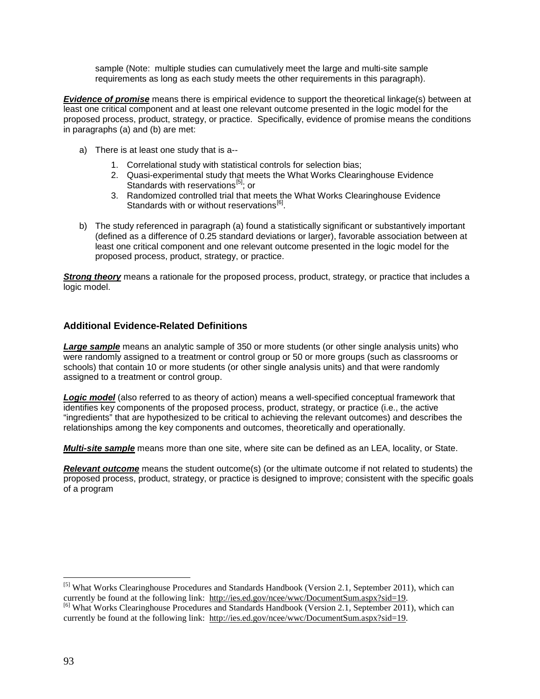sample (Note: multiple studies can cumulatively meet the large and multi-site sample requirements as long as each study meets the other requirements in this paragraph).

*Evidence of promise* means there is empirical evidence to support the theoretical linkage(s) between at least one critical component and at least one relevant outcome presented in the logic model for the proposed process, product, strategy, or practice. Specifically, evidence of promise means the conditions in paragraphs (a) and (b) are met:

- a) There is at least one study that is a--
	- 1. Correlational study with statistical controls for selection bias;
	- 2. Quasi-experimental study that meets the What Works Clearinghouse Evidence Standards with reservations<sup>[\[5\]](#page-91-3)</sup>; or
	- 3. Randomized controlled trial that meets the What Works Clearinghouse Evidence Standards with or without reservations $^{[6]}$  $^{[6]}$  $^{[6]}$ .
- b) The study referenced in paragraph (a) found a statistically significant or substantively important (defined as a difference of 0.25 standard deviations or larger), favorable association between at least one critical component and one relevant outcome presented in the logic model for the proposed process, product, strategy, or practice.

*Strong theory* means a rationale for the proposed process, product, strategy, or practice that includes a logic model.

## **Additional Evidence-Related Definitions**

*Large sample* means an analytic sample of 350 or more students (or other single analysis units) who were randomly assigned to a treatment or control group or 50 or more groups (such as classrooms or schools) that contain 10 or more students (or other single analysis units) and that were randomly assigned to a treatment or control group.

*Logic model* (also referred to as theory of action) means a well-specified conceptual framework that identifies key components of the proposed process, product, strategy, or practice (i.e., the active "ingredients" that are hypothesized to be critical to achieving the relevant outcomes) and describes the relationships among the key components and outcomes, theoretically and operationally.

*Multi-site sample* means more than one site, where site can be defined as an LEA, locality, or State.

*Relevant outcome* means the student outcome(s) (or the ultimate outcome if not related to students) the proposed process, product, strategy, or practice is designed to improve; consistent with the specific goals of a program

<span id="page-92-0"></span><sup>&</sup>lt;sup>[5]</sup> What Works Clearinghouse Procedures and Standards Handbook (Version 2.1, September 2011), which can currently be found at the following link: http://ies.ed.gov/ncee/wwc/DocumentSum.aspx?sid=19. <sup>[6]</sup> What Works Clearinghouse Procedures and Standards Handbook (Version 2.1, September 2011), which can currently be found at the following link: http:/[/ies.ed.gov/ncee/wwc/DocumentSum.aspx?sid=19.](http://ies.ed.gov/ncee/wwc/DocumentSum.aspx?sid=19)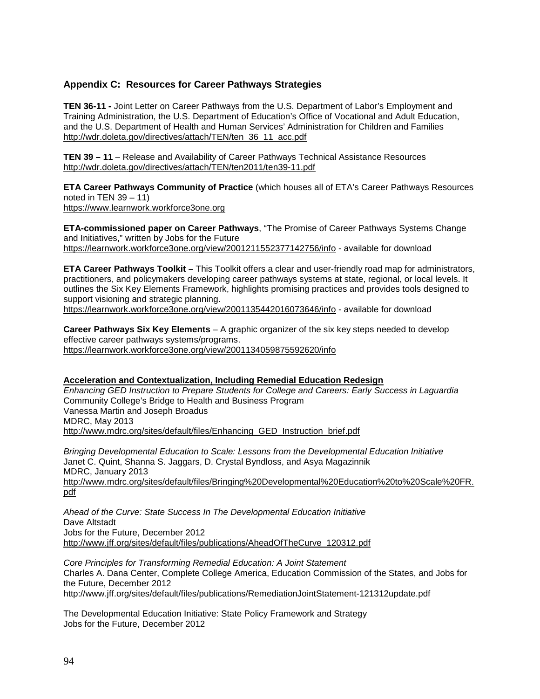### **Appendix C: Resources for Career Pathways Strategies**

**TEN 36-11 -** Joint Letter on Career Pathways from the U.S. Department of Labor's Employment and Training Administration, the U.S. Department of Education's Office of Vocational and Adult Education, and the U.S. Department of Health and Human Services' Administration for Children and Families [http://wdr.doleta.gov/directives/attach/TEN/ten\\_36\\_11\\_acc.pdf](http://wdr.doleta.gov/directives/attach/TEN/ten_36_11_acc.pdf)

**TEN 39 – 11** – Release and Availability of Career Pathways Technical Assistance Resources <http://wdr.doleta.gov/directives/attach/TEN/ten2011/ten39-11.pdf>

**ETA Career Pathways Community of Practice** (which houses all of ETA's Career Pathways Resources noted in TEN  $39 - 11$ )

[https://www.learnwork.workforce3one.org](https://www.learnwork.workforce3one.org/)

**ETA-commissioned paper on Career Pathways**, "The Promise of Career Pathways Systems Change and Initiatives," written by Jobs for the Future <https://learnwork.workforce3one.org/view/2001211552377142756/info> - available for download

**ETA Career Pathways Toolkit –** This Toolkit offers a clear and user-friendly road map for administrators, practitioners, and policymakers developing career pathways systems at state, regional, or local levels. It outlines the Six Key Elements Framework, highlights promising practices and provides tools designed to support visioning and strategic planning.

<https://learnwork.workforce3one.org/view/2001135442016073646/info> - available for download

**Career Pathways Six Key Elements** – A graphic organizer of the six key steps needed to develop effective career pathways systems/programs. <https://learnwork.workforce3one.org/view/2001134059875592620/info>

#### **Acceleration and Contextualization, Including Remedial Education Redesign**

*Enhancing GED Instruction to Prepare Students for College and Careers: Early Success in Laguardia* Community College's Bridge to Health and Business Program Vanessa Martin and Joseph Broadus MDRC, May 2013 [http://www.mdrc.org/sites/default/files/Enhancing\\_GED\\_Instruction\\_brief.pdf](http://www.mdrc.org/sites/default/files/Enhancing_GED_Instruction_brief.pdf)

*Bringing Developmental Education to Scale: Lessons from the Developmental Education Initiative* Janet C. Quint, Shanna S. Jaggars, D. Crystal Byndloss, and Asya Magazinnik MDRC, January 2013 [http://www.mdrc.org/sites/default/files/Bringing%20Developmental%20Education%20to%20Scale%20FR.](http://www.mdrc.org/sites/default/files/Bringing%20Developmental%20Education%20to%20Scale%20FR.pdf) [pdf](http://www.mdrc.org/sites/default/files/Bringing%20Developmental%20Education%20to%20Scale%20FR.pdf) 

*Ahead of the Curve: State Success In The Developmental Education Initiative* Dave Altstadt Jobs for the Future, December 2012 [http://www.jff.org/sites/default/files/publications/AheadOfTheCurve\\_120312.pdf](http://www.jff.org/sites/default/files/publications/AheadOfTheCurve_120312.pdf) 

*Core Principles for Transforming Remedial Education: A Joint Statement* Charles A. Dana Center, Complete College America, Education Commission of the States, and Jobs for the Future, December 2012 http://www.jff.org/sites/default/files/publications/RemediationJointStatement-121312update.pdf

The Developmental Education Initiative: State Policy Framework and Strategy Jobs for the Future, December 2012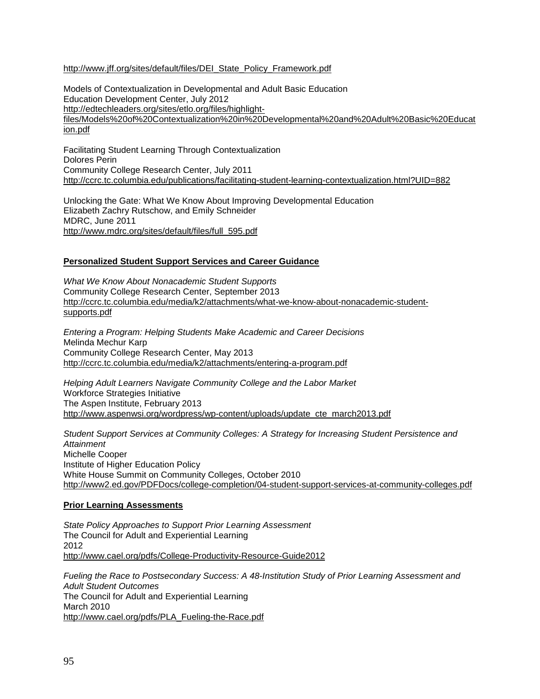#### http://www.jff.org/sites/default/files/DEI\_State\_Policy\_Framework.pdf

Models of Contextualization in Developmental and Adult Basic Education Education Development Center, July 2012 [http://edtechleaders.org/sites/etlo.org/files/highlight](http://edtechleaders.org/sites/etlo.org/files/highlight-files/Models%20of%20Contextualization%20in%20Developmental%20and%20Adult%20Basic%20Education.pdf)[files/Models%20of%20Contextualization%20in%20Developmental%20and%20Adult%20Basic%20Educat](http://edtechleaders.org/sites/etlo.org/files/highlight-files/Models%20of%20Contextualization%20in%20Developmental%20and%20Adult%20Basic%20Education.pdf) [ion.pdf](http://edtechleaders.org/sites/etlo.org/files/highlight-files/Models%20of%20Contextualization%20in%20Developmental%20and%20Adult%20Basic%20Education.pdf) 

Facilitating Student Learning Through Contextualization Dolores Perin Community College Research Center, July 2011 <http://ccrc.tc.columbia.edu/publications/facilitating-student-learning-contextualization.html?UID=882>

Unlocking the Gate: What We Know About Improving Developmental Education Elizabeth Zachry Rutschow, and Emily Schneider MDRC, June 2011 [http://www.mdrc.org/sites/default/files/full\\_595.pdf](http://www.mdrc.org/sites/default/files/full_595.pdf) 

#### **Personalized Student Support Services and Career Guidance**

*What We Know About Nonacademic Student Supports* Community College Research Center, September 2013 [http://ccrc.tc.columbia.edu/media/k2/attachments/what-we-know-about-nonacademic-student](http://ccrc.tc.columbia.edu/media/k2/attachments/what-we-know-about-nonacademic-student-supports.pdf)[supports.pdf](http://ccrc.tc.columbia.edu/media/k2/attachments/what-we-know-about-nonacademic-student-supports.pdf)

*Entering a Program: Helping Students Make Academic and Career Decisions* Melinda Mechur Karp Community College Research Center, May 2013 <http://ccrc.tc.columbia.edu/media/k2/attachments/entering-a-program.pdf>

*Helping Adult Learners Navigate Community College and the Labor Market* Workforce Strategies Initiative The Aspen Institute, February 2013 [http://www.aspenwsi.org/wordpress/wp-content/uploads/update\\_cte\\_march2013.pdf](http://www.aspenwsi.org/wordpress/wp-content/uploads/update_cte_march2013.pdf)

*Student Support Services at Community Colleges: A Strategy for Increasing Student Persistence and Attainment* Michelle Cooper Institute of Higher Education Policy White House Summit on Community Colleges, October 2010 <http://www2.ed.gov/PDFDocs/college-completion/04-student-support-services-at-community-colleges.pdf>

### **Prior Learning Assessments**

*State Policy Approaches to Support Prior Learning Assessment* The Council for Adult and Experiential Learning 2012 <http://www.cael.org/pdfs/College-Productivity-Resource-Guide2012>

*Fueling the Race to Postsecondary Success: A 48-Institution Study of Prior Learning Assessment and Adult Student Outcomes* The Council for Adult and Experiential Learning March 2010 [http://www.cael.org/pdfs/PLA\\_Fueling-the-Race.pdf](http://www.cael.org/pdfs/PLA_Fueling-the-Race.pdf)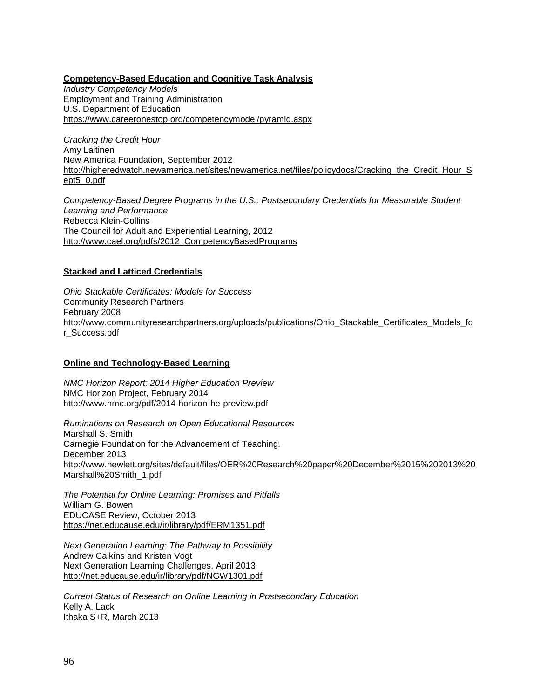#### **Competency-Based Education and Cognitive Task Analysis**

*Industry Competency Models* Employment and Training Administration U.S. Department of Education <https://www.careeronestop.org/competencymodel/pyramid.aspx>

*Cracking the Credit Hour* Amy Laitinen New America Foundation, September 2012 [http://higheredwatch.newamerica.net/sites/newamerica.net/files/policydocs/Cracking\\_the\\_Credit\\_Hour\\_S](http://higheredwatch.newamerica.net/sites/newamerica.net/files/policydocs/Cracking_the_Credit_Hour_Sept5_0.pdf) [ept5\\_0.pdf](http://higheredwatch.newamerica.net/sites/newamerica.net/files/policydocs/Cracking_the_Credit_Hour_Sept5_0.pdf)

*Competency-Based Degree Programs in the U.S.: Postsecondary Credentials for Measurable Student Learning and Performance* Rebecca Klein-Collins The Council for Adult and Experiential Learning, 2012 [http://www.cael.org/pdfs/2012\\_CompetencyBasedPrograms](http://www.cael.org/pdfs/2012_CompetencyBasedPrograms)

### **Stacked and Latticed Credentials**

*Ohio Stackable Certificates: Models for Success* Community Research Partners February 2008 http://www.communityresearchpartners.org/uploads/publications/Ohio\_Stackable\_Certificates\_Models\_fo r\_Success.pdf

#### **Online and Technology-Based Learning**

*NMC Horizon Report: 2014 Higher Education Preview* NMC Horizon Project, February 2014 <http://www.nmc.org/pdf/2014-horizon-he-preview.pdf>

*Ruminations on Research on Open Educational Resources* Marshall S. Smith Carnegie Foundation for the Advancement of Teaching. December 2013 http://www.hewlett.org/sites/default/files/OER%20Research%20paper%20December%2015%202013%20 Marshall%20Smith\_1.pdf

*The Potential for Online Learning: Promises and Pitfalls* William G. Bowen EDUCASE Review, October 2013 <https://net.educause.edu/ir/library/pdf/ERM1351.pdf>

*Next Generation Learning: The Pathway to Possibility* Andrew Calkins and Kristen Vogt Next Generation Learning Challenges, April 2013 <http://net.educause.edu/ir/library/pdf/NGW1301.pdf>

*Current Status of Research on Online Learning in Postsecondary Education* Kelly A. Lack Ithaka S+R, March 2013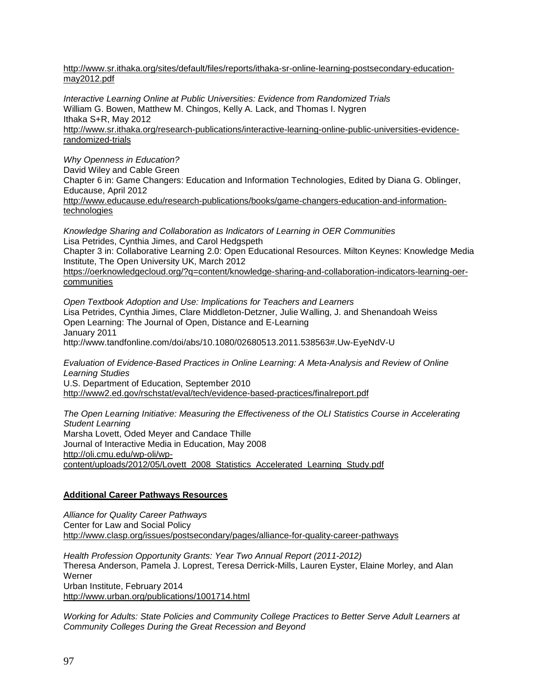[http://www.sr.ithaka.org/sites/default/files/reports/ithaka-sr-online-learning-postsecondary-education](http://www.sr.ithaka.org/sites/default/files/reports/ithaka-sr-online-learning-postsecondary-education-may2012.pdf)[may2012.pdf](http://www.sr.ithaka.org/sites/default/files/reports/ithaka-sr-online-learning-postsecondary-education-may2012.pdf) 

*Interactive Learning Online at Public Universities: Evidence from Randomized Trials* William G. Bowen, Matthew M. Chingos, Kelly A. Lack, and Thomas I. Nygren Ithaka S+R, May 2012 [http://www.sr.ithaka.org/research-publications/interactive-learning-online-public-universities-evidence](http://www.sr.ithaka.org/research-publications/interactive-learning-online-public-universities-evidence-randomized-trials)[randomized-trials](http://www.sr.ithaka.org/research-publications/interactive-learning-online-public-universities-evidence-randomized-trials)

*Why Openness in Education?* David Wiley and Cable Green Chapter 6 in: Game Changers: Education and Information Technologies, Edited by Diana G. Oblinger, Educause, April 2012 [http://www.educause.edu/research-publications/books/game-changers-education-and-information](http://www.educause.edu/research-publications/books/game-changers-education-and-information-technologies)[technologies](http://www.educause.edu/research-publications/books/game-changers-education-and-information-technologies)

*Knowledge Sharing and Collaboration as Indicators of Learning in OER Communities* Lisa Petrides, Cynthia Jimes, and Carol Hedgspeth Chapter 3 in: Collaborative Learning 2.0: Open Educational Resources. Milton Keynes: Knowledge Media Institute, The Open University UK, March 2012 [https://oerknowledgecloud.org/?q=content/knowledge-sharing-and-collaboration-indicators-learning-oer](https://oerknowledgecloud.org/?q=content/knowledge-sharing-and-collaboration-indicators-learning-oer-communities)[communities](https://oerknowledgecloud.org/?q=content/knowledge-sharing-and-collaboration-indicators-learning-oer-communities)

*Open Textbook Adoption and Use: Implications for Teachers and Learners* Lisa Petrides, Cynthia Jimes, Clare Middleton-Detzner, Julie Walling, J. and Shenandoah Weiss Open Learning: The Journal of Open, Distance and E-Learning January 2011 http://www.tandfonline.com/doi/abs/10.1080/02680513.2011.538563#.Uw-EyeNdV-U

*Evaluation of Evidence-Based Practices in Online Learning: A Meta-Analysis and Review of Online Learning Studies* U.S. Department of Education, September 2010 <http://www2.ed.gov/rschstat/eval/tech/evidence-based-practices/finalreport.pdf>

*The Open Learning Initiative: Measuring the Effectiveness of the OLI Statistics Course in Accelerating Student Learning* Marsha Lovett, Oded Meyer and Candace Thille Journal of Interactive Media in Education, May 2008 [http://oli.cmu.edu/wp-oli/wp](http://oli.cmu.edu/wp-oli/wp-content/uploads/2012/05/Lovett_2008_Statistics_Accelerated_Learning_Study.pdf)[content/uploads/2012/05/Lovett\\_2008\\_Statistics\\_Accelerated\\_Learning\\_Study.pdf](http://oli.cmu.edu/wp-oli/wp-content/uploads/2012/05/Lovett_2008_Statistics_Accelerated_Learning_Study.pdf)

### **Additional Career Pathways Resources**

*Alliance for Quality Career Pathways* Center for Law and Social Policy <http://www.clasp.org/issues/postsecondary/pages/alliance-for-quality-career-pathways>

*Health Profession Opportunity Grants: Year Two Annual Report (2011-2012)* Theresa Anderson, Pamela J. Loprest, Teresa Derrick-Mills, Lauren Eyster, Elaine Morley, and Alan Werner Urban Institute, February 2014 <http://www.urban.org/publications/1001714.html>

*Working for Adults: State Policies and Community College Practices to Better Serve Adult Learners at Community Colleges During the Great Recession and Beyond*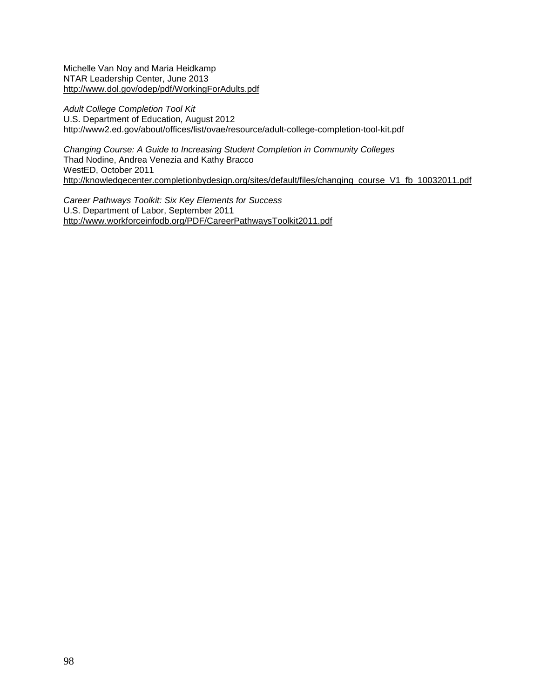Michelle Van Noy and Maria Heidkamp NTAR Leadership Center, June 2013 <http://www.dol.gov/odep/pdf/WorkingForAdults.pdf>

*Adult College Completion Tool Kit* U.S. Department of Education, August 2012 <http://www2.ed.gov/about/offices/list/ovae/resource/adult-college-completion-tool-kit.pdf>

*Changing Course: A Guide to Increasing Student Completion in Community Colleges* Thad Nodine, Andrea Venezia and Kathy Bracco WestED, October 2011 [http://knowledgecenter.completionbydesign.org/sites/default/files/changing\\_course\\_V1\\_fb\\_10032011.pdf](http://knowledgecenter.completionbydesign.org/sites/default/files/changing_course_V1_fb_10032011.pdf)

*Career Pathways Toolkit: Six Key Elements for Success* U.S. Department of Labor, September 2011 <http://www.workforceinfodb.org/PDF/CareerPathwaysToolkit2011.pdf>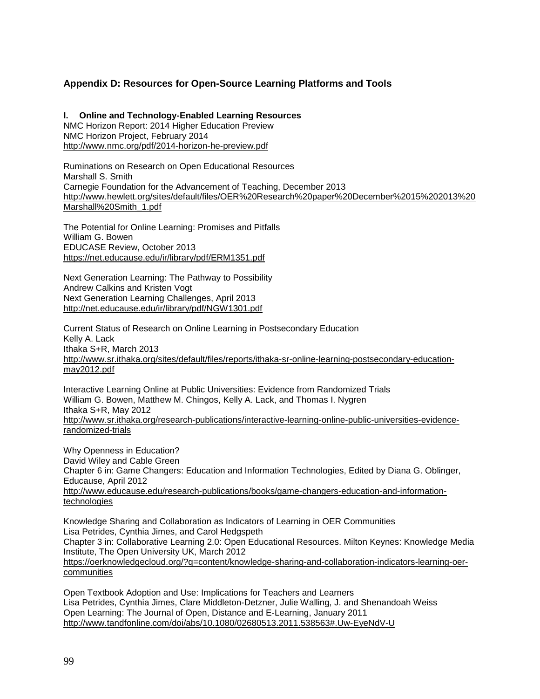## **Appendix D: Resources for Open-Source Learning Platforms and Tools**

**I. Online and Technology-Enabled Learning Resources** NMC Horizon Report: 2014 Higher Education Preview NMC Horizon Project, February 2014 <http://www.nmc.org/pdf/2014-horizon-he-preview.pdf>

Ruminations on Research on Open Educational Resources Marshall S. Smith Carnegie Foundation for the Advancement of Teaching, December 2013 [http://www.hewlett.org/sites/default/files/OER%20Research%20paper%20December%2015%202013%20](http://www.hewlett.org/sites/default/files/OER%20Research%20paper%20December%2015%202013%20Marshall%20Smith_1.pdf) [Marshall%20Smith\\_1.pdf](http://www.hewlett.org/sites/default/files/OER%20Research%20paper%20December%2015%202013%20Marshall%20Smith_1.pdf)

The Potential for Online Learning: Promises and Pitfalls William G. Bowen EDUCASE Review, October 2013 <https://net.educause.edu/ir/library/pdf/ERM1351.pdf>

Next Generation Learning: The Pathway to Possibility Andrew Calkins and Kristen Vogt Next Generation Learning Challenges, April 2013 <http://net.educause.edu/ir/library/pdf/NGW1301.pdf>

Current Status of Research on Online Learning in Postsecondary Education Kelly A. Lack Ithaka S+R, March 2013 [http://www.sr.ithaka.org/sites/default/files/reports/ithaka-sr-online-learning-postsecondary-education](http://www.sr.ithaka.org/sites/default/files/reports/ithaka-sr-online-learning-postsecondary-education-may2012.pdf)[may2012.pdf](http://www.sr.ithaka.org/sites/default/files/reports/ithaka-sr-online-learning-postsecondary-education-may2012.pdf) 

Interactive Learning Online at Public Universities: Evidence from Randomized Trials William G. Bowen, Matthew M. Chingos, Kelly A. Lack, and Thomas I. Nygren Ithaka S+R, May 2012 [http://www.sr.ithaka.org/research-publications/interactive-learning-online-public-universities-evidence](http://www.sr.ithaka.org/research-publications/interactive-learning-online-public-universities-evidence-randomized-trials)[randomized-trials](http://www.sr.ithaka.org/research-publications/interactive-learning-online-public-universities-evidence-randomized-trials)

Why Openness in Education? David Wiley and Cable Green Chapter 6 in: Game Changers: Education and Information Technologies, Edited by Diana G. Oblinger, Educause, April 2012 [http://www.educause.edu/research-publications/books/game-changers-education-and-information](http://www.educause.edu/research-publications/books/game-changers-education-and-information-technologies)[technologies](http://www.educause.edu/research-publications/books/game-changers-education-and-information-technologies)

Knowledge Sharing and Collaboration as Indicators of Learning in OER Communities Lisa Petrides, Cynthia Jimes, and Carol Hedgspeth Chapter 3 in: Collaborative Learning 2.0: Open Educational Resources. Milton Keynes: Knowledge Media Institute, The Open University UK, March 2012 [https://oerknowledgecloud.org/?q=content/knowledge-sharing-and-collaboration-indicators-learning-oer](https://oerknowledgecloud.org/?q=content/knowledge-sharing-and-collaboration-indicators-learning-oer-communities)**[communities](https://oerknowledgecloud.org/?q=content/knowledge-sharing-and-collaboration-indicators-learning-oer-communities)** 

Open Textbook Adoption and Use: Implications for Teachers and Learners Lisa Petrides, Cynthia Jimes, Clare Middleton-Detzner, Julie Walling, J. and Shenandoah Weiss Open Learning: The Journal of Open, Distance and E-Learning, January 2011 <http://www.tandfonline.com/doi/abs/10.1080/02680513.2011.538563#.Uw-EyeNdV-U>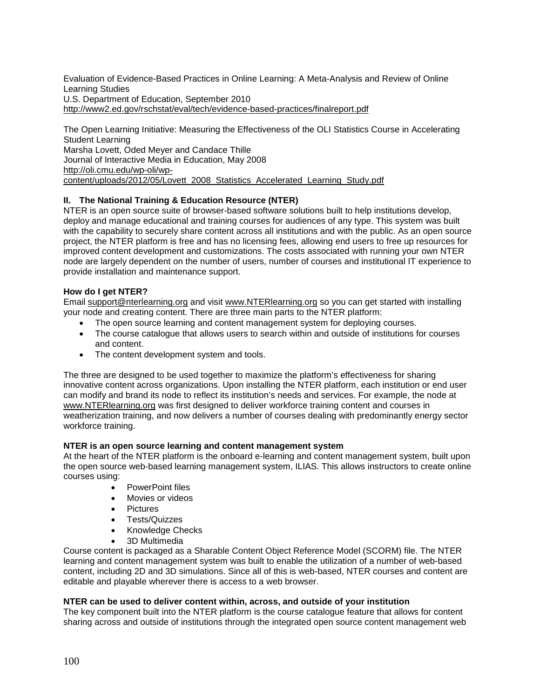Evaluation of Evidence-Based Practices in Online Learning: A Meta-Analysis and Review of Online Learning Studies U.S. Department of Education, September 2010 <http://www2.ed.gov/rschstat/eval/tech/evidence-based-practices/finalreport.pdf>

The Open Learning Initiative: Measuring the Effectiveness of the OLI Statistics Course in Accelerating Student Learning Marsha Lovett, Oded Meyer and Candace Thille Journal of Interactive Media in Education, May 2008 [http://oli.cmu.edu/wp-oli/wp](http://oli.cmu.edu/wp-oli/wp-content/uploads/2012/05/Lovett_2008_Statistics_Accelerated_Learning_Study.pdf)[content/uploads/2012/05/Lovett\\_2008\\_Statistics\\_Accelerated\\_Learning\\_Study.pdf](http://oli.cmu.edu/wp-oli/wp-content/uploads/2012/05/Lovett_2008_Statistics_Accelerated_Learning_Study.pdf)

### **II. The National Training & Education Resource (NTER)**

NTER is an open source suite of browser-based software solutions built to help institutions develop, deploy and manage educational and training courses for audiences of any type. This system was built with the capability to securely share content across all institutions and with the public. As an open source project, the NTER platform is free and has no licensing fees, allowing end users to free up resources for improved content development and customizations. The costs associated with running your own NTER node are largely dependent on the number of users, number of courses and institutional IT experience to provide installation and maintenance support.

### **How do I get NTER?**

Email [support@nterlearning.org](mailto:support@nterlearning.org) and visit [www.NTERlearning.org](https://www.nterlearning.org/) so you can get started with installing your node and creating content. There are three main parts to the NTER platform:

- The open source learning and content management system for deploying courses.
- The course catalogue that allows users to search within and outside of institutions for courses and content.
- The content development system and tools.

The three are designed to be used together to maximize the platform's effectiveness for sharing innovative content across organizations. Upon installing the NTER platform, each institution or end user can modify and brand its node to reflect its institution's needs and services. For example, the node at [www.NTERlearning.org](http://www.nterlearning.org/) was first designed to deliver workforce training content and courses in weatherization training, and now delivers a number of courses dealing with predominantly energy sector workforce training.

#### **NTER is an open source learning and content management system**

At the heart of the NTER platform is the onboard e-learning and content management system, built upon the open source web-based learning management system, ILIAS. This allows instructors to create online courses using:

- PowerPoint files
- Movies or videos
- Pictures
- Tests/Quizzes
- Knowledge Checks
- 3D Multimedia

Course content is packaged as a Sharable Content Object Reference Model (SCORM) file. The NTER learning and content management system was built to enable the utilization of a number of web-based content, including 2D and 3D simulations. Since all of this is web-based, NTER courses and content are editable and playable wherever there is access to a web browser.

#### **NTER can be used to deliver content within, across, and outside of your institution**

The key component built into the NTER platform is the course catalogue feature that allows for content sharing across and outside of institutions through the integrated open source content management web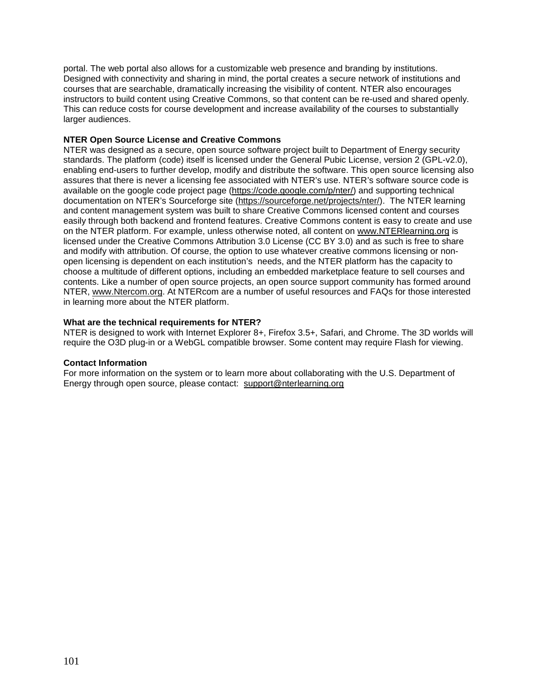portal. The web portal also allows for a customizable web presence and branding by institutions. Designed with connectivity and sharing in mind, the portal creates a secure network of institutions and courses that are searchable, dramatically increasing the visibility of content. NTER also encourages instructors to build content using Creative Commons, so that content can be re-used and shared openly. This can reduce costs for course development and increase availability of the courses to substantially larger audiences.

#### **NTER Open Source License and Creative Commons**

NTER was designed as a secure, open source software project built to Department of Energy security standards. The platform (code) itself is licensed under the General Pubic License, version 2 (GPL-v2.0), enabling end-users to further develop, modify and distribute the software. This open source licensing also assures that there is never a licensing fee associated with NTER's use. NTER's software source code is available on the google code project page [\(https://code.google.com/p/nter/\)](https://code.google.com/p/nter/) and supporting technical documentation on NTER's Sourceforge site [\(https://sourceforge.net/projects/nter/\)](https://sourceforge.net/projects/nter/). The NTER learning and content management system was built to share Creative Commons licensed content and courses easily through both backend and frontend features. Creative Commons content is easy to create and use on the NTER platform. For example, unless otherwise noted, all content on [www.NTERlearning.org](http://www.nterlearning.org/) is licensed under the Creative Commons Attribution 3.0 License (CC BY 3.0) and as such is free to share and modify with attribution. Of course, the option to use whatever creative commons licensing or nonopen licensing is dependent on each institution's needs, and the NTER platform has the capacity to choose a multitude of different options, including an embedded marketplace feature to sell courses and contents. Like a number of open source projects, an open source support community has formed around NTER, [www.Ntercom.org.](http://www.ntercom.org/) At NTERcom are a number of useful resources and FAQs for those interested in learning more about the NTER platform.

#### **What are the technical requirements for NTER?**

NTER is designed to work with Internet Explorer 8+, Firefox 3.5+, Safari, and Chrome. The 3D worlds will require the O3D plug-in or a WebGL compatible browser. Some content may require Flash for viewing.

#### **Contact Information**

For more information on the system or to learn more about collaborating with the U.S. Department of Energy through open source, please contact: [support@nterlearning.org](mailto:support@nterlearning.org)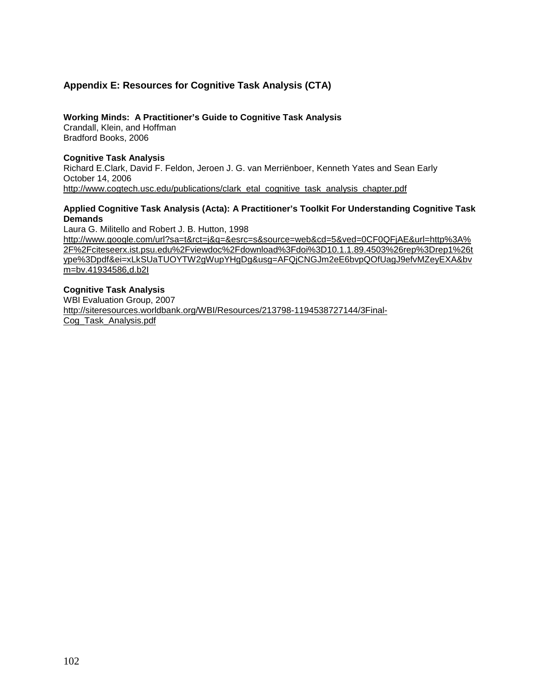# **Appendix E: Resources for Cognitive Task Analysis (CTA)**

#### **Working Minds: A Practitioner's Guide to Cognitive Task Analysis**

Crandall, Klein, and Hoffman Bradford Books, 2006

#### **Cognitive Task Analysis**

Richard E.Clark, David F. Feldon, Jeroen J. G. van Merriënboer, Kenneth Yates and Sean Early October 14, 2006 [http://www.cogtech.usc.edu/publications/clark\\_etal\\_cognitive\\_task\\_analysis\\_chapter.pdf](http://www.cogtech.usc.edu/publications/clark_etal_cognitive_task_analysis_chapter.pdf)

#### **Applied Cognitive Task Analysis (Acta): A Practitioner's Toolkit For Understanding Cognitive Task Demands**

Laura G. Militello and Robert J. B. Hutton, 1998

[http://www.google.com/url?sa=t&rct=j&q=&esrc=s&source=web&cd=5&ved=0CF0QFjAE&url=http%3A%](http://www.google.com/url?sa=t&rct=j&q=&esrc=s&source=web&cd=5&ved=0CF0QFjAE&url=http%3A%2F%2Fciteseerx.ist.psu.edu%2Fviewdoc%2Fdownload%3Fdoi%3D10.1.1.89.4503%26rep%3Drep1%26type%3Dpdf&ei=xLkSUaTUOYTW2gWupYHgDg&usg=AFQjCNGJm2eE6bvpQOfUagJ9efvMZeyEXA&bvm=bv.41934586,d.b2I) [2F%2Fciteseerx.ist.psu.edu%2Fviewdoc%2Fdownload%3Fdoi%3D10.1.1.89.4503%26rep%3Drep1%26t](http://www.google.com/url?sa=t&rct=j&q=&esrc=s&source=web&cd=5&ved=0CF0QFjAE&url=http%3A%2F%2Fciteseerx.ist.psu.edu%2Fviewdoc%2Fdownload%3Fdoi%3D10.1.1.89.4503%26rep%3Drep1%26type%3Dpdf&ei=xLkSUaTUOYTW2gWupYHgDg&usg=AFQjCNGJm2eE6bvpQOfUagJ9efvMZeyEXA&bvm=bv.41934586,d.b2I) [ype%3Dpdf&ei=xLkSUaTUOYTW2gWupYHgDg&usg=AFQjCNGJm2eE6bvpQOfUagJ9efvMZeyEXA&bv](http://www.google.com/url?sa=t&rct=j&q=&esrc=s&source=web&cd=5&ved=0CF0QFjAE&url=http%3A%2F%2Fciteseerx.ist.psu.edu%2Fviewdoc%2Fdownload%3Fdoi%3D10.1.1.89.4503%26rep%3Drep1%26type%3Dpdf&ei=xLkSUaTUOYTW2gWupYHgDg&usg=AFQjCNGJm2eE6bvpQOfUagJ9efvMZeyEXA&bvm=bv.41934586,d.b2I) [m=bv.41934586,d.b2I](http://www.google.com/url?sa=t&rct=j&q=&esrc=s&source=web&cd=5&ved=0CF0QFjAE&url=http%3A%2F%2Fciteseerx.ist.psu.edu%2Fviewdoc%2Fdownload%3Fdoi%3D10.1.1.89.4503%26rep%3Drep1%26type%3Dpdf&ei=xLkSUaTUOYTW2gWupYHgDg&usg=AFQjCNGJm2eE6bvpQOfUagJ9efvMZeyEXA&bvm=bv.41934586,d.b2I)

#### **Cognitive Task Analysis**

WBI Evaluation Group, 2007 [http://siteresources.worldbank.org/WBI/Resources/213798-1194538727144/3Final-](http://siteresources.worldbank.org/WBI/Resources/213798-1194538727144/3Final-Cog_Task_Analysis.pdf)[Cog\\_Task\\_Analysis.pdf](http://siteresources.worldbank.org/WBI/Resources/213798-1194538727144/3Final-Cog_Task_Analysis.pdf)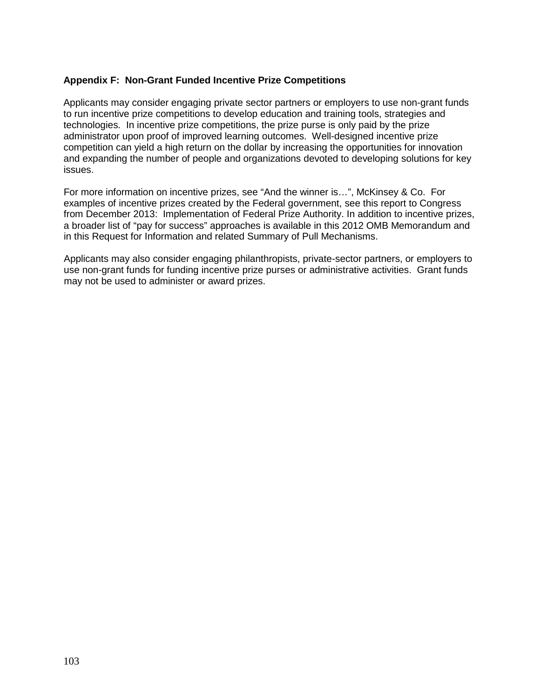## **Appendix F: Non-Grant Funded Incentive Prize Competitions**

Applicants may consider engaging private sector partners or employers to use non-grant funds to run incentive prize competitions to develop education and training tools, strategies and technologies. In incentive prize competitions, the prize purse is only paid by the prize administrator upon proof of improved learning outcomes. Well-designed incentive prize competition can yield a high return on the dollar by increasing the opportunities for innovation and expanding the number of people and organizations devoted to developing solutions for key issues.

For more information on incentive prizes, see "And the winner is…", McKinsey & Co. For examples of incentive prizes created by the Federal government, see this report to Congress from December 2013: Implementation of Federal Prize Authority. In addition to incentive prizes, a broader list of "pay for success" approaches is available in this 2012 OMB Memorandum and in this Request for Information and related Summary of Pull Mechanisms.

Applicants may also consider engaging philanthropists, private-sector partners, or employers to use non-grant funds for funding incentive prize purses or administrative activities. Grant funds may not be used to administer or award prizes.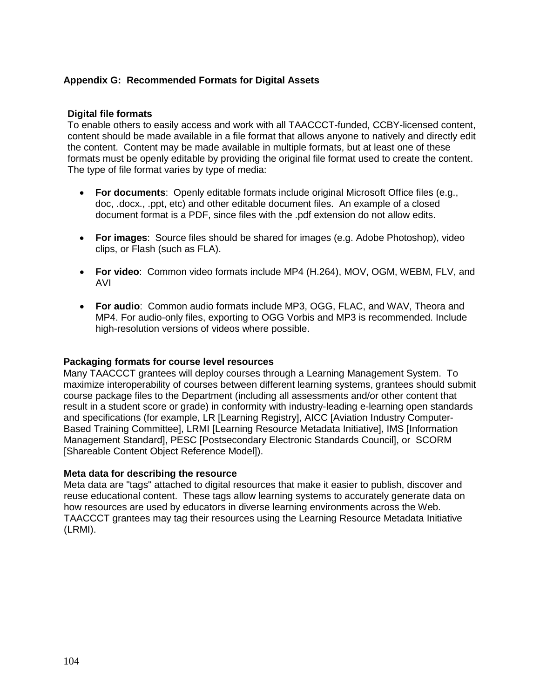# **Appendix G: Recommended Formats for Digital Assets**

### **Digital file formats**

To enable others to easily access and work with all TAACCCT-funded, CCBY-licensed content, content should be made available in a file format that allows anyone to natively and directly edit the content. Content may be made available in multiple formats, but at least one of these formats must be openly editable by providing the original file format used to create the content. The type of file format varies by type of media:

- **For documents**: Openly editable formats include original Microsoft Office files (e.g., doc, .docx., .ppt, etc) and other editable document files. An example of a closed document format is a PDF, since files with the .pdf extension do not allow edits.
- **For images**: Source files should be shared for images (e.g. Adobe Photoshop), video clips, or Flash (such as FLA).
- **For video**: Common video formats include MP4 (H.264), MOV, OGM, WEBM, FLV, and AVI
- **For audio**: Common audio formats include MP3, OGG, FLAC, and WAV, Theora and MP4. For audio-only files, exporting to OGG Vorbis and MP3 is recommended. Include high-resolution versions of videos where possible.

### **Packaging formats for course level resources**

Many TAACCCT grantees will deploy courses through a Learning Management System. To maximize interoperability of courses between different learning systems, grantees should submit course package files to the Department (including all assessments and/or other content that result in a student score or grade) in conformity with industry-leading e-learning open standards and specifications (for example, LR [Learning Registry], AICC [Aviation Industry Computer-Based Training Committee], LRMI [Learning Resource Metadata Initiative], IMS [Information Management Standard], PESC [Postsecondary Electronic Standards Council], or SCORM [Shareable Content Object Reference Model]).

## **Meta data for describing the resource**

Meta data are "tags" attached to digital resources that make it easier to publish, discover and reuse educational content. These tags allow learning systems to accurately generate data on how resources are used by educators in diverse learning environments across the Web. TAACCCT grantees may tag their resources using the Learning Resource Metadata Initiative (LRMI).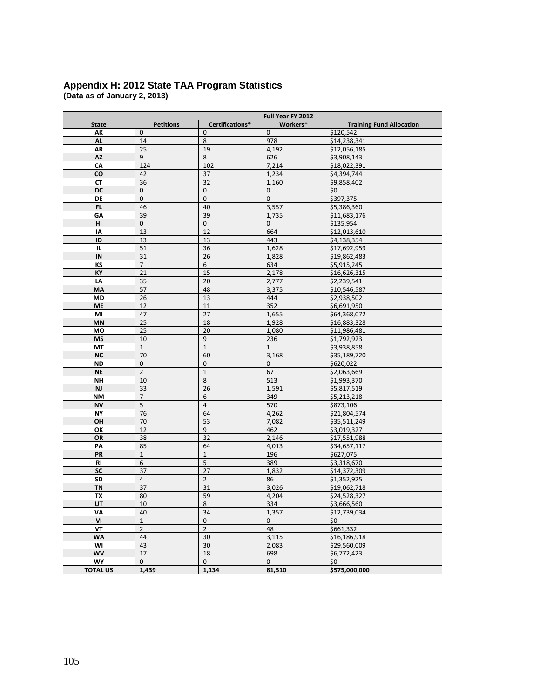#### **Appendix H: 2012 State TAA Program Statistics (Data as of January 2, 2013)**

|                 | Full Year FY 2012 |                  |                       |                                 |  |  |  |  |
|-----------------|-------------------|------------------|-----------------------|---------------------------------|--|--|--|--|
| <b>State</b>    | <b>Petitions</b>  | Certifications*  | Workers*              | <b>Training Fund Allocation</b> |  |  |  |  |
| АΚ              | $\mathbf{0}$      | $\pmb{0}$        | $\mathbf{0}$          | \$120,542                       |  |  |  |  |
| <b>AL</b>       | 14                | 8                | 978                   | \$14,238,341                    |  |  |  |  |
| ΛR              | 25                | 19               | 4,192                 | \$12,056,185                    |  |  |  |  |
| AZ              | 9                 | 8                | 626                   | \$3,908,143                     |  |  |  |  |
| CA              | 124               | 102              | 7,214                 | \$18,022,391                    |  |  |  |  |
| co              | 42                | 37               | 1,234                 | \$4,394,744                     |  |  |  |  |
| СT              | 36                | 32               | \$9,858,402<br>1,160  |                                 |  |  |  |  |
| DC              | 0                 | 0                | $\mathbf 0$           | \$0                             |  |  |  |  |
| DE              | $\overline{0}$    | $\pmb{0}$        | $\mathbf{0}$          | \$397,375                       |  |  |  |  |
| FL              | 46                | 40               | 3,557                 | \$5,386,360                     |  |  |  |  |
| GΑ              | 39                | 39               | 1,735                 | \$11,683,176                    |  |  |  |  |
| HI              | $\mathbf 0$       | $\mathbf 0$      | $\mathbf{0}$          | \$135,954                       |  |  |  |  |
| I٨              | 13                | 12               | 664                   | \$12,013,610                    |  |  |  |  |
| ID              | 13                | 13               | 443                   | \$4,138,354                     |  |  |  |  |
| IL              | 51                | 36               | 1,628                 | \$17,692,959                    |  |  |  |  |
| IN              | 31                | 26               | 1,828                 | \$19,862,483                    |  |  |  |  |
| КS              | $\overline{7}$    | 6                | 634                   | \$5,915,245                     |  |  |  |  |
| KY              | 21                | 15               | 2,178                 | \$16,626,315                    |  |  |  |  |
| LA              | 35                | 20               | 2,777                 | \$2,239,541                     |  |  |  |  |
| MA              | 57                | 48               | 3,375                 | \$10,546,587                    |  |  |  |  |
| MD              | 26                | 13               | 444                   | \$2,938,502                     |  |  |  |  |
| <b>ME</b>       | 12                | 11               | 352                   | \$6,691,950                     |  |  |  |  |
| MI              | 47                | 27               | 1,655                 | \$64,368,072                    |  |  |  |  |
| MN              | 25                | 18               | 1,928                 | \$16,883,328                    |  |  |  |  |
| МO              | 25                | 20               | 1,080                 | \$11,986,481                    |  |  |  |  |
| MS              | 10                | $\boldsymbol{9}$ | 236                   | \$1,792,923                     |  |  |  |  |
| MT              | $\mathbf{1}$      | $\mathbf 1$      | $\mathbf{1}$          | \$3,938,858                     |  |  |  |  |
| <b>NC</b>       | 70                | 60               | 3,168                 | \$35,189,720                    |  |  |  |  |
| <b>ND</b>       | $\pmb{0}$         | $\pmb{0}$        | $\mathbf 0$           | \$620,022                       |  |  |  |  |
| <b>NE</b>       | $\overline{2}$    | $\mathbf{1}$     | 67                    | \$2,063,669                     |  |  |  |  |
| <b>NH</b>       | 10                | $\bf 8$          | 513                   | \$1,993,370                     |  |  |  |  |
| $\mathsf{NJ}$   | 33                | 26               | 1,591                 | \$5,817,519                     |  |  |  |  |
| NΜ              | $\overline{7}$    | 6                | 349                   | \$5,213,218                     |  |  |  |  |
| NV              | 5                 | $\overline{4}$   | 570                   | \$873,106                       |  |  |  |  |
| <b>NY</b>       | 76                | 64               | 4,262                 | \$21,804,574                    |  |  |  |  |
| OH              | 70                | 53               | 7,082                 | \$35,511,249                    |  |  |  |  |
| ОК              | 12                | 9                | 462                   | \$3,019,327                     |  |  |  |  |
| OR              | 38                | 32               | 2,146                 | \$17,551,988                    |  |  |  |  |
| PA              | 85                | 64               | 4,013                 | \$34,657,117                    |  |  |  |  |
| PR              | $\mathbf{1}$      | $\mathbf 1$      | 196                   | \$627,075                       |  |  |  |  |
| <b>RI</b>       | $\,$ 6 $\,$       | $\overline{5}$   | 389                   | \$3,318,670                     |  |  |  |  |
| <b>SC</b>       | 37                | 27               | 1,832                 | \$14,372,309                    |  |  |  |  |
| SD              | $\overline{4}$    | $\overline{2}$   | 86                    | \$1,352,925                     |  |  |  |  |
| TN              | 37                | 31               | 3,026                 | \$19,062,718                    |  |  |  |  |
| TX              | 80                | 59               | 4,204                 | \$24,528,327                    |  |  |  |  |
| UT              | 10                | 8                | 334                   | \$3,666,560                     |  |  |  |  |
| ٧Α              | 40                | 34               | 1,357                 | \$12,739,034                    |  |  |  |  |
| VI              | $\mathbf{1}$      | $\mathbf 0$      | $\mathbf{0}$          | \$0                             |  |  |  |  |
| VT              | $\overline{2}$    | $\overline{2}$   | 48                    | \$661,332                       |  |  |  |  |
| <b>WA</b>       | 44                | 30               | 3,115                 | \$16,186,918                    |  |  |  |  |
|                 |                   |                  | 2,083                 | \$29,560,009                    |  |  |  |  |
| WI<br><b>WV</b> | 43<br>17          | 30<br>18         |                       | \$6,772,423                     |  |  |  |  |
|                 | $\mathbf 0$       | $\mathbf 0$      | 698<br>$\overline{0}$ |                                 |  |  |  |  |
| WY              |                   |                  |                       | \$0<br>\$575,000,000            |  |  |  |  |
| <b>TOTAL US</b> | 1,439             | 1,134            | 81,510                |                                 |  |  |  |  |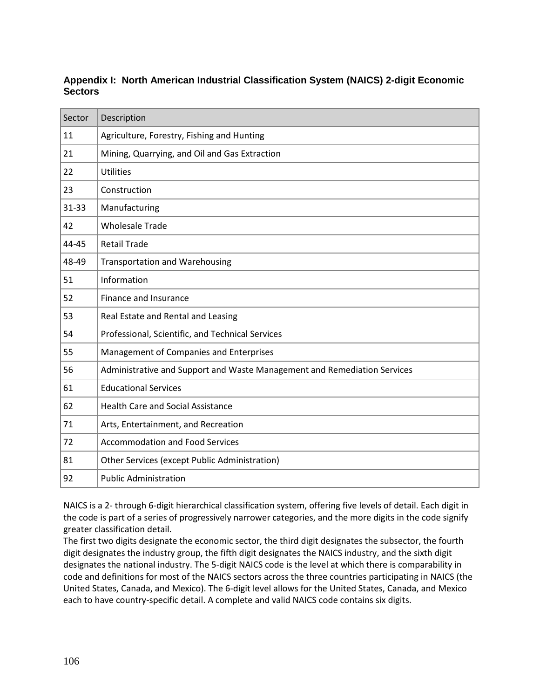## **Appendix I: North American Industrial Classification System (NAICS) 2-digit Economic Sectors**

| Sector    | Description                                                              |  |  |  |  |  |
|-----------|--------------------------------------------------------------------------|--|--|--|--|--|
| 11        | Agriculture, Forestry, Fishing and Hunting                               |  |  |  |  |  |
| 21        | Mining, Quarrying, and Oil and Gas Extraction                            |  |  |  |  |  |
| 22        | <b>Utilities</b>                                                         |  |  |  |  |  |
| 23        | Construction                                                             |  |  |  |  |  |
| $31 - 33$ | Manufacturing                                                            |  |  |  |  |  |
| 42        | <b>Wholesale Trade</b>                                                   |  |  |  |  |  |
| 44-45     | <b>Retail Trade</b>                                                      |  |  |  |  |  |
| 48-49     | <b>Transportation and Warehousing</b>                                    |  |  |  |  |  |
| 51        | Information                                                              |  |  |  |  |  |
| 52        | Finance and Insurance                                                    |  |  |  |  |  |
| 53        | Real Estate and Rental and Leasing                                       |  |  |  |  |  |
| 54        | Professional, Scientific, and Technical Services                         |  |  |  |  |  |
| 55        | Management of Companies and Enterprises                                  |  |  |  |  |  |
| 56        | Administrative and Support and Waste Management and Remediation Services |  |  |  |  |  |
| 61        | <b>Educational Services</b>                                              |  |  |  |  |  |
| 62        | <b>Health Care and Social Assistance</b>                                 |  |  |  |  |  |
| 71        | Arts, Entertainment, and Recreation                                      |  |  |  |  |  |
| 72        | <b>Accommodation and Food Services</b>                                   |  |  |  |  |  |
| 81        | Other Services (except Public Administration)                            |  |  |  |  |  |
| 92        | <b>Public Administration</b>                                             |  |  |  |  |  |

NAICS is a 2- through 6-digit hierarchical classification system, offering five levels of detail. Each digit in the code is part of a series of progressively narrower categories, and the more digits in the code signify greater classification detail.

The first two digits designate the economic sector, the third digit designates the subsector, the fourth digit designates the industry group, the fifth digit designates the NAICS industry, and the sixth digit designates the national industry. The 5-digit NAICS code is the level at which there is comparability in code and definitions for most of the NAICS sectors across the three countries participating in NAICS (the United States, Canada, and Mexico). The 6-digit level allows for the United States, Canada, and Mexico each to have country-specific detail. A complete and valid NAICS code contains six digits.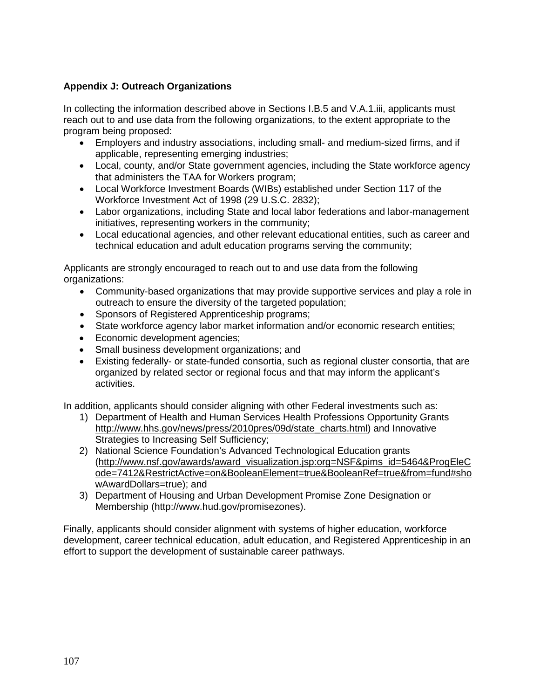# **Appendix J: Outreach Organizations**

In collecting the information described above in Sections I.B.5 and V.A.1.iii, applicants must reach out to and use data from the following organizations, to the extent appropriate to the program being proposed:

- Employers and industry associations, including small- and medium-sized firms, and if applicable, representing emerging industries;
- Local, county, and/or State government agencies, including the State workforce agency that administers the TAA for Workers program;
- Local Workforce Investment Boards (WIBs) established under Section 117 of the Workforce Investment Act of 1998 (29 U.S.C. 2832);
- Labor organizations, including State and local labor federations and labor-management initiatives, representing workers in the community;
- Local educational agencies, and other relevant educational entities, such as career and technical education and adult education programs serving the community;

Applicants are strongly encouraged to reach out to and use data from the following organizations:

- Community-based organizations that may provide supportive services and play a role in outreach to ensure the diversity of the targeted population;
- Sponsors of Registered Apprenticeship programs;
- State workforce agency labor market information and/or economic research entities;
- Economic development agencies;
- Small business development organizations; and
- Existing federally- or state-funded consortia, such as regional cluster consortia, that are organized by related sector or regional focus and that may inform the applicant's activities.

In addition, applicants should consider aligning with other Federal investments such as:

- 1) Department of Health and Human Services Health Professions Opportunity Grants [http://www.hhs.gov/news/press/2010pres/09d/state\\_charts.html\)](http://www.hhs.gov/news/press/2010pres/09d/state_charts.html) and Innovative Strategies to Increasing Self Sufficiency;
- 2) National Science Foundation's Advanced Technological Education grants [\(http://www.nsf.gov/awards/award\\_visualization.jsp:org=NSF&pims\\_id=5464&ProgEleC](http://www.nsf.gov/awards/award_visualization.jsp:org=NSF&pims_id=5464&ProgEleCode=7412&RestrictActive=on&BooleanElement=true&BooleanRef=true&from=fund#showAwardDollars=true) [ode=7412&RestrictActive=on&BooleanElement=true&BooleanRef=true&from=fund#sho](http://www.nsf.gov/awards/award_visualization.jsp:org=NSF&pims_id=5464&ProgEleCode=7412&RestrictActive=on&BooleanElement=true&BooleanRef=true&from=fund#showAwardDollars=true) [wAwardDollars=true\)](http://www.nsf.gov/awards/award_visualization.jsp:org=NSF&pims_id=5464&ProgEleCode=7412&RestrictActive=on&BooleanElement=true&BooleanRef=true&from=fund#showAwardDollars=true); and
- 3) Department of Housing and Urban Development Promise Zone Designation or Membership (http://www.hud.gov/promisezones).

Finally, applicants should consider alignment with systems of higher education, workforce development, career technical education, adult education, and Registered Apprenticeship in an effort to support the development of sustainable career pathways.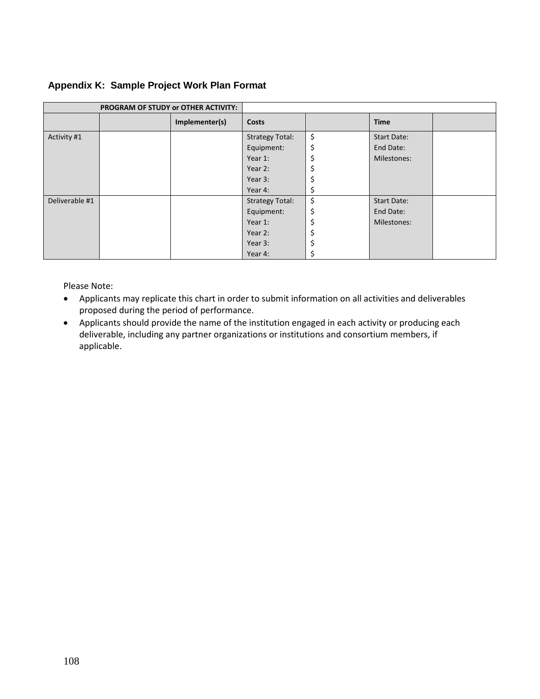# **Appendix K: Sample Project Work Plan Format**

| PROGRAM OF STUDY or OTHER ACTIVITY: |  |                |                        |     |             |  |
|-------------------------------------|--|----------------|------------------------|-----|-------------|--|
|                                     |  | Implementer(s) | <b>Costs</b>           |     | <b>Time</b> |  |
| Activity #1                         |  |                | <b>Strategy Total:</b> | \$  | Start Date: |  |
|                                     |  |                | Equipment:             | \$  | End Date:   |  |
|                                     |  |                | Year 1:                |     | Milestones: |  |
|                                     |  |                | Year 2:                |     |             |  |
|                                     |  |                | Year 3:                |     |             |  |
|                                     |  |                | Year 4:                | \$. |             |  |
| Deliverable #1                      |  |                | <b>Strategy Total:</b> | \$  | Start Date: |  |
|                                     |  |                | Equipment:             | \$  | End Date:   |  |
|                                     |  |                | Year 1:                |     | Milestones: |  |
|                                     |  |                | Year 2:                |     |             |  |
|                                     |  |                | Year 3:                |     |             |  |
|                                     |  |                | Year 4:                |     |             |  |

Please Note:

- Applicants may replicate this chart in order to submit information on all activities and deliverables proposed during the period of performance.
- Applicants should provide the name of the institution engaged in each activity or producing each deliverable, including any partner organizations or institutions and consortium members, if applicable.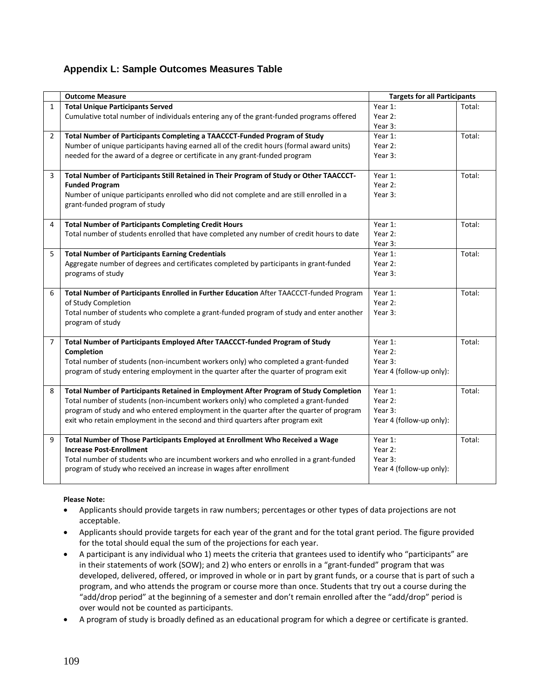#### **Appendix L: Sample Outcomes Measures Table**

|                | <b>Outcome Measure</b>                                                                   | <b>Targets for all Participants</b> |        |
|----------------|------------------------------------------------------------------------------------------|-------------------------------------|--------|
| $\mathbf{1}$   | <b>Total Unique Participants Served</b>                                                  | Year 1:                             | Total: |
|                | Cumulative total number of individuals entering any of the grant-funded programs offered | Year 2:                             |        |
|                |                                                                                          | Year 3:                             |        |
| $\overline{2}$ | Total Number of Participants Completing a TAACCCT-Funded Program of Study                | Year 1:                             | Total: |
|                | Number of unique participants having earned all of the credit hours (formal award units) | Year 2:                             |        |
|                | needed for the award of a degree or certificate in any grant-funded program              | Year 3:                             |        |
| 3              | Total Number of Participants Still Retained in Their Program of Study or Other TAACCCT-  | Year 1:                             | Total: |
|                | <b>Funded Program</b>                                                                    | Year 2:                             |        |
|                | Number of unique participants enrolled who did not complete and are still enrolled in a  | Year 3:                             |        |
|                | grant-funded program of study                                                            |                                     |        |
| 4              | <b>Total Number of Participants Completing Credit Hours</b>                              | Year 1:                             | Total: |
|                | Total number of students enrolled that have completed any number of credit hours to date | Year 2:                             |        |
|                |                                                                                          | Year 3:                             |        |
| 5              | <b>Total Number of Participants Earning Credentials</b>                                  | Year 1:                             | Total: |
|                | Aggregate number of degrees and certificates completed by participants in grant-funded   | Year 2:                             |        |
|                | programs of study                                                                        | Year 3:                             |        |
|                |                                                                                          |                                     |        |
| 6              | Total Number of Participants Enrolled in Further Education After TAACCCT-funded Program  | Year 1:                             | Total: |
|                | of Study Completion                                                                      | Year 2:                             |        |
|                | Total number of students who complete a grant-funded program of study and enter another  | Year 3:                             |        |
|                | program of study                                                                         |                                     |        |
| 7              | Total Number of Participants Employed After TAACCCT-funded Program of Study              | Year 1:                             | Total: |
|                | Completion                                                                               | Year 2:                             |        |
|                | Total number of students (non-incumbent workers only) who completed a grant-funded       | Year 3:                             |        |
|                | program of study entering employment in the quarter after the quarter of program exit    | Year 4 (follow-up only):            |        |
| 8              | Total Number of Participants Retained in Employment After Program of Study Completion    | Year 1:                             | Total: |
|                | Total number of students (non-incumbent workers only) who completed a grant-funded       | Year 2:                             |        |
|                | program of study and who entered employment in the quarter after the quarter of program  | Year 3:                             |        |
|                | exit who retain employment in the second and third quarters after program exit           | Year 4 (follow-up only):            |        |
|                |                                                                                          |                                     |        |
| 9              | Total Number of Those Participants Employed at Enrollment Who Received a Wage            | Year 1:                             | Total: |
|                | <b>Increase Post-Enrollment</b>                                                          | Year 2:                             |        |
|                | Total number of students who are incumbent workers and who enrolled in a grant-funded    | Year 3:                             |        |
|                | program of study who received an increase in wages after enrollment                      | Year 4 (follow-up only):            |        |
|                |                                                                                          |                                     |        |

#### **Please Note:**

- Applicants should provide targets in raw numbers; percentages or other types of data projections are not acceptable.
- Applicants should provide targets for each year of the grant and for the total grant period. The figure provided for the total should equal the sum of the projections for each year.
- A participant is any individual who 1) meets the criteria that grantees used to identify who "participants" are in their statements of work (SOW); and 2) who enters or enrolls in a "grant-funded" program that was developed, delivered, offered, or improved in whole or in part by grant funds, or a course that is part of such a program, and who attends the program or course more than once. Students that try out a course during the "add/drop period" at the beginning of a semester and don't remain enrolled after the "add/drop" period is over would not be counted as participants.
- A program of study is broadly defined as an educational program for which a degree or certificate is granted.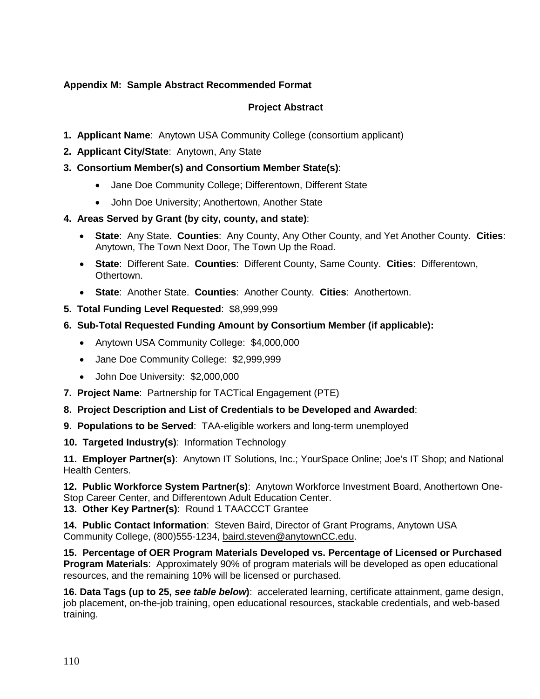## **Appendix M: Sample Abstract Recommended Format**

# **Project Abstract**

- **1. Applicant Name**: Anytown USA Community College (consortium applicant)
- **2. Applicant City/State**: Anytown, Any State
- **3. Consortium Member(s) and Consortium Member State(s)**:
	- Jane Doe Community College; Differentown, Different State
	- John Doe University; Anothertown, Another State
- **4. Areas Served by Grant (by city, county, and state)**:
	- **State**: Any State. **Counties**: Any County, Any Other County, and Yet Another County. **Cities**: Anytown, The Town Next Door, The Town Up the Road.
	- **State**: Different Sate. **Counties**: Different County, Same County. **Cities**: Differentown, Othertown.
	- **State**: Another State. **Counties**: Another County. **Cities**: Anothertown.
- **5. Total Funding Level Requested**: \$8,999,999
- **6. Sub-Total Requested Funding Amount by Consortium Member (if applicable):**
	- Anytown USA Community College: \$4,000,000
	- Jane Doe Community College: \$2,999,999
	- John Doe University: \$2,000,000
- **7. Project Name**: Partnership for TACTical Engagement (PTE)
- **8. Project Description and List of Credentials to be Developed and Awarded**:
- **9. Populations to be Served**: TAA-eligible workers and long-term unemployed
- **10. Targeted Industry(s)**: Information Technology

**11. Employer Partner(s)**: Anytown IT Solutions, Inc.; YourSpace Online; Joe's IT Shop; and National Health Centers.

**12. Public Workforce System Partner(s)**: Anytown Workforce Investment Board, Anothertown One-Stop Career Center, and Differentown Adult Education Center.

**13. Other Key Partner(s)**: Round 1 TAACCCT Grantee

**14. Public Contact Information**: Steven Baird, Director of Grant Programs, Anytown USA Community College, (800)555-1234, [baird.steven@anytownCC.edu.](mailto:baird.steven@anytownCC.edu)

**15. Percentage of OER Program Materials Developed vs. Percentage of Licensed or Purchased Program Materials**: Approximately 90% of program materials will be developed as open educational resources, and the remaining 10% will be licensed or purchased.

**16. Data Tags (up to 25,** *see table below***)**: accelerated learning, certificate attainment, game design, job placement, on-the-job training, open educational resources, stackable credentials, and web-based training.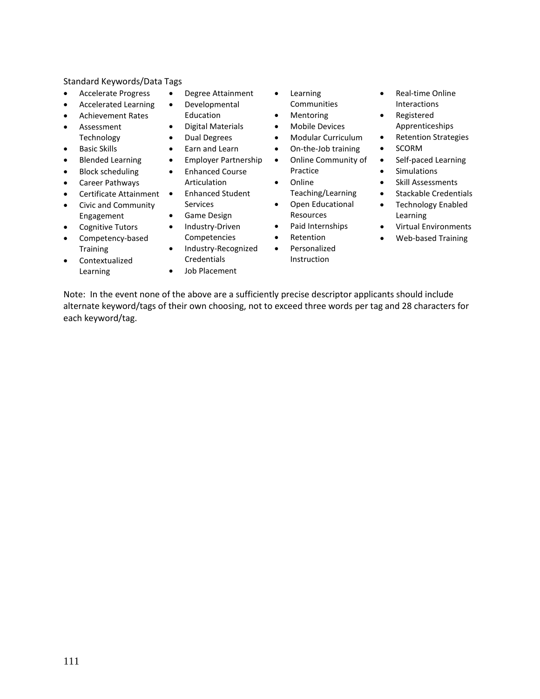#### Standard Keywords/Data Tags

- Accelerate Progress
- Accelerated Learning
- Achievement Rates
- Assessment Technology
- Basic Skills
- Blended Learning
- Block scheduling
- Career Pathways
- Certificate Attainment
- Civic and Community Engagement
- Cognitive Tutors
- Competency-based **Training**
- Contextualized Learning
- Degree Attainment
- Developmental
- Education
- Digital Materials
- Dual Degrees
- Earn and Learn
- Employer Partnership
- Enhanced Course
- Enhanced Student
- Game Design
- Industry-Driven
- Competencies
- Industry-Recognized Credentials
- Job Placement
- **Learning** Communities
- Mentoring
- Mobile Devices
- Modular Curriculum
- On-the-Job training
- Online Community of Practice
- Online Teaching/Learning
- Open Educational
- Resources Paid Internships
- **Retention**
- Personalized
- Instruction
- Real-time Online Interactions
- Registered Apprenticeships
- Retention Strategies
- SCORM
- Self-paced Learning
- Simulations
- Skill Assessments
- Stackable Credentials
- Technology Enabled Learning
- Virtual Environments
- Web-based Training

Note: In the event none of the above are a sufficiently precise descriptor applicants should include alternate keyword/tags of their own choosing, not to exceed three words per tag and 28 characters for each keyword/tag.

- 
- 
- Articulation
- 
- Services
-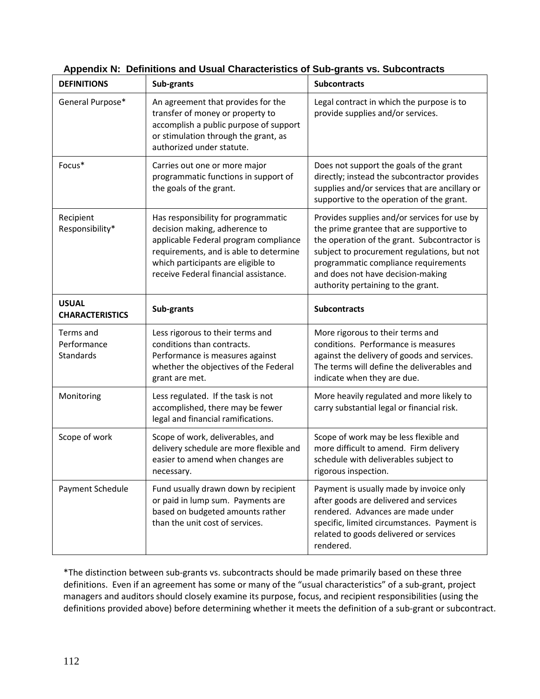| <b>DEFINITIONS</b>                     | Sub-grants                                                                                                                                                                                                                             | <b>Subcontracts</b>                                                                                                                                                                                                                                                                                        |  |
|----------------------------------------|----------------------------------------------------------------------------------------------------------------------------------------------------------------------------------------------------------------------------------------|------------------------------------------------------------------------------------------------------------------------------------------------------------------------------------------------------------------------------------------------------------------------------------------------------------|--|
| General Purpose*                       | An agreement that provides for the<br>transfer of money or property to<br>accomplish a public purpose of support<br>or stimulation through the grant, as<br>authorized under statute.                                                  | Legal contract in which the purpose is to<br>provide supplies and/or services.                                                                                                                                                                                                                             |  |
| Focus*                                 | Carries out one or more major<br>programmatic functions in support of<br>the goals of the grant.                                                                                                                                       | Does not support the goals of the grant<br>directly; instead the subcontractor provides<br>supplies and/or services that are ancillary or<br>supportive to the operation of the grant.                                                                                                                     |  |
| Recipient<br>Responsibility*           | Has responsibility for programmatic<br>decision making, adherence to<br>applicable Federal program compliance<br>requirements, and is able to determine<br>which participants are eligible to<br>receive Federal financial assistance. | Provides supplies and/or services for use by<br>the prime grantee that are supportive to<br>the operation of the grant. Subcontractor is<br>subject to procurement regulations, but not<br>programmatic compliance requirements<br>and does not have decision-making<br>authority pertaining to the grant. |  |
| <b>USUAL</b><br><b>CHARACTERISTICS</b> | Sub-grants                                                                                                                                                                                                                             | <b>Subcontracts</b>                                                                                                                                                                                                                                                                                        |  |
| Terms and<br>Performance<br>Standards  | Less rigorous to their terms and<br>conditions than contracts.<br>Performance is measures against<br>whether the objectives of the Federal<br>grant are met.                                                                           | More rigorous to their terms and<br>conditions. Performance is measures<br>against the delivery of goods and services.<br>The terms will define the deliverables and<br>indicate when they are due.                                                                                                        |  |
| Monitoring                             | Less regulated. If the task is not<br>accomplished, there may be fewer<br>legal and financial ramifications.                                                                                                                           | More heavily regulated and more likely to<br>carry substantial legal or financial risk.                                                                                                                                                                                                                    |  |
| Scope of work                          | Scope of work, deliverables, and<br>delivery schedule are more flexible and<br>easier to amend when changes are<br>necessary.                                                                                                          | Scope of work may be less flexible and<br>more difficult to amend. Firm delivery<br>schedule with deliverables subject to<br>rigorous inspection.                                                                                                                                                          |  |
| Payment Schedule                       | Fund usually drawn down by recipient<br>or paid in lump sum. Payments are<br>based on budgeted amounts rather<br>than the unit cost of services.                                                                                       | Payment is usually made by invoice only<br>after goods are delivered and services<br>rendered. Advances are made under<br>specific, limited circumstances. Payment is<br>related to goods delivered or services<br>rendered.                                                                               |  |

| Appendix N: Definitions and Usual Characteristics of Sub-grants vs. Subcontracts |  |  |
|----------------------------------------------------------------------------------|--|--|
|                                                                                  |  |  |

\*The distinction between sub-grants vs. subcontracts should be made primarily based on these three definitions. Even if an agreement has some or many of the "usual characteristics" of a sub-grant, project managers and auditors should closely examine its purpose, focus, and recipient responsibilities (using the definitions provided above) before determining whether it meets the definition of a sub-grant or subcontract.